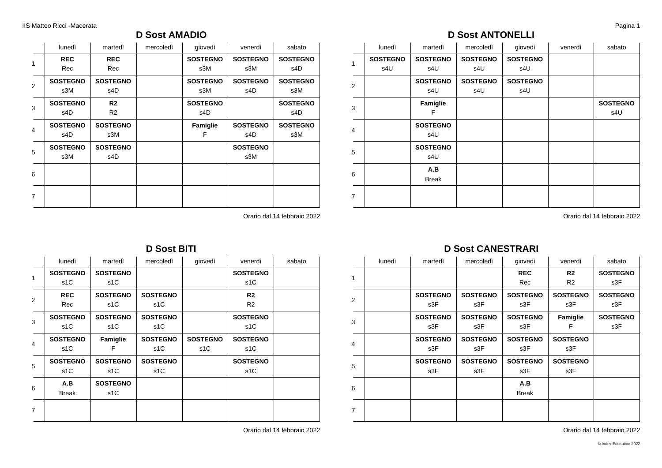### **D Sost AMADIO**

|                | lunedì          | martedì         | mercoledì | giovedì         | venerdì         | sabato          |
|----------------|-----------------|-----------------|-----------|-----------------|-----------------|-----------------|
| 1              | <b>REC</b>      | <b>REC</b>      |           | <b>SOSTEGNO</b> | <b>SOSTEGNO</b> | <b>SOSTEGNO</b> |
|                | Rec             | Rec             |           | s3M             | s3M             | s4D             |
| 2              | <b>SOSTEGNO</b> | <b>SOSTEGNO</b> |           | <b>SOSTEGNO</b> | <b>SOSTEGNO</b> | <b>SOSTEGNO</b> |
|                | s3M             | s4D             |           | s3M             | s4D             | s3M             |
| 3              | <b>SOSTEGNO</b> | R <sub>2</sub>  |           | <b>SOSTEGNO</b> |                 | <b>SOSTEGNO</b> |
|                | s4D             | R <sub>2</sub>  |           | s4D             |                 | s4D             |
| 4              | <b>SOSTEGNO</b> | <b>SOSTEGNO</b> |           | Famiglie        | <b>SOSTEGNO</b> | <b>SOSTEGNO</b> |
|                | s4D             | s3M             |           | F               | s4D             | s3M             |
| 5              | <b>SOSTEGNO</b> | <b>SOSTEGNO</b> |           |                 | <b>SOSTEGNO</b> |                 |
|                | s3M             | s4D             |           |                 | s3M             |                 |
| 6              |                 |                 |           |                 |                 |                 |
|                |                 |                 |           |                 |                 |                 |
|                |                 |                 |           |                 |                 |                 |
| $\overline{7}$ |                 |                 |           |                 |                 |                 |

Orario dal 14 febbraio 2022

|                         | lunedì           | martedì          | mercoledì        | giovedì          | venerdì          | sabato |
|-------------------------|------------------|------------------|------------------|------------------|------------------|--------|
| 1                       | <b>SOSTEGNO</b>  | <b>SOSTEGNO</b>  |                  |                  | <b>SOSTEGNO</b>  |        |
|                         | s <sub>1</sub> C | s <sub>1</sub> C |                  |                  | s1C              |        |
| $\overline{2}$          | <b>REC</b>       | <b>SOSTEGNO</b>  | <b>SOSTEGNO</b>  |                  | R <sub>2</sub>   |        |
|                         | Rec              | s <sub>1</sub> C | s <sub>1</sub> C |                  | R <sub>2</sub>   |        |
| 3                       | <b>SOSTEGNO</b>  | <b>SOSTEGNO</b>  | <b>SOSTEGNO</b>  |                  | <b>SOSTEGNO</b>  |        |
|                         | s <sub>1</sub> C | s <sub>1</sub> C | s <sub>1</sub> C |                  | s1C              |        |
| $\overline{\mathbf{4}}$ | <b>SOSTEGNO</b>  | Famiglie         | <b>SOSTEGNO</b>  | <b>SOSTEGNO</b>  | <b>SOSTEGNO</b>  |        |
|                         | s <sub>1</sub> C | F                | s <sub>1</sub> C | s <sub>1</sub> C | s1C              |        |
| 5                       | <b>SOSTEGNO</b>  | <b>SOSTEGNO</b>  | <b>SOSTEGNO</b>  |                  | <b>SOSTEGNO</b>  |        |
|                         | s <sub>1</sub> C | s <sub>1</sub> C | s <sub>1</sub> C |                  | s <sub>1</sub> C |        |
| 6                       | A.B              | <b>SOSTEGNO</b>  |                  |                  |                  |        |
|                         | <b>Break</b>     | s <sub>1</sub> C |                  |                  |                  |        |
| $\overline{7}$          |                  |                  |                  |                  |                  |        |
|                         |                  |                  |                  |                  |                  |        |

**D Sost BITI**

Orario dal 14 febbraio 2022

### **D Sost ANTONELLI**

|                | lunedì                 | martedì                | mercoledì              | giovedì                | venerdì | sabato                 |
|----------------|------------------------|------------------------|------------------------|------------------------|---------|------------------------|
| $\mathbf{1}$   | <b>SOSTEGNO</b><br>s4U | <b>SOSTEGNO</b><br>s4U | <b>SOSTEGNO</b><br>s4U | <b>SOSTEGNO</b><br>s4U |         |                        |
| 2              |                        | <b>SOSTEGNO</b><br>s4U | <b>SOSTEGNO</b><br>s4U | <b>SOSTEGNO</b><br>s4U |         |                        |
| 3              |                        | Famiglie<br>F          |                        |                        |         | <b>SOSTEGNO</b><br>s4U |
| $\overline{4}$ |                        | <b>SOSTEGNO</b><br>s4U |                        |                        |         |                        |
| 5              |                        | <b>SOSTEGNO</b><br>s4U |                        |                        |         |                        |
| 6              |                        | A.B<br><b>Break</b>    |                        |                        |         |                        |
| $\overline{7}$ |                        |                        |                        |                        |         |                        |

Orario dal 14 febbraio 2022

### **D Sost CANESTRARI**

|   | lunedì | martedì         | mercoledì       | giovedì         | venerdì         | sabato          |
|---|--------|-----------------|-----------------|-----------------|-----------------|-----------------|
| 1 |        |                 |                 | <b>REC</b>      | R <sub>2</sub>  | <b>SOSTEGNO</b> |
|   |        |                 |                 | Rec             | R <sub>2</sub>  | s3F             |
| 2 |        | <b>SOSTEGNO</b> | <b>SOSTEGNO</b> | <b>SOSTEGNO</b> | <b>SOSTEGNO</b> | <b>SOSTEGNO</b> |
|   |        | s3F             | s3F             | s3F             | s3F             | s3F             |
| 3 |        | <b>SOSTEGNO</b> | <b>SOSTEGNO</b> | <b>SOSTEGNO</b> | Famiglie        | <b>SOSTEGNO</b> |
|   |        | s3F             | s3F             | s3F             | F               | s3F             |
| 4 |        | <b>SOSTEGNO</b> | <b>SOSTEGNO</b> | <b>SOSTEGNO</b> | <b>SOSTEGNO</b> |                 |
|   |        | s3F             | s3F             | s3F             | s3F             |                 |
| 5 |        | <b>SOSTEGNO</b> | <b>SOSTEGNO</b> | <b>SOSTEGNO</b> | <b>SOSTEGNO</b> |                 |
|   |        | s3F             | s3F             | s3F             | s3F             |                 |
|   |        |                 |                 | A.B             |                 |                 |
| 6 |        |                 |                 | <b>Break</b>    |                 |                 |
| 7 |        |                 |                 |                 |                 |                 |
|   |        |                 |                 |                 |                 |                 |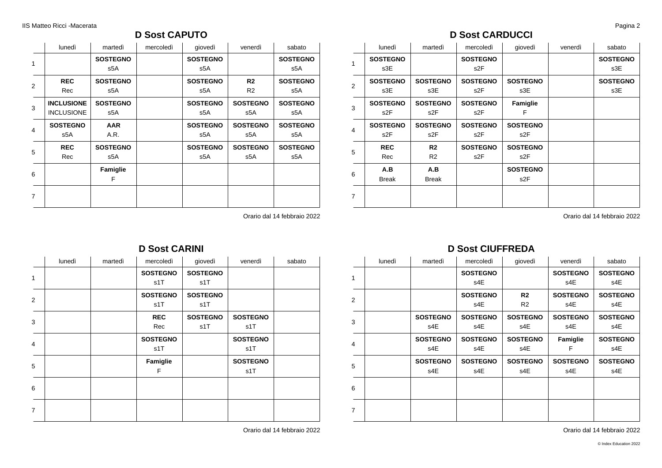### **D Sost CAPUTO**

|                | lunedì            | martedì         | mercoledì | giovedì         | venerdì         | sabato          |
|----------------|-------------------|-----------------|-----------|-----------------|-----------------|-----------------|
| 1              |                   | <b>SOSTEGNO</b> |           | <b>SOSTEGNO</b> |                 | <b>SOSTEGNO</b> |
|                |                   | s5A             |           | s5A             |                 | s5A             |
| 2              | <b>REC</b>        | <b>SOSTEGNO</b> |           | <b>SOSTEGNO</b> | R <sub>2</sub>  | <b>SOSTEGNO</b> |
|                | Rec               | s5A             |           | s5A             | R <sub>2</sub>  | s5A             |
| 3              | <b>INCLUSIONE</b> | <b>SOSTEGNO</b> |           | <b>SOSTEGNO</b> | <b>SOSTEGNO</b> | <b>SOSTEGNO</b> |
|                | <b>INCLUSIONE</b> | s5A             |           | s5A             | s5A             | s5A             |
| $\overline{4}$ | <b>SOSTEGNO</b>   | <b>AAR</b>      |           | <b>SOSTEGNO</b> | <b>SOSTEGNO</b> | <b>SOSTEGNO</b> |
|                | s5A               | A.R.            |           | s5A             | s5A             | s5A             |
| 5              | <b>REC</b>        | <b>SOSTEGNO</b> |           | <b>SOSTEGNO</b> | <b>SOSTEGNO</b> | <b>SOSTEGNO</b> |
|                | Rec               | s5A             |           | s5A             | s5A             | s5A             |
| 6              |                   | Famiglie        |           |                 |                 |                 |
|                |                   | F               |           |                 |                 |                 |
| 7              |                   |                 |           |                 |                 |                 |
|                |                   |                 |           |                 |                 |                 |

Orario dal 14 febbraio 2022

### **D Sost CARDUCCI**

|                | lunedì                              | martedì                             | mercoledì                           | giovedì                             | venerdì | sabato                 |
|----------------|-------------------------------------|-------------------------------------|-------------------------------------|-------------------------------------|---------|------------------------|
| 1              | <b>SOSTEGNO</b><br>s3E              |                                     | <b>SOSTEGNO</b><br>s <sub>2</sub> F |                                     |         | <b>SOSTEGNO</b><br>s3E |
| 2              | <b>SOSTEGNO</b><br>s3E              | <b>SOSTEGNO</b><br>s3E              | <b>SOSTEGNO</b><br>s <sub>2</sub> F | <b>SOSTEGNO</b><br>s3E              |         | <b>SOSTEGNO</b><br>s3E |
| 3              | <b>SOSTEGNO</b><br>s <sub>2</sub> F | <b>SOSTEGNO</b><br>s <sub>2</sub> F | <b>SOSTEGNO</b><br>s <sub>2</sub> F | Famiglie<br>F                       |         |                        |
| $\overline{4}$ | <b>SOSTEGNO</b><br>s <sub>2</sub> F | <b>SOSTEGNO</b><br>s2F              | <b>SOSTEGNO</b><br>s <sub>2</sub> F | <b>SOSTEGNO</b><br>s2F              |         |                        |
| 5              | <b>REC</b><br>Rec                   | R <sub>2</sub><br>R <sub>2</sub>    | <b>SOSTEGNO</b><br>s2F              | <b>SOSTEGNO</b><br>s <sub>2</sub> F |         |                        |
| 6              | A.B<br><b>Break</b>                 | A.B<br><b>Break</b>                 |                                     | <b>SOSTEGNO</b><br>s2F              |         |                        |
| $\overline{7}$ |                                     |                                     |                                     |                                     |         |                        |

Orario dal 14 febbraio 2022

| lunedì | martedì | mercoledì              | giovedì                | venerdì                | sabato |
|--------|---------|------------------------|------------------------|------------------------|--------|
|        |         | <b>SOSTEGNO</b><br>s1T | <b>SOSTEGNO</b><br>s1T |                        |        |
|        |         | <b>SOSTEGNO</b><br>s1T | <b>SOSTEGNO</b><br>s1T |                        |        |
|        |         | <b>REC</b><br>Rec      | <b>SOSTEGNO</b><br>s1T | <b>SOSTEGNO</b><br>s1T |        |
|        |         | <b>SOSTEGNO</b><br>s1T |                        | <b>SOSTEGNO</b><br>s1T |        |
|        |         | Famiglie<br>F          |                        | <b>SOSTEGNO</b><br>s1T |        |
|        |         |                        |                        |                        |        |
|        |         |                        |                        |                        |        |
|        |         |                        |                        | <b>D</b> OUSL UMININI  |        |

### **D Sost CARINI**

Orario dal 14 febbraio 2022

### **D Sost CIUFFREDA**

|   | lunedì | martedì                | mercoledì              | giovedì                          | venerdì                | sabato                 |
|---|--------|------------------------|------------------------|----------------------------------|------------------------|------------------------|
| 1 |        |                        | <b>SOSTEGNO</b><br>s4E |                                  | <b>SOSTEGNO</b><br>s4E | <b>SOSTEGNO</b><br>s4E |
| 2 |        |                        | <b>SOSTEGNO</b><br>s4E | R <sub>2</sub><br>R <sub>2</sub> | <b>SOSTEGNO</b><br>s4E | <b>SOSTEGNO</b><br>s4E |
| 3 |        | <b>SOSTEGNO</b><br>s4E | <b>SOSTEGNO</b><br>s4E | <b>SOSTEGNO</b><br>s4E           | <b>SOSTEGNO</b><br>s4E | <b>SOSTEGNO</b><br>s4E |
| 4 |        | <b>SOSTEGNO</b><br>s4E | <b>SOSTEGNO</b><br>s4E | <b>SOSTEGNO</b><br>s4E           | Famiglie<br>F          | <b>SOSTEGNO</b><br>s4E |
| 5 |        | <b>SOSTEGNO</b><br>s4E | <b>SOSTEGNO</b><br>s4E | <b>SOSTEGNO</b><br>s4E           | <b>SOSTEGNO</b><br>s4E | <b>SOSTEGNO</b><br>s4E |
| 6 |        |                        |                        |                                  |                        |                        |
| 7 |        |                        |                        |                                  |                        |                        |
|   |        |                        |                        |                                  |                        |                        |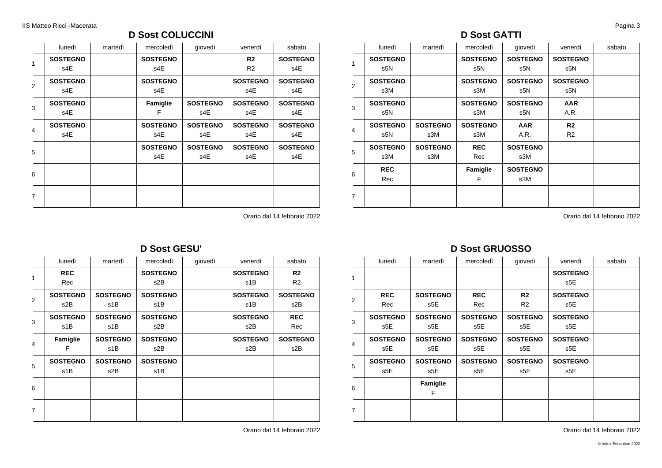### **D Sost COLUCCINI**

|                | lunedì          | martedì | mercoledì       | giovedì         | venerdì         | sabato          |
|----------------|-----------------|---------|-----------------|-----------------|-----------------|-----------------|
| 1              | <b>SOSTEGNO</b> |         | <b>SOSTEGNO</b> |                 | R <sub>2</sub>  | <b>SOSTEGNO</b> |
|                | s4E             |         | s4E             |                 | R <sub>2</sub>  | s4E             |
| 2              | <b>SOSTEGNO</b> |         | <b>SOSTEGNO</b> |                 | <b>SOSTEGNO</b> | <b>SOSTEGNO</b> |
|                | s4E             |         | s4E             |                 | s4E             | s4E             |
| 3              | <b>SOSTEGNO</b> |         | Famiglie        | <b>SOSTEGNO</b> | <b>SOSTEGNO</b> | <b>SOSTEGNO</b> |
|                | s4E             |         | F               | s4E             | s4E             | s4E             |
| $\overline{4}$ | <b>SOSTEGNO</b> |         | <b>SOSTEGNO</b> | <b>SOSTEGNO</b> | <b>SOSTEGNO</b> | <b>SOSTEGNO</b> |
|                | s4E             |         | s4E             | s4E             | s4E             | s4E             |
| 5              |                 |         | <b>SOSTEGNO</b> | <b>SOSTEGNO</b> | <b>SOSTEGNO</b> | <b>SOSTEGNO</b> |
|                |                 |         | s4E             | s4E             | s4E             | s4E             |
| 6              |                 |         |                 |                 |                 |                 |
|                |                 |         |                 |                 |                 |                 |
| $\overline{7}$ |                 |         |                 |                 |                 |                 |
|                |                 |         |                 |                 |                 |                 |

### **D Sost GATTI**

|                | lunedì          | martedì         | mercoledì        | giovedì         | venerdì         | sabato |
|----------------|-----------------|-----------------|------------------|-----------------|-----------------|--------|
| 1              | <b>SOSTEGNO</b> |                 | <b>SOSTEGNO</b>  | <b>SOSTEGNO</b> | <b>SOSTEGNO</b> |        |
|                | s5N             |                 | s <sub>5</sub> N | s5N             | s5N             |        |
| $\overline{2}$ | <b>SOSTEGNO</b> |                 | <b>SOSTEGNO</b>  | <b>SOSTEGNO</b> | <b>SOSTEGNO</b> |        |
|                | s3M             |                 | s3M              | s5N             | s5N             |        |
| 3              | <b>SOSTEGNO</b> |                 | <b>SOSTEGNO</b>  | <b>SOSTEGNO</b> | <b>AAR</b>      |        |
|                | s5N             |                 | s3M              | s5N             | A.R.            |        |
| 4              | <b>SOSTEGNO</b> | <b>SOSTEGNO</b> | <b>SOSTEGNO</b>  | <b>AAR</b>      | R <sub>2</sub>  |        |
|                | s5N             | s3M             | s3M              | A.R.            | R <sub>2</sub>  |        |
| 5              | <b>SOSTEGNO</b> | <b>SOSTEGNO</b> | <b>REC</b>       | <b>SOSTEGNO</b> |                 |        |
|                | s3M             | s3M             | Rec              | s3M             |                 |        |
|                | <b>REC</b>      |                 | Famiglie         | <b>SOSTEGNO</b> |                 |        |
| 6              | Rec             |                 | F                | s3M             |                 |        |
| $\overline{7}$ |                 |                 |                  |                 |                 |        |
|                |                 |                 |                  |                 |                 |        |

Orario dal 14 febbraio 2022

|   | lunedì          | martedì         | mercoledì       | giovedì | venerdì         | sabato          |
|---|-----------------|-----------------|-----------------|---------|-----------------|-----------------|
| 1 | <b>REC</b>      |                 | <b>SOSTEGNO</b> |         | <b>SOSTEGNO</b> | R <sub>2</sub>  |
|   | Rec             |                 | s2B             |         | s1B             | R <sub>2</sub>  |
|   | <b>SOSTEGNO</b> | <b>SOSTEGNO</b> | <b>SOSTEGNO</b> |         | <b>SOSTEGNO</b> | <b>SOSTEGNO</b> |
| 2 | s2B             | s1B             | s1B             |         | s1B             | s2B             |
| 3 | <b>SOSTEGNO</b> | <b>SOSTEGNO</b> | <b>SOSTEGNO</b> |         | <b>SOSTEGNO</b> | <b>REC</b>      |
|   | s1B             | s1B             | s2B             |         | s2B             | Rec             |
|   | Famiglie        | <b>SOSTEGNO</b> | <b>SOSTEGNO</b> |         | <b>SOSTEGNO</b> | <b>SOSTEGNO</b> |
| 4 | F               | s1B             | s2B             |         | s2B             | s2B             |
| 5 | <b>SOSTEGNO</b> | <b>SOSTEGNO</b> | <b>SOSTEGNO</b> |         |                 |                 |
|   | s1B             | s2B             | s1B             |         |                 |                 |
| 6 |                 |                 |                 |         |                 |                 |
|   |                 |                 |                 |         |                 |                 |
| 7 |                 |                 |                 |         |                 |                 |
|   |                 |                 |                 |         |                 |                 |
|   |                 |                 |                 |         |                 |                 |

**D Sost GESU'**

Orario dal 14 febbraio 2022

### **D Sost GRUOSSO**

|   | lunedì                 | martedì                | mercoledì              | giovedì                          | venerdì                | sabato |
|---|------------------------|------------------------|------------------------|----------------------------------|------------------------|--------|
| 1 |                        |                        |                        |                                  | <b>SOSTEGNO</b><br>s5E |        |
| 2 | <b>REC</b><br>Rec      | <b>SOSTEGNO</b><br>s5E | <b>REC</b><br>Rec      | R <sub>2</sub><br>R <sub>2</sub> | <b>SOSTEGNO</b><br>s5E |        |
| 3 | <b>SOSTEGNO</b><br>s5E | <b>SOSTEGNO</b><br>s5E | <b>SOSTEGNO</b><br>s5E | <b>SOSTEGNO</b><br>s5E           | <b>SOSTEGNO</b><br>s5E |        |
| 4 | <b>SOSTEGNO</b><br>s5E | <b>SOSTEGNO</b><br>s5E | <b>SOSTEGNO</b><br>s5E | <b>SOSTEGNO</b><br>s5E           | <b>SOSTEGNO</b><br>s5E |        |
| 5 | <b>SOSTEGNO</b><br>s5E | <b>SOSTEGNO</b><br>s5E | <b>SOSTEGNO</b><br>s5E | <b>SOSTEGNO</b><br>s5E           | <b>SOSTEGNO</b><br>s5E |        |
| 6 |                        | Famiglie<br>F          |                        |                                  |                        |        |
| 7 |                        |                        |                        |                                  |                        |        |

Orario dal 14 febbraio 2022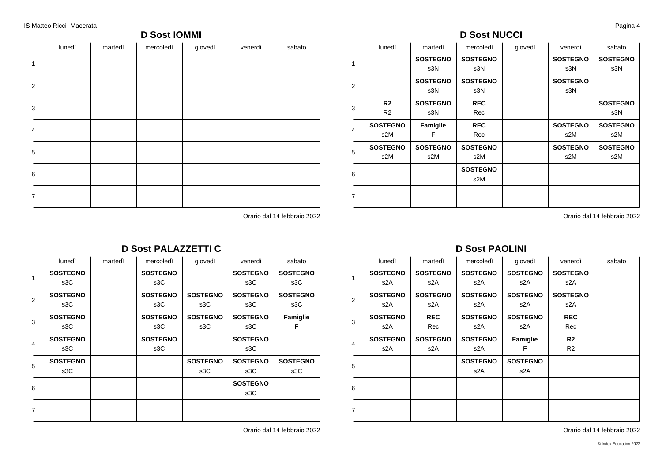### **D Sost IOMMI**

|                | lunedì | martedì | mercoledì | giovedì | venerdì | sabato |
|----------------|--------|---------|-----------|---------|---------|--------|
| $\mathbf{1}$   |        |         |           |         |         |        |
| $\sqrt{2}$     |        |         |           |         |         |        |
| $\mathsf 3$    |        |         |           |         |         |        |
| $\overline{4}$ |        |         |           |         |         |        |
| $\,$ 5 $\,$    |        |         |           |         |         |        |
| $\,6\,$        |        |         |           |         |         |        |
| $\overline{7}$ |        |         |           |         |         |        |

Orario dal 14 febbraio 2022

## **D Sost NUCCI**

|                | lunedì          | martedì         | mercoledì       | giovedì | venerdì         | sabato          |
|----------------|-----------------|-----------------|-----------------|---------|-----------------|-----------------|
| 1              |                 | <b>SOSTEGNO</b> | <b>SOSTEGNO</b> |         | <b>SOSTEGNO</b> | <b>SOSTEGNO</b> |
|                |                 | s3N             | s3N             |         | s3N             | s3N             |
| $\overline{2}$ |                 | <b>SOSTEGNO</b> | <b>SOSTEGNO</b> |         | <b>SOSTEGNO</b> |                 |
|                |                 | s3N             | s3N             |         | s3N             |                 |
| 3              | R2              | <b>SOSTEGNO</b> | <b>REC</b>      |         |                 | <b>SOSTEGNO</b> |
|                | R <sub>2</sub>  | s3N             | Rec             |         |                 | s3N             |
| 4              | <b>SOSTEGNO</b> | Famiglie        | <b>REC</b>      |         | <b>SOSTEGNO</b> | <b>SOSTEGNO</b> |
|                | s2M             | F               | Rec             |         | s2M             | s2M             |
| 5              | <b>SOSTEGNO</b> | <b>SOSTEGNO</b> | <b>SOSTEGNO</b> |         | <b>SOSTEGNO</b> | <b>SOSTEGNO</b> |
|                | s2M             | s2M             | s2M             |         | s2M             | s2M             |
| 6              |                 |                 | <b>SOSTEGNO</b> |         |                 |                 |
|                |                 |                 | s2M             |         |                 |                 |
| $\overline{7}$ |                 |                 |                 |         |                 |                 |
|                |                 |                 |                 |         |                 |                 |

Orario dal 14 febbraio 2022

|                | lunedì          | martedì | mercoledì       | giovedì         | venerdì         | sabato          |
|----------------|-----------------|---------|-----------------|-----------------|-----------------|-----------------|
| 1              | <b>SOSTEGNO</b> |         | <b>SOSTEGNO</b> |                 | <b>SOSTEGNO</b> | <b>SOSTEGNO</b> |
|                | s3C             |         | s3C             |                 | s3C             | s3C             |
| $\overline{2}$ | <b>SOSTEGNO</b> |         | <b>SOSTEGNO</b> | <b>SOSTEGNO</b> | <b>SOSTEGNO</b> | <b>SOSTEGNO</b> |
|                | s3C             |         | s3C             | s3C             | s3C             | s3C             |
| 3              | <b>SOSTEGNO</b> |         | <b>SOSTEGNO</b> | <b>SOSTEGNO</b> | <b>SOSTEGNO</b> | Famiglie        |
|                | s3C             |         | s3C             | s3C             | s3C             | F               |
| 4              | <b>SOSTEGNO</b> |         | <b>SOSTEGNO</b> |                 | <b>SOSTEGNO</b> |                 |
|                | s3C             |         | s3C             |                 | s3C             |                 |
| 5              | <b>SOSTEGNO</b> |         |                 | <b>SOSTEGNO</b> | <b>SOSTEGNO</b> | <b>SOSTEGNO</b> |
|                | s3C             |         |                 | s3C             | s3C             | s3C             |
| 6              |                 |         |                 |                 | <b>SOSTEGNO</b> |                 |
|                |                 |         |                 |                 | s3C             |                 |
| $\overline{7}$ |                 |         |                 |                 |                 |                 |
|                |                 |         |                 |                 |                 |                 |

### **D Sost PALAZZETTI C**

Orario dal 14 febbraio 2022

### **D Sost PAOLINI**

|                | lunedì          | martedì         | mercoledì        | qiovedì         | venerdì         | sabato |
|----------------|-----------------|-----------------|------------------|-----------------|-----------------|--------|
| 1              | <b>SOSTEGNO</b> | <b>SOSTEGNO</b> | <b>SOSTEGNO</b>  | <b>SOSTEGNO</b> | <b>SOSTEGNO</b> |        |
|                | s2A             | s2A             | s <sub>2</sub> A | s2A             | s2A             |        |
| 2              | <b>SOSTEGNO</b> | <b>SOSTEGNO</b> | <b>SOSTEGNO</b>  | <b>SOSTEGNO</b> | <b>SOSTEGNO</b> |        |
|                | s2A             | s2A             | s <sub>2</sub> A | s2A             | s2A             |        |
| 3              | <b>SOSTEGNO</b> | <b>REC</b>      | <b>SOSTEGNO</b>  | <b>SOSTEGNO</b> | <b>REC</b>      |        |
|                | s2A             | Rec             | s <sub>2</sub> A | s2A             | Rec             |        |
| $\overline{4}$ | <b>SOSTEGNO</b> | <b>SOSTEGNO</b> | <b>SOSTEGNO</b>  | Famiglie        | R <sub>2</sub>  |        |
|                | s2A             | s2A             | s <sub>2</sub> A | F               | R <sub>2</sub>  |        |
| 5              |                 |                 | <b>SOSTEGNO</b>  | <b>SOSTEGNO</b> |                 |        |
|                |                 |                 | s2A              | s2A             |                 |        |
| 6              |                 |                 |                  |                 |                 |        |
|                |                 |                 |                  |                 |                 |        |
| $\overline{7}$ |                 |                 |                  |                 |                 |        |
|                |                 |                 |                  |                 |                 |        |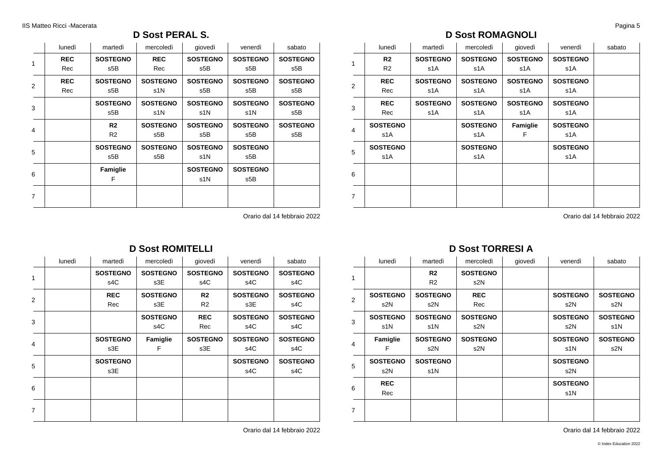### **D Sost PERAL S.**

|                | lunedì     | martedì         | mercoledì       | qiovedì         | venerdì         | sabato          |
|----------------|------------|-----------------|-----------------|-----------------|-----------------|-----------------|
| 1              | <b>REC</b> | <b>SOSTEGNO</b> | <b>REC</b>      | <b>SOSTEGNO</b> | <b>SOSTEGNO</b> | <b>SOSTEGNO</b> |
|                | Rec        | s5B             | Rec             | s5B             | s5B             | s5B             |
| 2              | <b>REC</b> | <b>SOSTEGNO</b> | <b>SOSTEGNO</b> | <b>SOSTEGNO</b> | <b>SOSTEGNO</b> | <b>SOSTEGNO</b> |
|                | Rec        | s5B             | s1N             | s5B             | s5B             | s5B             |
| 3              |            | <b>SOSTEGNO</b> | <b>SOSTEGNO</b> | <b>SOSTEGNO</b> | <b>SOSTEGNO</b> | <b>SOSTEGNO</b> |
|                |            | s5B             | s1N             | s1N             | s1N             | s5B             |
| 4              |            | R2              | <b>SOSTEGNO</b> | <b>SOSTEGNO</b> | <b>SOSTEGNO</b> | <b>SOSTEGNO</b> |
|                |            | R <sub>2</sub>  | s5B             | s5B             | s5B             | s5B             |
| 5              |            | <b>SOSTEGNO</b> | <b>SOSTEGNO</b> | <b>SOSTEGNO</b> | <b>SOSTEGNO</b> |                 |
|                |            | s5B             | s5B             | s1N             | s5B             |                 |
| 6              |            | Famiglie        |                 | <b>SOSTEGNO</b> | <b>SOSTEGNO</b> |                 |
|                |            | F               |                 | s1N             | s5B             |                 |
| $\overline{7}$ |            |                 |                 |                 |                 |                 |
|                |            |                 |                 |                 |                 |                 |

Orario dal 14 febbraio 2022

### **D Sost ROMITELLI**

|                | lunedì | martedì         | mercoledì       | giovedì         | venerdì         | sabato          |
|----------------|--------|-----------------|-----------------|-----------------|-----------------|-----------------|
| 1              |        | <b>SOSTEGNO</b> | <b>SOSTEGNO</b> | <b>SOSTEGNO</b> | <b>SOSTEGNO</b> | <b>SOSTEGNO</b> |
|                |        | s4C             | s3E             | s4C             | s4C             | s4C             |
| 2              |        | <b>REC</b>      | <b>SOSTEGNO</b> | R <sub>2</sub>  | <b>SOSTEGNO</b> | <b>SOSTEGNO</b> |
|                |        | Rec             | s3E             | R <sub>2</sub>  | s3E             | s4C             |
| 3              |        |                 | <b>SOSTEGNO</b> | <b>REC</b>      | <b>SOSTEGNO</b> | <b>SOSTEGNO</b> |
|                |        |                 | s4C             | Rec             | s4C             | s4C             |
| $\overline{4}$ |        | <b>SOSTEGNO</b> | Famiglie        | <b>SOSTEGNO</b> | <b>SOSTEGNO</b> | <b>SOSTEGNO</b> |
|                |        | s3E             | F               | s3E             | s4C             | s4C             |
| 5              |        | <b>SOSTEGNO</b> |                 |                 | <b>SOSTEGNO</b> | <b>SOSTEGNO</b> |
|                |        | s3E             |                 |                 | s4C             | s4C             |
| 6              |        |                 |                 |                 |                 |                 |
|                |        |                 |                 |                 |                 |                 |
| $\overline{7}$ |        |                 |                 |                 |                 |                 |
|                |        |                 |                 |                 |                 |                 |

Orario dal 14 febbraio 2022

### **D Sost ROMAGNOLI**

|                | lunedì          | martedì         | mercoledì       | giovedì         | venerdì         | sabato |
|----------------|-----------------|-----------------|-----------------|-----------------|-----------------|--------|
| 1              | R2              | <b>SOSTEGNO</b> | <b>SOSTEGNO</b> | <b>SOSTEGNO</b> | <b>SOSTEGNO</b> |        |
|                | R <sub>2</sub>  | s1A             | s1A             | s1A             | s1A             |        |
| 2              | <b>REC</b>      | <b>SOSTEGNO</b> | <b>SOSTEGNO</b> | <b>SOSTEGNO</b> | <b>SOSTEGNO</b> |        |
|                | Rec             | s1A             | s1A             | s1A             | s1A             |        |
| 3              | <b>REC</b>      | <b>SOSTEGNO</b> | <b>SOSTEGNO</b> | <b>SOSTEGNO</b> | <b>SOSTEGNO</b> |        |
|                | Rec             | s1A             | s1A             | s1A             | s1A             |        |
| $\overline{4}$ | <b>SOSTEGNO</b> |                 | <b>SOSTEGNO</b> | Famiglie        | <b>SOSTEGNO</b> |        |
|                | s1A             |                 | s1A             | F               | s1A             |        |
| 5              | <b>SOSTEGNO</b> |                 | <b>SOSTEGNO</b> |                 | <b>SOSTEGNO</b> |        |
|                | s1A             |                 | s1A             |                 | s1A             |        |
| 6              |                 |                 |                 |                 |                 |        |
|                |                 |                 |                 |                 |                 |        |
| $\overline{7}$ |                 |                 |                 |                 |                 |        |
|                |                 |                 |                 |                 |                 |        |

Orario dal 14 febbraio 2022

# **D Sost TORRESI A**

|                | lunedì          | martedì         | mercoledì       | giovedì | venerdì         | sabato          |
|----------------|-----------------|-----------------|-----------------|---------|-----------------|-----------------|
| 1              |                 | R <sub>2</sub>  | <b>SOSTEGNO</b> |         |                 |                 |
|                |                 | R2              | s2N             |         |                 |                 |
| 2              | <b>SOSTEGNO</b> | <b>SOSTEGNO</b> | <b>REC</b>      |         | <b>SOSTEGNO</b> | <b>SOSTEGNO</b> |
|                | s <sub>2N</sub> | s2N             | Rec             |         | s2N             | s2N             |
| 3              | <b>SOSTEGNO</b> | <b>SOSTEGNO</b> | <b>SOSTEGNO</b> |         | <b>SOSTEGNO</b> | <b>SOSTEGNO</b> |
|                | s1N             | s1N             | s2N             |         | s2N             | s1N             |
|                | Famiglie        | <b>SOSTEGNO</b> | <b>SOSTEGNO</b> |         | <b>SOSTEGNO</b> | <b>SOSTEGNO</b> |
| $\overline{4}$ | F               | s2N             | s2N             |         | s1N             | s2N             |
|                | <b>SOSTEGNO</b> | <b>SOSTEGNO</b> |                 |         | <b>SOSTEGNO</b> |                 |
| 5              | s <sub>2N</sub> | s1N             |                 |         | s2N             |                 |
|                | <b>REC</b>      |                 |                 |         | <b>SOSTEGNO</b> |                 |
| 6              | Rec             |                 |                 |         | s1N             |                 |
| $\overline{7}$ |                 |                 |                 |         |                 |                 |
|                |                 |                 |                 |         |                 |                 |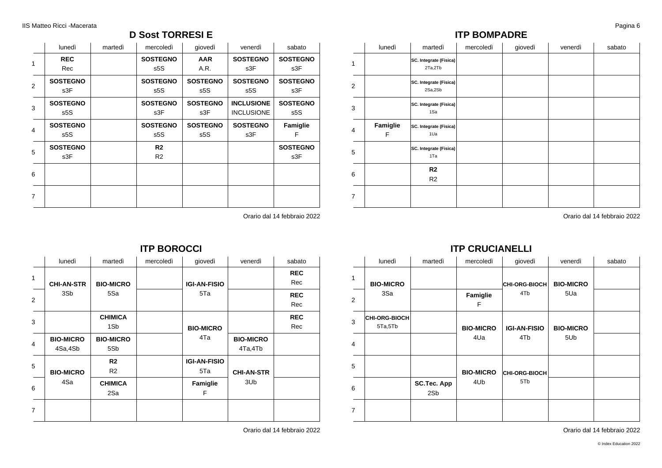### **D Sost TORRESI E**

|                | lunedì          | martedì | mercoledì       | giovedì         | venerdì           | sabato          |
|----------------|-----------------|---------|-----------------|-----------------|-------------------|-----------------|
| 1              | <b>REC</b>      |         | <b>SOSTEGNO</b> | <b>AAR</b>      | <b>SOSTEGNO</b>   | <b>SOSTEGNO</b> |
|                | Rec             |         | s5S             | A.R.            | s3F               | s3F             |
| 2              | <b>SOSTEGNO</b> |         | <b>SOSTEGNO</b> | <b>SOSTEGNO</b> | <b>SOSTEGNO</b>   | <b>SOSTEGNO</b> |
|                | s3F             |         | s5S             | s5S             | s5S               | s3F             |
| 3              | <b>SOSTEGNO</b> |         | <b>SOSTEGNO</b> | <b>SOSTEGNO</b> | <b>INCLUSIONE</b> | <b>SOSTEGNO</b> |
|                | s5S             |         | s3F             | s3F             | <b>INCLUSIONE</b> | s5S             |
| $\overline{4}$ | <b>SOSTEGNO</b> |         | <b>SOSTEGNO</b> | <b>SOSTEGNO</b> | <b>SOSTEGNO</b>   | Famiglie        |
|                | s5S             |         | s5S             | s5S             | s3F               | F               |
| 5              | <b>SOSTEGNO</b> |         | R <sub>2</sub>  |                 |                   | <b>SOSTEGNO</b> |
|                | s3F             |         | R <sub>2</sub>  |                 |                   | s3F             |
| 6              |                 |         |                 |                 |                   |                 |
|                |                 |         |                 |                 |                   |                 |
| 7              |                 |         |                 |                 |                   |                 |
|                |                 |         |                 |                 |                   |                 |

Orario dal 14 febbraio 2022

### **ITP BOROCCI**

| lunedì            | martedì          | mercoledì | giovedì                 | venerdì           | sabato     |
|-------------------|------------------|-----------|-------------------------|-------------------|------------|
|                   |                  |           |                         |                   | <b>REC</b> |
| <b>CHI-AN-STR</b> | <b>BIO-MICRO</b> |           | <b>IGI-AN-FISIO</b>     |                   | Rec        |
| 3Sb               | 5Sa              |           | 5Ta                     |                   | <b>REC</b> |
|                   |                  |           |                         |                   | Rec        |
|                   | <b>CHIMICA</b>   |           | <b>BIO-MICRO</b><br>4Ta |                   | <b>REC</b> |
|                   | 1S <sub>b</sub>  |           |                         |                   | Rec        |
| <b>BIO-MICRO</b>  | <b>BIO-MICRO</b> |           |                         | <b>BIO-MICRO</b>  |            |
| 4Sa,4Sb           | 5Sb              |           |                         | 4Ta,4Tb           |            |
|                   | R <sub>2</sub>   |           | <b>IGI-AN-FISIO</b>     |                   |            |
| <b>BIO-MICRO</b>  | R <sub>2</sub>   |           | 5Ta                     | <b>CHI-AN-STR</b> |            |
| 4Sa               | <b>CHIMICA</b>   |           | Famiglie                | 3Ub               |            |
|                   | 2Sa              |           | F                       |                   |            |
|                   |                  |           |                         |                   |            |
|                   |                  |           |                         |                   |            |

Orario dal 14 febbraio 2022

### **ITP BOMPADRE**

|                | lunedì        | martedì                           | mercoledì | giovedì | venerdì | sabato |
|----------------|---------------|-----------------------------------|-----------|---------|---------|--------|
| 1              |               | SC. Integrate (Fisica)<br>2Ta,2Tb |           |         |         |        |
| 2              |               | SC. Integrate (Fisica)<br>2Sa,2Sb |           |         |         |        |
| 3              |               | SC. Integrate (Fisica)<br>1Sa     |           |         |         |        |
| 4              | Famiglie<br>F | SC. Integrate (Fisica)<br>1Ua     |           |         |         |        |
| 5              |               | SC. Integrate (Fisica)<br>1Ta     |           |         |         |        |
| 6              |               | R <sub>2</sub><br>R <sub>2</sub>  |           |         |         |        |
| $\overline{7}$ |               |                                   |           |         |         |        |

Orario dal 14 febbraio 2022

### **ITP CRUCIANELLI**

|                | lunedì                   | martedì            | mercoledì        | giovedì             | venerdì          | sabato |
|----------------|--------------------------|--------------------|------------------|---------------------|------------------|--------|
| $\mathbf{1}$   | <b>BIO-MICRO</b>         |                    |                  | CHI-ORG-BIOCH       | <b>BIO-MICRO</b> |        |
| 2              | 3Sa                      |                    | Famiglie<br>F    | 4Tb                 | 5Ua              |        |
| 3              | CHI-ORG-BIOCH<br>5Ta,5Tb |                    | <b>BIO-MICRO</b> | <b>IGI-AN-FISIO</b> | <b>BIO-MICRO</b> |        |
| $\overline{4}$ |                          |                    | 4Ua              | 4T <sub>b</sub>     | 5U <sub>b</sub>  |        |
| 5              |                          |                    | <b>BIO-MICRO</b> | CHI-ORG-BIOCH       |                  |        |
| 6              |                          | SC.Tec. App<br>2Sb | 4U <sub>b</sub>  | 5T <sub>b</sub>     |                  |        |
| $\overline{7}$ |                          |                    |                  |                     |                  |        |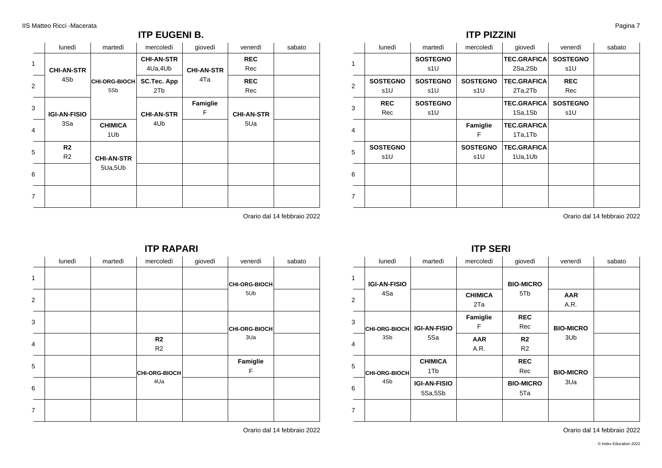### **ITP EUGENI B.**

|                | lunedì                           | martedì               | mercoledì                      | giovedì           | venerdì           | sabato |
|----------------|----------------------------------|-----------------------|--------------------------------|-------------------|-------------------|--------|
| $\mathbf{1}$   | <b>CHI-AN-STR</b>                |                       | <b>CHI-AN-STR</b><br>4Ua, 4Ub  | <b>CHI-AN-STR</b> | <b>REC</b><br>Rec |        |
| 2              | 4Sb                              | CHI-ORG-BIOCH<br>5Sb  | SC.Tec. App<br>2T <sub>b</sub> | 4Ta               | <b>REC</b><br>Rec |        |
| 3              | <b>IGI-AN-FISIO</b>              |                       | <b>CHI-AN-STR</b>              | Famiglie<br>F     | <b>CHI-AN-STR</b> |        |
| 4              | 3Sa                              | <b>CHIMICA</b><br>1Ub | 4U <sub>b</sub>                |                   | 5Ua               |        |
| 5              | R <sub>2</sub><br>R <sub>2</sub> | <b>CHI-AN-STR</b>     |                                |                   |                   |        |
| 6              |                                  | 5Ua,5Ub               |                                |                   |                   |        |
| $\overline{7}$ |                                  |                       |                                |                   |                   |        |

Orario dal 14 febbraio 2022

### **ITP PIZZINI**

|   | lunedì          | martedì         | mercoledì       | giovedì            | venerdì         | sabato |
|---|-----------------|-----------------|-----------------|--------------------|-----------------|--------|
| 1 |                 | <b>SOSTEGNO</b> |                 | <b>TEC.GRAFICA</b> | <b>SOSTEGNO</b> |        |
|   |                 | s1U             |                 | 2Sa,2Sb            | s1U             |        |
| 2 | <b>SOSTEGNO</b> | <b>SOSTEGNO</b> | <b>SOSTEGNO</b> | <b>TEC.GRAFICA</b> | <b>REC</b>      |        |
|   | s1U             | s1U             | s1U             | 2Ta,2Tb            | Rec             |        |
| 3 | <b>REC</b>      | <b>SOSTEGNO</b> |                 | <b>TEC.GRAFICA</b> | <b>SOSTEGNO</b> |        |
|   | Rec             | s1U             |                 | 1Sa,1Sb            | s1U             |        |
| 4 |                 |                 | Famiglie        | <b>TEC.GRAFICA</b> |                 |        |
|   |                 |                 | F               | 1Ta,1Tb            |                 |        |
| 5 | <b>SOSTEGNO</b> |                 | <b>SOSTEGNO</b> | <b>TEC.GRAFICA</b> |                 |        |
|   | s1U             |                 | s1U             | 1Ua,1Ub            |                 |        |
| 6 |                 |                 |                 |                    |                 |        |
|   |                 |                 |                 |                    |                 |        |
| 7 |                 |                 |                 |                    |                 |        |
|   |                 |                 |                 |                    |                 |        |

Orario dal 14 febbraio 2022

### **ITP SERI**

|                | lunedì               | martedì             | mercoledì      | giovedì          | venerdì          | sabato |
|----------------|----------------------|---------------------|----------------|------------------|------------------|--------|
| 1              |                      |                     |                |                  |                  |        |
|                | <b>IGI-AN-FISIO</b>  |                     |                | <b>BIO-MICRO</b> |                  |        |
| 2              | 4Sa                  |                     | <b>CHIMICA</b> | 5Tb              | <b>AAR</b>       |        |
|                |                      |                     | 2Ta            |                  | A.R.             |        |
| 3              |                      |                     | Famiglie       | <b>REC</b>       |                  |        |
|                | CHI-ORG-BIOCH        | <b>IGI-AN-FISIO</b> | F              | Rec              | <b>BIO-MICRO</b> |        |
|                | 3Sb                  | 5Sa                 | <b>AAR</b>     | R <sub>2</sub>   | 3U <sub>b</sub>  |        |
| $\overline{4}$ |                      |                     | A.R.           | R <sub>2</sub>   |                  |        |
|                |                      | <b>CHIMICA</b>      |                | <b>REC</b>       |                  |        |
| 5              | <b>CHI-ORG-BIOCH</b> | 1Tb                 |                | Rec              | <b>BIO-MICRO</b> |        |
|                | 4Sb                  | <b>IGI-AN-FISIO</b> |                | <b>BIO-MICRO</b> | 3Ua              |        |
| 6              |                      | 5Sa,5Sb             |                | 5Ta              |                  |        |
| $\overline{7}$ |                      |                     |                |                  |                  |        |
|                |                      |                     |                |                  |                  |        |

Orario dal 14 febbraio 2022

|   | lunedì | martedì | mercoledì                        | giovedì | venerdì         | sabato |
|---|--------|---------|----------------------------------|---------|-----------------|--------|
| 1 |        |         |                                  |         | CHI-ORG-BIOCH   |        |
| 2 |        |         |                                  |         | 5U <sub>b</sub> |        |
| 3 |        |         |                                  |         | CHI-ORG-BIOCH   |        |
| 4 |        |         | R <sub>2</sub><br>R <sub>2</sub> |         | 3Ua             |        |
| 5 |        |         | <b>CHI-ORG-BIOCH</b>             |         | Famiglie<br>F   |        |
| 6 |        |         | 4Ua                              |         |                 |        |
| 7 |        |         |                                  |         |                 |        |

**ITP RAPARI**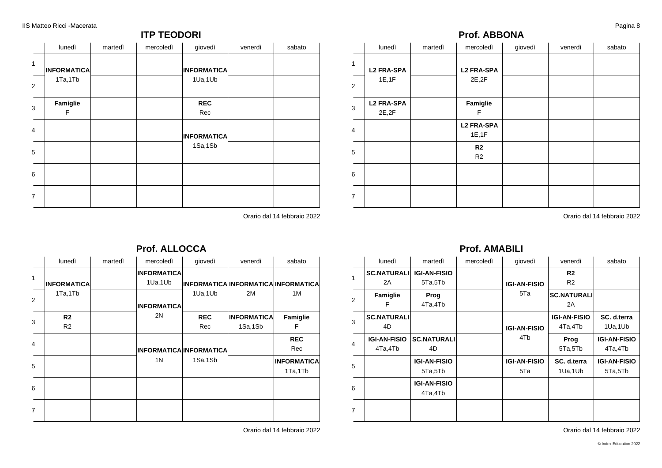### **ITP TEODORI**

|                | lunedì             | martedì | mercoledì | giovedì            | venerdì | sabato |
|----------------|--------------------|---------|-----------|--------------------|---------|--------|
| $\mathbf{1}$   | <b>INFORMATICA</b> |         |           | <b>INFORMATICA</b> |         |        |
| 2              | 1Ta,1Tb            |         |           | 1Ua,1Ub            |         |        |
| 3              | Famiglie<br>F      |         |           | <b>REC</b><br>Rec  |         |        |
| $\overline{4}$ |                    |         |           | <b>INFORMATICA</b> |         |        |
| 5              |                    |         |           | 1Sa,1Sb            |         |        |
| 6              |                    |         |           |                    |         |        |
| $\overline{7}$ |                    |         |           |                    |         |        |

Orario dal 14 febbraio 2022

### 4

|                   |                             |         | Prof. ABBONA                |         |         | ູ<br>. |
|-------------------|-----------------------------|---------|-----------------------------|---------|---------|--------|
|                   | lunedì                      | martedì | mercoledì                   | giovedì | venerdì | sabato |
| $\mathbf{1}$<br>2 | <b>L2 FRA-SPA</b><br>1E, 1F |         | <b>L2 FRA-SPA</b><br>2E, 2F |         |         |        |
| 3                 | <b>L2 FRA-SPA</b><br>2E, 2F |         | Famiglie<br>F               |         |         |        |
| $\overline{4}$    |                             |         | <b>L2 FRA-SPA</b><br>1E, 1F |         |         |        |
| 5                 |                             |         | R <sub>2</sub><br>R2        |         |         |        |
| 6                 |                             |         |                             |         |         |        |
| $\overline{7}$    |                             |         |                             |         |         |        |

Orario dal 14 febbraio 2022

### **Prof. ALLOCCA**

|   | lunedì             | martedì | mercoledì          | giovedì                                    | venerdì            | sabato             |
|---|--------------------|---------|--------------------|--------------------------------------------|--------------------|--------------------|
| 1 |                    |         | <b>INFORMATICA</b> |                                            |                    |                    |
|   | <b>INFORMATICA</b> |         | 1Ua,1Ub            | <b>INFORMATICA INFORMATICA INFORMATICA</b> |                    |                    |
| 2 | 1Ta,1Tb            |         |                    | 1Ua,1Ub                                    | 2M                 | 1M                 |
|   |                    |         | <b>INFORMATICA</b> |                                            |                    |                    |
| 3 | R <sub>2</sub>     |         | 2N                 | <b>REC</b>                                 | <b>INFORMATICA</b> | Famiglie           |
|   | R <sub>2</sub>     |         |                    | Rec                                        | 1Sa,1Sb            | F                  |
| 4 |                    |         |                    |                                            |                    | <b>REC</b>         |
|   |                    |         |                    | <b>INFORMATICA INFORMATICA</b>             |                    | Rec                |
|   |                    |         | 1N                 | 1Sa,1Sb                                    |                    | <b>INFORMATICA</b> |
| 5 |                    |         |                    |                                            |                    | 1Ta,1Tb            |
| 6 |                    |         |                    |                                            |                    |                    |
|   |                    |         |                    |                                            |                    |                    |
| 7 |                    |         |                    |                                            |                    |                    |
|   |                    |         |                    |                                            |                    |                    |

Orario dal 14 febbraio 2022

### **Prof. AMABILI**

|                | lunedì              | martedì             | mercoledì | giovedì             | venerdì             | sabato              |
|----------------|---------------------|---------------------|-----------|---------------------|---------------------|---------------------|
| $\mathbf{1}$   | <b>SC.NATURALI</b>  | <b>IGI-AN-FISIO</b> |           |                     | R <sub>2</sub>      |                     |
|                | 2A                  | 5Ta,5Tb             |           | <b>IGI-AN-FISIO</b> | R <sub>2</sub>      |                     |
|                | Famiglie            | Prog                |           | 5Ta                 | <b>SC.NATURALI</b>  |                     |
| $\overline{2}$ | F                   | 4Ta,4Tb             |           |                     | 2A                  |                     |
| 3              | <b>SC.NATURALI</b>  |                     |           |                     | <b>IGI-AN-FISIO</b> | SC. d.terra         |
|                | 4D                  |                     |           | <b>IGI-AN-FISIO</b> | 4Ta,4Tb             | 1Ua,1Ub             |
|                | <b>IGI-AN-FISIO</b> | <b>SC.NATURALI</b>  |           | 4Tb                 | Prog                | <b>IGI-AN-FISIO</b> |
| $\overline{4}$ | 4Ta,4Tb             | 4D                  |           |                     | 5Ta,5Tb             | 4Ta,4Tb             |
|                |                     | <b>IGI-AN-FISIO</b> |           | <b>IGI-AN-FISIO</b> | SC. d.terra         | <b>IGI-AN-FISIO</b> |
| 5              |                     | 5Ta,5Tb             |           | 5Ta                 | 1Ua,1Ub             | 5Ta,5Tb             |
| 6              |                     | <b>IGI-AN-FISIO</b> |           |                     |                     |                     |
|                |                     | 4Ta,4Tb             |           |                     |                     |                     |
| $\overline{7}$ |                     |                     |           |                     |                     |                     |
|                |                     |                     |           |                     |                     |                     |

Orario dal 14 febbraio 2022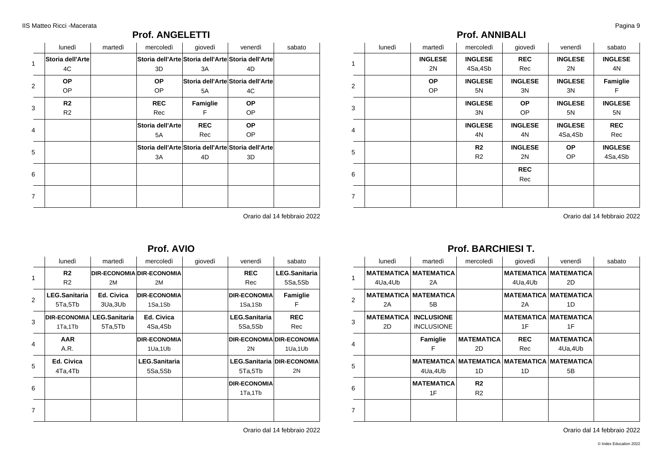### **Prof. ANGELETTI**

|              | lunedì           | martedì | mercoledì        | giovedì    | venerdì                                            | sabato |
|--------------|------------------|---------|------------------|------------|----------------------------------------------------|--------|
| $\mathbf{1}$ | Storia dell'Arte |         |                  |            | Storia dell'Arte Storia dell'Arte Storia dell'Arte |        |
|              | 4C               |         | 3D               | 3A         | 4D                                                 |        |
| 2            | <b>OP</b>        |         | <b>OP</b>        |            | Storia dell'Arte Storia dell'Arte                  |        |
|              | OP.              |         | OP               | 5A         | 4C                                                 |        |
| 3            | R <sub>2</sub>   |         | <b>REC</b>       | Famiglie   | <b>OP</b>                                          |        |
|              | R <sub>2</sub>   |         | Rec              | F          | OP                                                 |        |
| 4            |                  |         | Storia dell'Arte | <b>REC</b> | OP.                                                |        |
|              |                  |         | 5A               | Rec        | OP.                                                |        |
| 5            |                  |         |                  |            | Storia dell'Arte Storia dell'Arte Storia dell'Arte |        |
|              |                  |         | 3A               | 4D         | 3D                                                 |        |
| 6            |                  |         |                  |            |                                                    |        |
|              |                  |         |                  |            |                                                    |        |
| 7            |                  |         |                  |            |                                                    |        |
|              |                  |         |                  |            |                                                    |        |

Orario dal 14 febbraio 2022

### **Prof. AVIO**

|                | lunedì               | martedì                    | mercoledì                        | giovedì | venerdì              | sabato                     |
|----------------|----------------------|----------------------------|----------------------------------|---------|----------------------|----------------------------|
| 1              | R <sub>2</sub>       |                            | <b>DIR-ECONOMIA DIR-ECONOMIA</b> |         | <b>REC</b>           | <b>LEG.Sanitaria</b>       |
|                | R <sub>2</sub>       | 2M                         | 2M                               |         | Rec                  | 5Sa,5Sb                    |
| $\overline{2}$ | <b>LEG.Sanitaria</b> | Ed. Civica                 | <b>DIR-ECONOMIA</b>              |         | <b>DIR-ECONOMIA</b>  | Famiglie                   |
|                | 5Ta,5Tb              | 3Ua, 3Ub                   | 1Sa,1Sb                          |         | 1Sa,1Sb              | F                          |
| 3              |                      | DIR-ECONOMIA LEG.Sanitaria | Ed. Civica                       |         | <b>LEG.Sanitaria</b> | <b>REC</b>                 |
|                | 1Ta,1Tb              | 5Ta,5Tb                    | 4Sa,4Sb                          |         | 5Sa,5Sb              | Rec                        |
| 4              | <b>AAR</b>           |                            | <b>DIR-ECONOMIA</b>              |         |                      | DIR-ECONOMIA DIR-ECONOMIA  |
|                | A.R.                 |                            | 1Ua,1Ub                          |         | 2N                   | 1Ua,1Ub                    |
| 5              | Ed. Civica           |                            | <b>LEG.Sanitaria</b>             |         |                      | LEG.Sanitaria DIR-ECONOMIA |
|                | 4Ta,4Tb              |                            | 5Sa,5Sb                          |         | 5Ta,5Tb              | 2N                         |
| 6              |                      |                            |                                  |         | <b>DIR-ECONOMIA</b>  |                            |
|                |                      |                            |                                  |         | 1Ta,1Tb              |                            |
|                |                      |                            |                                  |         |                      |                            |
| 7              |                      |                            |                                  |         |                      |                            |

Orario dal 14 febbraio 2022

### **Prof. ANNIBALI**

|                | lunedì | martedì        | mercoledì      | giovedì        | venerdì        | sabato         |
|----------------|--------|----------------|----------------|----------------|----------------|----------------|
| $\mathbf{1}$   |        | <b>INGLESE</b> | <b>INGLESE</b> | <b>REC</b>     | <b>INGLESE</b> | <b>INGLESE</b> |
|                |        | 2N             | 4Sa,4Sb        | Rec            | 2N             | 4N             |
| 2              |        | <b>OP</b>      | <b>INGLESE</b> | <b>INGLESE</b> | <b>INGLESE</b> | Famiglie       |
|                |        | OP.            | 5N             | 3N             | 3N             | F              |
| 3              |        |                | <b>INGLESE</b> | <b>OP</b>      | <b>INGLESE</b> | <b>INGLESE</b> |
|                |        |                | 3N             | <b>OP</b>      | 5N             | 5N             |
| 4              |        |                | <b>INGLESE</b> | <b>INGLESE</b> | <b>INGLESE</b> | <b>REC</b>     |
|                |        |                | 4N             | 4N             | 4Sa,4Sb        | Rec            |
| 5              |        |                | R <sub>2</sub> | <b>INGLESE</b> | <b>OP</b>      | <b>INGLESE</b> |
|                |        |                | R <sub>2</sub> | 2N             | OP             | 4Sa,4Sb        |
|                |        |                |                | <b>REC</b>     |                |                |
| 6              |        |                |                | Rec            |                |                |
| $\overline{7}$ |        |                |                |                |                |                |

Orario dal 14 febbraio 2022

### **Prof. BARCHIESI T.**

|                | lunedì            | martedì                      | mercoledì                                   | giovedì    | venerdì                      | sabato |
|----------------|-------------------|------------------------------|---------------------------------------------|------------|------------------------------|--------|
| 1              |                   | <b>MATEMATICA MATEMATICA</b> |                                             |            | <b>MATEMATICA MATEMATICA</b> |        |
|                | 4Ua,4Ub           | 2A                           |                                             | 4Ua,4Ub    | 2D                           |        |
| $\overline{2}$ |                   | <b>MATEMATICA MATEMATICA</b> |                                             |            | <b>MATEMATICA MATEMATICA</b> |        |
|                | 2A                | 5B                           |                                             | 2A         | 1D                           |        |
|                | <b>MATEMATICA</b> | <b>INCLUSIONE</b>            |                                             |            | <b>MATEMATICA MATEMATICA</b> |        |
| 3              | 2D                | <b>INCLUSIONE</b>            |                                             | 1F         | 1F                           |        |
|                |                   | Famiglie                     | <b>MATEMATICA</b>                           | <b>REC</b> | <b>MATEMATICA</b>            |        |
| 4              |                   | F                            | 2D                                          | Rec        | 4Ua,4Ub                      |        |
|                |                   |                              | MATEMATICA MATEMATICA MATEMATICA MATEMATICA |            |                              |        |
| 5              |                   | 4Ua,4Ub                      | 1D                                          | 1D         | 5B                           |        |
| 6              |                   | <b>MATEMATICA</b>            | R <sub>2</sub>                              |            |                              |        |
|                |                   | 1F                           | R <sub>2</sub>                              |            |                              |        |
| $\overline{7}$ |                   |                              |                                             |            |                              |        |
|                |                   |                              |                                             |            |                              |        |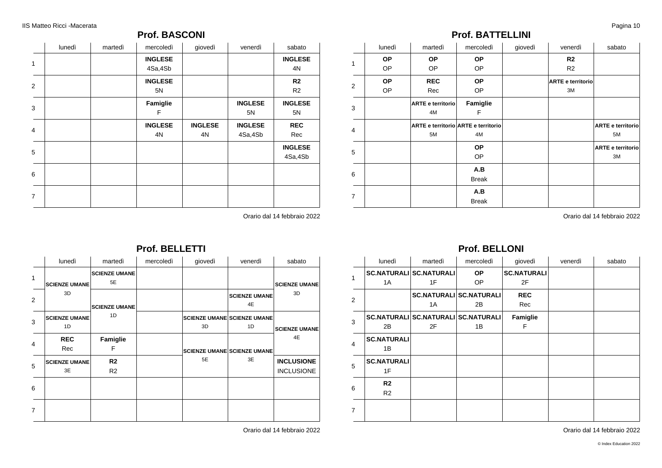### **Prof. BASCONI**

|                | lunedì | martedì | mercoledì            | giovedì              | venerdì                   | sabato                           |
|----------------|--------|---------|----------------------|----------------------|---------------------------|----------------------------------|
| 1              |        |         | <b>INGLESE</b>       |                      |                           | <b>INGLESE</b>                   |
|                |        |         | 4Sa,4Sb              |                      |                           | 4N                               |
| 2              |        |         | <b>INGLESE</b><br>5N |                      |                           | R <sub>2</sub><br>R <sub>2</sub> |
| 3              |        |         | Famiglie<br>F        |                      | <b>INGLESE</b><br>5N      | <b>INGLESE</b><br>5N             |
| $\overline{4}$ |        |         | <b>INGLESE</b><br>4N | <b>INGLESE</b><br>4N | <b>INGLESE</b><br>4Sa,4Sb | <b>REC</b><br>Rec                |
| 5              |        |         |                      |                      |                           | <b>INGLESE</b><br>4Sa,4Sb        |
| 6              |        |         |                      |                      |                           |                                  |
| $\overline{7}$ |        |         |                      |                      |                           |                                  |

Orario dal 14 febbraio 2022

|                |                            |                            | <b>Prof. BELLETTI</b> |         |                                          |                            |
|----------------|----------------------------|----------------------------|-----------------------|---------|------------------------------------------|----------------------------|
|                | lunedì                     | martedì                    | mercoledì             | giovedì | venerdì                                  | sabato                     |
| 1              | <b>SCIENZE UMANE</b>       | <b>SCIENZE UMANE</b><br>5E |                       |         |                                          | <b>SCIENZE UMANE</b>       |
| $\overline{2}$ | 3D                         | <b>SCIENZE UMANE</b>       |                       |         | <b>SCIENZE UMANE</b><br>4E               | 3D                         |
| 3              | <b>SCIENZE UMANE</b><br>1D | 1D                         |                       | 3D      | <b>SCIENZE UMANE SCIENZE UMANE</b><br>1D | <b>SCIENZE UMANE</b><br>4E |
| 4              | <b>REC</b><br>Rec          | Famiglie<br>F              |                       |         | <b>SCIENZE UMANE SCIENZE UMANE</b>       |                            |
| 5              | <b>SCIENZE UMANE</b>       | R <sub>2</sub>             |                       | 5E      | 3E                                       | <b>INCLUSIONE</b>          |
|                | 3E                         | R <sub>2</sub>             |                       |         |                                          | <b>INCLUSIONE</b>          |
| 6              |                            |                            |                       |         |                                          |                            |
| 7              |                            |                            |                       |         |                                          |                            |

Orario dal 14 febbraio 2022

### **Prof. BATTELLINI**

|                | lunedì    | martedì           | mercoledì                           | giovedì | venerdì                  | sabato                   |
|----------------|-----------|-------------------|-------------------------------------|---------|--------------------------|--------------------------|
| 1              | <b>OP</b> | <b>OP</b>         | <b>OP</b>                           |         | R <sub>2</sub>           |                          |
|                | OP        | OP                | OP                                  |         | R <sub>2</sub>           |                          |
|                | <b>OP</b> | <b>REC</b>        | <b>OP</b>                           |         | <b>ARTE e territorio</b> |                          |
| 2              | OP        | Rec               | OP                                  |         | ЗM                       |                          |
| 3              |           | ARTE e territorio | Famiglie                            |         |                          |                          |
|                |           | 4M                | F                                   |         |                          |                          |
| $\overline{4}$ |           |                   | ARTE e territorio ARTE e territorio |         |                          | <b>ARTE e territorio</b> |
|                |           | 5M                | 4M                                  |         |                          | 5M                       |
|                |           |                   | <b>OP</b>                           |         |                          | <b>ARTE e territorio</b> |
| 5              |           |                   | <b>OP</b>                           |         |                          | ЗM                       |
|                |           |                   | A.B                                 |         |                          |                          |
| 6              |           |                   | <b>Break</b>                        |         |                          |                          |
|                |           |                   | A.B                                 |         |                          |                          |
| $\overline{7}$ |           |                   | <b>Break</b>                        |         |                          |                          |

Orario dal 14 febbraio 2022

### **Prof. BELLONI**

|                | lunedì             | martedì                             | mercoledì                      | giovedì            | venerdì | sabato |
|----------------|--------------------|-------------------------------------|--------------------------------|--------------------|---------|--------|
| 1              |                    | <b>SC.NATURALI SC.NATURALI</b>      | <b>OP</b>                      | <b>SC.NATURALI</b> |         |        |
|                | 1A                 | 1F                                  | <b>OP</b>                      | 2F                 |         |        |
| 2              |                    |                                     | <b>SC.NATURALI SC.NATURALI</b> | <b>REC</b>         |         |        |
|                |                    | 1A                                  | 2B                             | Rec                |         |        |
| 3              |                    | SC.NATURALI SC.NATURALI SC.NATURALI |                                | Famiglie           |         |        |
|                | 2B                 | 2F                                  | 1B                             | F                  |         |        |
| 4              | <b>SC.NATURALI</b> |                                     |                                |                    |         |        |
|                | 1B                 |                                     |                                |                    |         |        |
| 5              | <b>SC.NATURALI</b> |                                     |                                |                    |         |        |
|                | 1F                 |                                     |                                |                    |         |        |
| 6              | R2                 |                                     |                                |                    |         |        |
|                | R <sub>2</sub>     |                                     |                                |                    |         |        |
| $\overline{7}$ |                    |                                     |                                |                    |         |        |
|                |                    |                                     |                                |                    |         |        |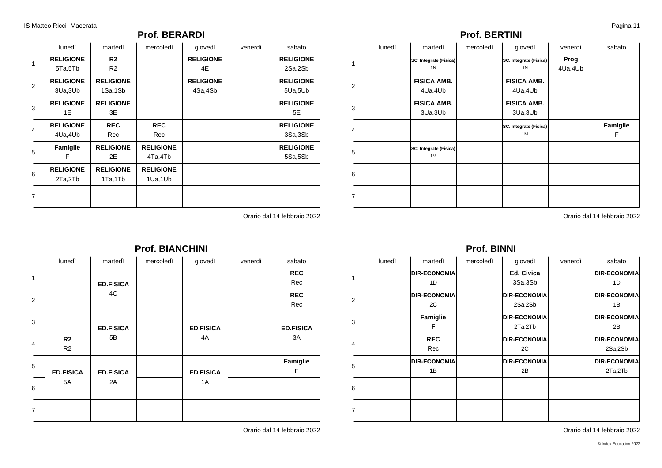### **Prof. BERARDI**

|                | lunedì           | martedì          | mercoledì        | giovedì          | venerdì | sabato           |
|----------------|------------------|------------------|------------------|------------------|---------|------------------|
| $\mathbf{1}$   | <b>RELIGIONE</b> | R2               |                  | <b>RELIGIONE</b> |         | <b>RELIGIONE</b> |
|                | 5Ta,5Tb          | R <sub>2</sub>   |                  | 4E               |         | 2Sa,2Sb          |
| 2              | <b>RELIGIONE</b> | <b>RELIGIONE</b> |                  | <b>RELIGIONE</b> |         | <b>RELIGIONE</b> |
|                | 3Ua, 3Ub         | 1Sa,1Sb          |                  | 4Sa,4Sb          |         | 5Ua,5Ub          |
| 3              | <b>RELIGIONE</b> | <b>RELIGIONE</b> |                  |                  |         | <b>RELIGIONE</b> |
|                | 1E               | 3E               |                  |                  |         | 5E               |
| $\overline{4}$ | <b>RELIGIONE</b> | <b>REC</b>       | <b>REC</b>       |                  |         | <b>RELIGIONE</b> |
|                | 4Ua,4Ub          | Rec              | Rec              |                  |         | 3Sa,3Sb          |
| 5              | Famiglie         | <b>RELIGIONE</b> | <b>RELIGIONE</b> |                  |         | <b>RELIGIONE</b> |
|                | F                | 2E               | 4Ta,4Tb          |                  |         | 5Sa,5Sb          |
|                | <b>RELIGIONE</b> | <b>RELIGIONE</b> | <b>RELIGIONE</b> |                  |         |                  |
| 6              | 2Ta,2Tb          | 1Ta,1Tb          | 1Ua,1Ub          |                  |         |                  |
|                |                  |                  |                  |                  |         |                  |
| 7              |                  |                  |                  |                  |         |                  |

Orario dal 14 febbraio 2022

| lunedì | martedì                                  | mercoledì | giovedì                                  | venerdì         | sabato |
|--------|------------------------------------------|-----------|------------------------------------------|-----------------|--------|
|        | SC. Integrate (Fisica)<br>1 <sub>N</sub> |           | SC. Integrate (Fisica)<br>1 <sup>N</sup> | Prog<br>4Ua,4Ub |        |
|        | <b>FISICA AMR</b>                        |           | <b>FISICA AMR</b>                        |                 |        |

**Prof. BERTINI**

| 1              | <b>SC. Integrate (Fisica)</b><br>1 <sup>N</sup> | SC. Integrate (Fisica)<br>1 <sub>N</sub> | Prog<br>4Ua,4Ub |               |
|----------------|-------------------------------------------------|------------------------------------------|-----------------|---------------|
| 2              | <b>FISICA AMB.</b><br>4Ua,4Ub                   | <b>FISICA AMB.</b><br>4Ua,4Ub            |                 |               |
| 3              | <b>FISICA AMB.</b><br>3Ua, 3Ub                  | <b>FISICA AMB.</b><br>3Ua, 3Ub           |                 |               |
| $\overline{4}$ |                                                 | SC. Integrate (Fisica)<br>1M             |                 | Famiglie<br>F |
| 5              | SC. Integrate (Fisica)<br>1M                    |                                          |                 |               |
| 6              |                                                 |                                          |                 |               |
| $\overline{7}$ |                                                 |                                          |                 |               |

Orario dal 14 febbraio 2022

### **Prof. BINNI**

|                | lunedì | martedì             | mercoledì | giovedì             | venerdì | sabato              |
|----------------|--------|---------------------|-----------|---------------------|---------|---------------------|
| 1              |        | <b>DIR-ECONOMIA</b> |           | <b>Ed. Civica</b>   |         | <b>DIR-ECONOMIA</b> |
|                |        | 1D                  |           | 3Sa,3Sb             |         | 1D                  |
| 2              |        | <b>DIR-ECONOMIA</b> |           | <b>DIR-ECONOMIA</b> |         | <b>DIR-ECONOMIA</b> |
|                |        | 2C                  |           | 2Sa,2Sb             |         | 1B                  |
| 3              |        | Famiglie            |           | <b>DIR-ECONOMIA</b> |         | <b>DIR-ECONOMIA</b> |
|                |        | F                   |           | 2Ta,2Tb             |         | 2B                  |
|                |        | <b>REC</b>          |           | <b>DIR-ECONOMIA</b> |         | <b>DIR-ECONOMIA</b> |
| $\overline{4}$ |        | Rec                 |           | 2C                  |         | 2Sa,2Sb             |
| 5              |        | <b>DIR-ECONOMIA</b> |           | <b>DIR-ECONOMIA</b> |         | <b>DIR-ECONOMIA</b> |
|                |        | 1B                  |           | 2B                  |         | 2Ta,2Tb             |
| 6              |        |                     |           |                     |         |                     |
|                |        |                     |           |                     |         |                     |
| 7              |        |                     |           |                     |         |                     |
|                |        |                     |           |                     |         |                     |

Orario dal 14 febbraio 2022

| lunedì                           | martedì          | mercoledì | giovedì          | venerdì | sabato            |
|----------------------------------|------------------|-----------|------------------|---------|-------------------|
|                                  | <b>ED.FISICA</b> |           |                  |         | <b>REC</b><br>Rec |
|                                  | 4C               |           |                  |         | <b>REC</b><br>Rec |
|                                  | <b>ED.FISICA</b> |           | <b>ED.FISICA</b> |         | <b>ED.FISICA</b>  |
| R <sub>2</sub><br>R <sub>2</sub> | 5B               |           | 4A               |         | 3A                |
| <b>ED.FISICA</b>                 | <b>ED.FISICA</b> |           | <b>ED.FISICA</b> |         | Famiglie<br>F     |
| 5A                               | 2A               |           | 1A               |         |                   |
|                                  |                  |           |                  |         |                   |
|                                  |                  |           |                  |         |                   |

# **Prof. BIANCHINI**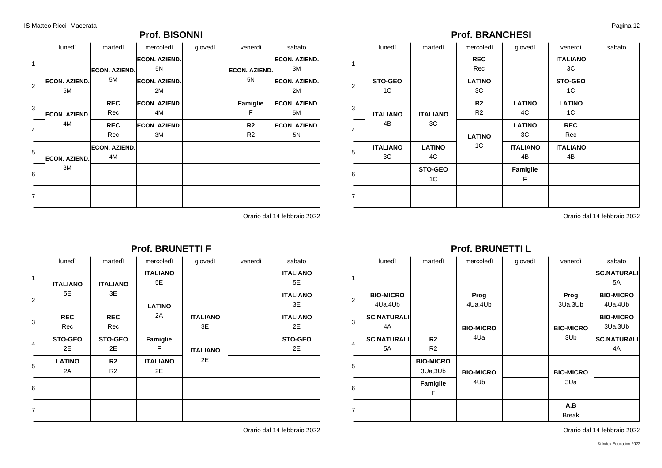### **Prof. BISONNI**

|                | lunedì                     | martedì                    | mercoledì                  | giovedì | venerdì                          | sabato                     |
|----------------|----------------------------|----------------------------|----------------------------|---------|----------------------------------|----------------------------|
| 1              |                            | <b>ECON. AZIEND.</b><br>5M | <b>ECON. AZIEND.</b><br>5N |         | <b>ECON. AZIEND.</b>             | <b>ECON. AZIEND.</b><br>ЗM |
| $\overline{2}$ | <b>ECON. AZIEND.</b><br>5M |                            | <b>ECON. AZIEND.</b><br>2M |         | 5N                               | <b>ECON. AZIEND.</b><br>2M |
| 3              | <b>ECON. AZIEND.</b>       | <b>REC</b><br>Rec          | <b>ECON. AZIEND.</b><br>4M |         | Famiglie<br>F                    | <b>ECON. AZIEND.</b><br>5M |
| $\overline{4}$ | 4M                         | <b>REC</b><br>Rec          | <b>ECON. AZIEND.</b><br>3M |         | R <sub>2</sub><br>R <sub>2</sub> | <b>ECON. AZIEND.</b><br>5N |
| 5              | <b>ECON. AZIEND.</b>       | <b>ECON. AZIEND.</b><br>4M |                            |         |                                  |                            |
| 6              | 3M                         |                            |                            |         |                                  |                            |
| 7              |                            |                            |                            |         |                                  |                            |

Orario dal 14 febbraio 2022

### **Prof. BRANCHESI**

|                | lunedì                | martedì              | mercoledì                        | giovedì               | venerdì               | sabato |
|----------------|-----------------------|----------------------|----------------------------------|-----------------------|-----------------------|--------|
| $\mathbf{1}$   |                       |                      | <b>REC</b><br>Rec                |                       | <b>ITALIANO</b><br>ЗC |        |
| $\overline{2}$ | <b>STO-GEO</b><br>1C  |                      | <b>LATINO</b><br>ЗC              |                       | <b>STO-GEO</b><br>1C  |        |
| 3              | <b>ITALIANO</b>       | <b>ITALIANO</b>      | R <sub>2</sub><br>R <sub>2</sub> | <b>LATINO</b><br>4C   | <b>LATINO</b><br>1C   |        |
| $\overline{4}$ | 4B                    | 3C                   | <b>LATINO</b>                    | <b>LATINO</b><br>3C   | <b>REC</b><br>Rec     |        |
| 5              | <b>ITALIANO</b><br>ЗC | <b>LATINO</b><br>4C  | 1C                               | <b>ITALIANO</b><br>4B | <b>ITALIANO</b><br>4B |        |
| 6              |                       | <b>STO-GEO</b><br>1C |                                  | Famiglie<br>F         |                       |        |
| $\overline{7}$ |                       |                      |                                  |                       |                       |        |

Orario dal 14 febbraio 2022

### **Prof. BRUNETTI L**

|                | lunedì             | martedì          | mercoledì        | giovedì | venerdì          | sabato             |
|----------------|--------------------|------------------|------------------|---------|------------------|--------------------|
| $\mathbf{1}$   |                    |                  |                  |         |                  | <b>SC.NATURALI</b> |
|                |                    |                  |                  |         |                  | 5A                 |
| 2              | <b>BIO-MICRO</b>   |                  | Prog             |         | Prog             | <b>BIO-MICRO</b>   |
|                | 4Ua,4Ub            |                  | 4Ua,4Ub          |         | 3Ua, 3Ub         | 4Ua, 4Ub           |
| 3              | <b>SC.NATURALI</b> |                  |                  |         |                  | <b>BIO-MICRO</b>   |
|                | 4A                 |                  | <b>BIO-MICRO</b> |         | <b>BIO-MICRO</b> | 3Ua, 3Ub           |
|                | <b>SC.NATURALI</b> | R2               | 4Ua              |         | 3Ub              | <b>SC.NATURALI</b> |
| $\overline{4}$ | 5A                 | R <sub>2</sub>   |                  |         |                  | 4A                 |
| 5              |                    | <b>BIO-MICRO</b> |                  |         |                  |                    |
|                |                    | 3Ua, 3Ub         | <b>BIO-MICRO</b> |         | <b>BIO-MICRO</b> |                    |
| 6              |                    | Famiglie         | 4Ub              |         | 3Ua              |                    |
|                |                    | F                |                  |         |                  |                    |
| $\overline{7}$ |                    |                  |                  |         | A.B              |                    |
|                |                    |                  |                  |         | <b>Break</b>     |                    |

Orario dal 14 febbraio 2022

|                         |                      |                      | <b>Prof. BRUNETTI F</b> |                       |         |                       |
|-------------------------|----------------------|----------------------|-------------------------|-----------------------|---------|-----------------------|
|                         | lunedì               | martedì              | mercoledì               | giovedì               | venerdì | sabato                |
| 1                       |                      |                      | <b>ITALIANO</b>         |                       |         | <b>ITALIANO</b>       |
|                         | <b>ITALIANO</b>      | <b>ITALIANO</b>      | 5E                      |                       |         | 5E                    |
| $\overline{2}$          | 5E                   | 3E                   | <b>LATINO</b>           |                       |         | <b>ITALIANO</b><br>3E |
| 3                       | <b>REC</b><br>Rec    | <b>REC</b><br>Rec    | 2A                      | <b>ITALIANO</b><br>3E |         | <b>ITALIANO</b><br>2E |
| $\overline{\mathbf{4}}$ | <b>STO-GEO</b><br>2E | <b>STO-GEO</b><br>2E | Famiglie<br>F           | <b>ITALIANO</b>       |         | <b>STO-GEO</b><br>2E  |
| 5                       | <b>LATINO</b><br>2A  | R <sub>2</sub><br>R2 | <b>ITALIANO</b><br>2E   | 2E                    |         |                       |
| 6                       |                      |                      |                         |                       |         |                       |
| $\overline{7}$          |                      |                      |                         |                       |         |                       |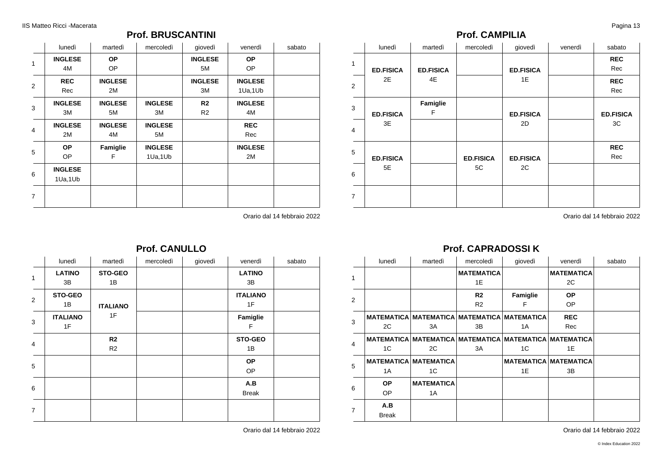### **Prof. BRUSCANTINI**

|                | lunedì         | martedì        | mercoledì      | giovedì        | venerdì        | sabato |
|----------------|----------------|----------------|----------------|----------------|----------------|--------|
| 1              | <b>INGLESE</b> | <b>OP</b>      |                | <b>INGLESE</b> | <b>OP</b>      |        |
|                | 4M             | OP             |                | 5M             | OP             |        |
| $\overline{2}$ | <b>REC</b>     | <b>INGLESE</b> |                | <b>INGLESE</b> | <b>INGLESE</b> |        |
|                | Rec            | 2M             |                | ЗM             | 1Ua,1Ub        |        |
| 3              | <b>INGLESE</b> | <b>INGLESE</b> | <b>INGLESE</b> | R <sub>2</sub> | <b>INGLESE</b> |        |
|                | ЗM             | 5M             | ЗM             | R <sub>2</sub> | 4M             |        |
| 4              | <b>INGLESE</b> | <b>INGLESE</b> | <b>INGLESE</b> |                | <b>REC</b>     |        |
|                | 2M             | 4M             | 5M             |                | Rec            |        |
| 5              | <b>OP</b>      | Famiglie       | <b>INGLESE</b> |                | <b>INGLESE</b> |        |
|                | OP             | F              | 1Ua,1Ub        |                | 2M             |        |
| 6              | <b>INGLESE</b> |                |                |                |                |        |
|                | 1Ua,1Ub        |                |                |                |                |        |
| $\overline{7}$ |                |                |                |                |                |        |
|                |                |                |                |                |                |        |

Orario dal 14 febbraio 2022

|                | lunedì                | martedì              | mercoledì | giovedì | venerdì               | sabato |
|----------------|-----------------------|----------------------|-----------|---------|-----------------------|--------|
| 1              | <b>LATINO</b><br>3B   | STO-GEO<br>1B        |           |         | <b>LATINO</b><br>3B   |        |
| 2              | STO-GEO<br>1B         | <b>ITALIANO</b>      |           |         | <b>ITALIANO</b><br>1F |        |
| 3              | <b>ITALIANO</b><br>1F | 1F                   |           |         | Famiglie<br>F         |        |
| 4              |                       | R2<br>R <sub>2</sub> |           |         | STO-GEO<br>1B         |        |
| 5              |                       |                      |           |         | <b>OP</b><br>OP       |        |
| 6              |                       |                      |           |         | A.B<br><b>Break</b>   |        |
| $\overline{7}$ |                       |                      |           |         |                       |        |

**Prof. CANULLO**

Orario dal 14 febbraio 2022

### **Prof. CAMPILIA**

|                | lunedì           | martedì          | mercoledì        | giovedì          | venerdì | sabato            |
|----------------|------------------|------------------|------------------|------------------|---------|-------------------|
| $\mathbf{1}$   | <b>ED.FISICA</b> | <b>ED.FISICA</b> |                  | <b>ED.FISICA</b> |         | <b>REC</b><br>Rec |
| 2              | 2E               | 4E               |                  | 1E               |         | <b>REC</b><br>Rec |
| 3              | <b>ED.FISICA</b> | Famiglie<br>F    |                  | <b>ED.FISICA</b> |         | <b>ED.FISICA</b>  |
| $\overline{4}$ | 3E               |                  |                  | 2D               |         | 3C                |
| 5              | <b>ED.FISICA</b> |                  | <b>ED.FISICA</b> | <b>ED.FISICA</b> |         | <b>REC</b><br>Rec |
| 6              | 5E               |                  | 5C               | 2C               |         |                   |
| $\overline{7}$ |                  |                  |                  |                  |         |                   |

Orario dal 14 febbraio 2022

# **Prof. CAPRADOSSI K**

|                | lunedì       | martedì                                     | mercoledì         | giovedì                                                        | venerdì                      | sabato |
|----------------|--------------|---------------------------------------------|-------------------|----------------------------------------------------------------|------------------------------|--------|
| 1              |              |                                             | <b>MATEMATICA</b> |                                                                | <b>MATEMATICA</b>            |        |
|                |              |                                             | 1E                |                                                                | 2C                           |        |
| 2              |              |                                             | R <sub>2</sub>    | Famiglie                                                       | <b>OP</b>                    |        |
|                |              |                                             | R <sub>2</sub>    | F                                                              | <b>OP</b>                    |        |
| 3              |              | MATEMATICA MATEMATICA MATEMATICA MATEMATICA |                   |                                                                | <b>REC</b>                   |        |
|                | 2C           | 3A                                          | 3B                | 1A                                                             | Rec                          |        |
| $\overline{4}$ |              |                                             |                   | MATEMATICA   MATEMATICA   MATEMATICA   MATEMATICA   MATEMATICA |                              |        |
|                | 1C           | 2C                                          | 3A                | 1 <sup>C</sup>                                                 | 1E                           |        |
| 5              |              | <b>MATEMATICA MATEMATICA</b>                |                   |                                                                | <b>MATEMATICA MATEMATICA</b> |        |
|                | 1A           | 1C                                          |                   | 1E                                                             | 3B                           |        |
|                | <b>OP</b>    | <b>MATEMATICA</b>                           |                   |                                                                |                              |        |
| 6              | OP           | 1A                                          |                   |                                                                |                              |        |
| $\overline{7}$ | A.B          |                                             |                   |                                                                |                              |        |
|                | <b>Break</b> |                                             |                   |                                                                |                              |        |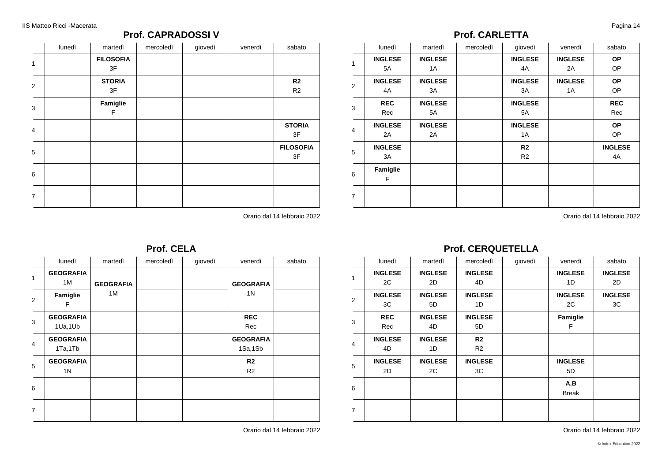### **Prof. CAPRADOSSI V**

|                | lunedì | martedì                | mercoledì | giovedì | venerdì | sabato                           |
|----------------|--------|------------------------|-----------|---------|---------|----------------------------------|
| $\mathbf{1}$   |        | <b>FILOSOFIA</b><br>3F |           |         |         |                                  |
| 2              |        | <b>STORIA</b><br>3F    |           |         |         | R <sub>2</sub><br>R <sub>2</sub> |
| 3              |        | Famiglie<br>F          |           |         |         |                                  |
| $\overline{4}$ |        |                        |           |         |         | <b>STORIA</b><br>3F              |
| 5              |        |                        |           |         |         | <b>FILOSOFIA</b><br>3F           |
| 6              |        |                        |           |         |         |                                  |
| $\overline{7}$ |        |                        |           |         |         |                                  |

Orario dal 14 febbraio 2022

### **Prof. CARLETTA**

|                | lunedì         | martedì        | mercoledì | giovedì        | venerdì        | sabato         |
|----------------|----------------|----------------|-----------|----------------|----------------|----------------|
| 1              | <b>INGLESE</b> | <b>INGLESE</b> |           | <b>INGLESE</b> | <b>INGLESE</b> | <b>OP</b>      |
|                | 5A             | 1A             |           | 4A             | 2A             | OP             |
| 2              | <b>INGLESE</b> | <b>INGLESE</b> |           | <b>INGLESE</b> | <b>INGLESE</b> | <b>OP</b>      |
|                | 4A             | 3A             |           | 3A             | 1A             | OP             |
| 3              | <b>REC</b>     | <b>INGLESE</b> |           | <b>INGLESE</b> |                | <b>REC</b>     |
|                | Rec            | 5A             |           | 5A             |                | Rec            |
| $\overline{4}$ | <b>INGLESE</b> | <b>INGLESE</b> |           | <b>INGLESE</b> |                | <b>OP</b>      |
|                | 2A             | 2A             |           | 1A             |                | OP.            |
| 5              | <b>INGLESE</b> |                |           | R2             |                | <b>INGLESE</b> |
|                | 3A             |                |           | R <sub>2</sub> |                | 4A             |
| 6              | Famiglie       |                |           |                |                |                |
|                | F              |                |           |                |                |                |
|                |                |                |           |                |                |                |
| $\overline{7}$ |                |                |           |                |                |                |

Orario dal 14 febbraio 2022

|                |                                    |                  | . <del>.</del> . |         |                                  |        |
|----------------|------------------------------------|------------------|------------------|---------|----------------------------------|--------|
|                | lunedì                             | martedì          | mercoledì        | giovedì | venerdì                          | sabato |
| 1              | <b>GEOGRAFIA</b><br>1M             | <b>GEOGRAFIA</b> |                  |         | <b>GEOGRAFIA</b>                 |        |
| 2              | Famiglie<br>F                      | 1M               |                  |         | 1N                               |        |
| 3              | <b>GEOGRAFIA</b><br>1Ua,1Ub        |                  |                  |         | <b>REC</b><br>Rec                |        |
| $\overline{4}$ | <b>GEOGRAFIA</b><br>1Ta,1Tb        |                  |                  |         | <b>GEOGRAFIA</b><br>1Sa,1Sb      |        |
| 5              | <b>GEOGRAFIA</b><br>1 <sup>N</sup> |                  |                  |         | R <sub>2</sub><br>R <sub>2</sub> |        |
| 6              |                                    |                  |                  |         |                                  |        |
| $\overline{7}$ |                                    |                  |                  |         |                                  |        |

**Prof. CELA**

#### **Prof. CERQUETELLA** lunedì martedì mercoledì giovedì venerdì sabato

|                | lunedi         | martedi        | mercoledi      | giovedi | venerdi        | sabato         |
|----------------|----------------|----------------|----------------|---------|----------------|----------------|
| 1              | <b>INGLESE</b> | <b>INGLESE</b> | <b>INGLESE</b> |         | <b>INGLESE</b> | <b>INGLESE</b> |
|                | 2C             | 2D             | 4D             |         | 1D             | 2D             |
| 2              | <b>INGLESE</b> | <b>INGLESE</b> | <b>INGLESE</b> |         | <b>INGLESE</b> | <b>INGLESE</b> |
|                | 3C             | 5D             | 1D             |         | 2C             | 3C             |
| 3              | <b>REC</b>     | <b>INGLESE</b> | <b>INGLESE</b> |         | Famiglie       |                |
|                | Rec            | 4D             | 5D             |         | F              |                |
| $\overline{4}$ | <b>INGLESE</b> | <b>INGLESE</b> | R <sub>2</sub> |         |                |                |
|                | 4D             | 1D             | R <sub>2</sub> |         |                |                |
| 5              | <b>INGLESE</b> | <b>INGLESE</b> | <b>INGLESE</b> |         | <b>INGLESE</b> |                |
|                | 2D             | 2C             | 3C             |         | 5D             |                |
| 6              |                |                |                |         | A.B            |                |
|                |                |                |                |         | <b>Break</b>   |                |
| $\overline{7}$ |                |                |                |         |                |                |
|                |                |                |                |         |                |                |
|                |                |                |                |         |                |                |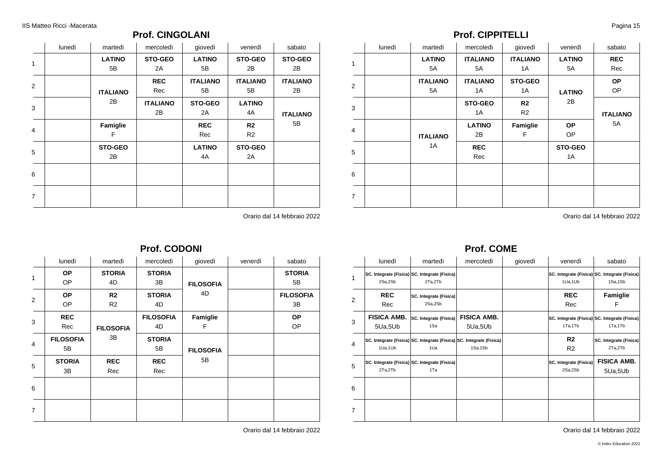### **Prof. CINGOLANI**

|                | lunedì | martedì         | mercoledì       | giovedì         | venerdì         | sabato          |
|----------------|--------|-----------------|-----------------|-----------------|-----------------|-----------------|
| 1              |        | <b>LATINO</b>   | <b>STO-GEO</b>  | <b>LATINO</b>   | <b>STO-GEO</b>  | STO-GEO         |
|                |        | 5B              | 2A              | 5B              | 2B              | 2Β              |
| 2              |        |                 | <b>REC</b>      | <b>ITALIANO</b> | <b>ITALIANO</b> | <b>ITALIANO</b> |
|                |        | <b>ITALIANO</b> | Rec             | 5B              | 5B              | 2B              |
| 3              |        | 2B              | <b>ITALIANO</b> | <b>STO-GEO</b>  | <b>LATINO</b>   |                 |
|                |        |                 | 2B              | 2A              | 4A              | <b>ITALIANO</b> |
| $\overline{4}$ |        | Famiglie        |                 | <b>REC</b>      | R <sub>2</sub>  | 5B              |
|                |        | F               |                 | Rec             | R <sub>2</sub>  |                 |
|                |        | <b>STO-GEO</b>  |                 | <b>LATINO</b>   | STO-GEO         |                 |
| 5              |        | 2B              |                 | 4A              | 2A              |                 |
| 6              |        |                 |                 |                 |                 |                 |
|                |        |                 |                 |                 |                 |                 |
|                |        |                 |                 |                 |                 |                 |
| $\overline{7}$ |        |                 |                 |                 |                 |                 |

Orario dal 14 febbraio 2022

### **Prof. CODONI**

|                | lunedì           | martedì          | mercoledì        | giovedì                                 | venerdì | sabato           |
|----------------|------------------|------------------|------------------|-----------------------------------------|---------|------------------|
| $\mathbf{1}$   | <b>OP</b>        | <b>STORIA</b>    | <b>STORIA</b>    | <b>FILOSOFIA</b>                        |         | <b>STORIA</b>    |
|                | OP               | 4D               | 3B               |                                         |         | 5B               |
| 2              | <b>OP</b>        | R2               | <b>STORIA</b>    | 4D                                      |         | <b>FILOSOFIA</b> |
|                | OP               | R <sub>2</sub>   | 4D               | Famiglie<br>F<br><b>FILOSOFIA</b><br>5B |         | 3B               |
| 3              | <b>REC</b>       |                  | <b>FILOSOFIA</b> |                                         |         | <b>OP</b>        |
|                | Rec              | <b>FILOSOFIA</b> | 4D               |                                         |         | OP               |
| $\overline{4}$ | <b>FILOSOFIA</b> | 3B               | <b>STORIA</b>    |                                         |         |                  |
|                | 5В               |                  | 5B               |                                         |         |                  |
|                | <b>STORIA</b>    | <b>REC</b>       | <b>REC</b>       |                                         |         |                  |
| 5              | 3B               | Rec              | Rec              |                                         |         |                  |
| 6              |                  |                  |                  |                                         |         |                  |
|                |                  |                  |                  |                                         |         |                  |
| $\overline{7}$ |                  |                  |                  |                                         |         |                  |
|                |                  |                  |                  |                                         |         |                  |

Orario dal 14 febbraio 2022

### **Prof. CIPPITELLI**

|                | lunedì | martedì         | mercoledì       | giovedì         | venerdì       | sabato          |
|----------------|--------|-----------------|-----------------|-----------------|---------------|-----------------|
| 1              |        | <b>LATINO</b>   | <b>ITALIANO</b> | <b>ITALIANO</b> | <b>LATINO</b> | <b>REC</b>      |
|                |        | 5A              | 5A              | 1A              | 5A            | Rec             |
| $\overline{2}$ |        | <b>ITALIANO</b> | <b>ITALIANO</b> | <b>STO-GEO</b>  |               | <b>OP</b>       |
|                |        | 5A              | 1A              | 1A              | <b>LATINO</b> | OP              |
| 3              |        |                 | <b>STO-GEO</b>  | R <sub>2</sub>  | 2B            |                 |
|                |        |                 | 1A              | R <sub>2</sub>  |               | <b>ITALIANO</b> |
| $\overline{4}$ |        |                 | <b>LATINO</b>   | Famiglie        | <b>OP</b>     | 5A              |
|                |        | <b>ITALIANO</b> | 2Β              | F               | OP            |                 |
| 5              |        | 1A              | <b>REC</b>      |                 | STO-GEO       |                 |
|                |        |                 | Rec             |                 | 1A            |                 |
| 6              |        |                 |                 |                 |               |                 |
| $\overline{7}$ |        |                 |                 |                 |               |                 |

Orario dal 14 febbraio 2022

# **Prof. COME**

|                          | lunedì                        | martedì                                                                     | mercoledì                     | giovedì | venerdì                                  | sabato                                                   |
|--------------------------|-------------------------------|-----------------------------------------------------------------------------|-------------------------------|---------|------------------------------------------|----------------------------------------------------------|
| 1                        | 2Sa,2Sb                       | SC. Integrate (Fisica) SC. Integrate (Fisica)<br>2Ta,2Tb                    |                               |         | 1Ua,1Ub                                  | SC. Integrate (Fisica) SC. Integrate (Fisica)<br>1Sa,1Sb |
| $\overline{2}$           | <b>REC</b><br>Rec             | SC. Integrate (Fisica)<br>2Sa,2Sb                                           |                               |         | <b>REC</b><br>Rec                        | Famiglie<br>F                                            |
| 3                        | <b>FISICA AMB.</b><br>5Ua,5Ub | SC. Integrate (Fisica)<br>1Sa                                               | <b>FISICA AMB.</b><br>5Ua,5Ub |         | 1Ta,1Tb                                  | SC. Integrate (Fisica) SC. Integrate (Fisica)<br>1Ta,1Tb |
| $\overline{\mathcal{A}}$ | 1Ua,1Ub                       | SC. Integrate (Fisica) SC. Integrate (Fisica) SC. Integrate (Fisica)<br>1Ua | 1Sa,1Sb                       |         | R <sub>2</sub><br>R <sub>2</sub>         | SC. Integrate (Fisica)<br>2Ta,2Tb                        |
| 5                        | 2Ta,2Tb                       | SC. Integrate (Fisica) SC. Integrate (Fisica)<br>1Ta                        |                               |         | <b>SC. Integrate (Fisica)</b><br>2Sa,2Sb | <b>FISICA AMB.</b><br>5Ua,5Ub                            |
| 6                        |                               |                                                                             |                               |         |                                          |                                                          |
| 7                        |                               |                                                                             |                               |         |                                          |                                                          |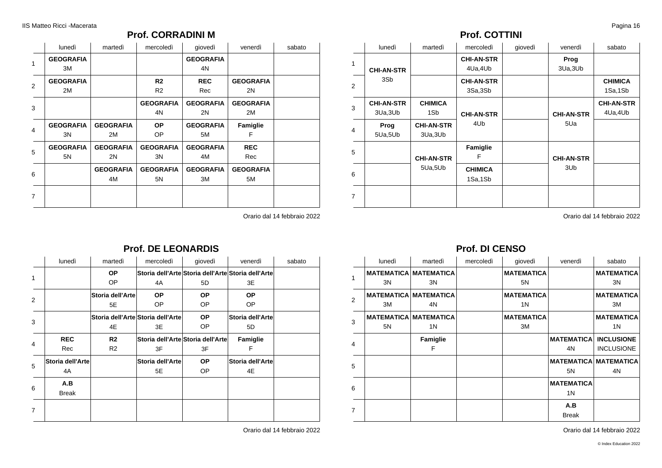### **Prof. CORRADINI M**

|                | lunedì                 | martedì                | mercoledì                        | giovedì                | venerdì                | sabato |
|----------------|------------------------|------------------------|----------------------------------|------------------------|------------------------|--------|
| 1              | <b>GEOGRAFIA</b><br>3M |                        |                                  | <b>GEOGRAFIA</b><br>4N |                        |        |
| $\overline{2}$ | <b>GEOGRAFIA</b><br>2M |                        | R <sub>2</sub><br>R <sub>2</sub> | <b>REC</b><br>Rec      | <b>GEOGRAFIA</b><br>2N |        |
| 3              |                        |                        | <b>GEOGRAFIA</b><br>4N           | <b>GEOGRAFIA</b><br>2N | <b>GEOGRAFIA</b><br>2M |        |
| $\overline{4}$ | <b>GEOGRAFIA</b><br>3N | <b>GEOGRAFIA</b><br>2M | <b>OP</b><br>OP                  | <b>GEOGRAFIA</b><br>5M | Famiglie<br>F          |        |
| 5              | <b>GEOGRAFIA</b><br>5N | <b>GEOGRAFIA</b><br>2N | <b>GEOGRAFIA</b><br>3N           | <b>GEOGRAFIA</b><br>4M | <b>REC</b><br>Rec      |        |
| 6              |                        | <b>GEOGRAFIA</b><br>4M | <b>GEOGRAFIA</b><br>5N           | <b>GEOGRAFIA</b><br>ЗM | <b>GEOGRAFIA</b><br>5M |        |
| 7              |                        |                        |                                  |                        |                        |        |

Orario dal 14 febbraio 2022

# **Prof. DE LEONARDIS**

|   | lunedì           | martedì          | mercoledì                         | giovedì                           | venerdì                                            | sabato |
|---|------------------|------------------|-----------------------------------|-----------------------------------|----------------------------------------------------|--------|
|   |                  | <b>OP</b>        |                                   |                                   | Storia dell'Arte Storia dell'Arte Storia dell'Arte |        |
|   |                  | OP.              | 4A                                | 5D                                | 3E                                                 |        |
| 2 |                  | Storia dell'Arte | <b>OP</b>                         | <b>OP</b>                         | OP.                                                |        |
|   |                  | 5E               | OP                                | OP                                | OP.                                                |        |
| 3 |                  |                  | Storia dell'Arte Storia dell'Arte | <b>OP</b>                         | Storia dell'Artel                                  |        |
|   |                  | 4E               | 3E                                | OP                                | 5D                                                 |        |
| 4 | <b>REC</b>       | R2               |                                   | Storia dell'Arte Storia dell'Arte | Famiglie                                           |        |
|   | Rec              | R <sub>2</sub>   | 3F                                | 3F                                | F                                                  |        |
| 5 | Storia dell'Arte |                  | <b>Storia dell'Arte</b>           | <b>OP</b>                         | Storia dell'Arte                                   |        |
|   | 4A               |                  | 5E                                | OP                                | 4E                                                 |        |
| 6 | A.B              |                  |                                   |                                   |                                                    |        |
|   | <b>Break</b>     |                  |                                   |                                   |                                                    |        |
| 7 |                  |                  |                                   |                                   |                                                    |        |
|   |                  |                  |                                   |                                   |                                                    |        |

Orario dal 14 febbraio 2022

### **Prof. COTTINI**

|                | lunedì                        | martedì                       | mercoledì                    | giovedì | venerdì           | sabato                       |
|----------------|-------------------------------|-------------------------------|------------------------------|---------|-------------------|------------------------------|
| $\mathbf{1}$   | <b>CHI-AN-STR</b>             |                               | <b>CHI-AN-STR</b><br>4Ua,4Ub |         | Prog<br>3Ua, 3Ub  |                              |
| 2              | 3Sb                           |                               | <b>CHI-AN-STR</b><br>3Sa,3Sb |         |                   | <b>CHIMICA</b><br>1Sa,1Sb    |
| 3              | <b>CHI-AN-STR</b><br>3Ua, 3Ub | <b>CHIMICA</b><br>1Sb         | <b>CHI-AN-STR</b>            |         | <b>CHI-AN-STR</b> | <b>CHI-AN-STR</b><br>4Ua,4Ub |
| $\overline{4}$ | Prog<br>5Ua,5Ub               | <b>CHI-AN-STR</b><br>3Ua, 3Ub | 4U <sub>b</sub>              |         | 5Ua               |                              |
| 5              |                               | <b>CHI-AN-STR</b>             | Famiglie<br>F                |         | <b>CHI-AN-STR</b> |                              |
| 6              |                               | 5Ua,5Ub                       | <b>CHIMICA</b><br>1Sa,1Sb    |         | 3U <sub>b</sub>   |                              |
| $\overline{7}$ |                               |                               |                              |         |                   |                              |

Orario dal 14 febbraio 2022

### **Prof. DI CENSO**

|                | lunedì | martedì                      | mercoledì | giovedì           | venerdì            | sabato                       |
|----------------|--------|------------------------------|-----------|-------------------|--------------------|------------------------------|
| 1              |        | <b>MATEMATICA MATEMATICA</b> |           | <b>MATEMATICA</b> |                    | <b>MATEMATICA</b>            |
|                | 3N     | 3N                           |           | 5N                |                    | 3N                           |
| $\overline{2}$ |        | <b>MATEMATICA MATEMATICA</b> |           | <b>MATEMATICA</b> |                    | <b>MATEMATICA</b>            |
|                | 3M     | 4N                           |           | 1N                |                    | 3M                           |
| 3              |        | <b>MATEMATICA MATEMATICA</b> |           | <b>MATEMATICA</b> |                    | <b>MATEMATICA</b>            |
|                | 5N     | 1N                           |           | 3M                |                    | 1N                           |
|                |        | Famiglie                     |           |                   | <b>MATEMATICAL</b> | <b>INCLUSIONE</b>            |
| $\overline{4}$ |        | F                            |           |                   | 4N                 | <b>INCLUSIONE</b>            |
| 5              |        |                              |           |                   |                    | <b>MATEMATICA MATEMATICA</b> |
|                |        |                              |           |                   | 5N                 | 4N                           |
|                |        |                              |           |                   | <b>MATEMATICA</b>  |                              |
| 6              |        |                              |           |                   | 1N                 |                              |
|                |        |                              |           |                   | A.B                |                              |
| $\overline{7}$ |        |                              |           |                   | <b>Break</b>       |                              |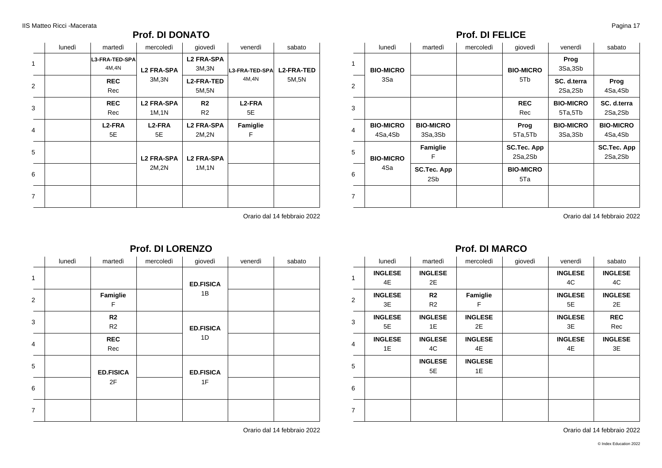### **Prof. DI DONATO**

|                | lunedì | martedì                         | mercoledì                   | giovedì                          | venerdì                   | sabato                     |
|----------------|--------|---------------------------------|-----------------------------|----------------------------------|---------------------------|----------------------------|
| 1              |        | <b>L3-FRA-TED-SPA</b><br>4M, 4N | <b>L2 FRA-SPA</b>           | <b>L2 FRA-SPA</b><br>3M, 3N      | L3-FRA-TED-SPA            | <b>L2-FRA-TED</b><br>5M,5N |
| 2              |        | <b>REC</b><br>Rec               | 3M,3N                       | <b>L2-FRA-TED</b><br>5M, 5N      | 4M,4N                     |                            |
| 3              |        | <b>REC</b><br>Rec               | <b>L2 FRA-SPA</b><br>1M, 1N | R <sub>2</sub><br>R <sub>2</sub> | L <sub>2</sub> -FRA<br>5E |                            |
| $\overline{4}$ |        | L <sub>2</sub> -FRA<br>5E       | L <sub>2</sub> -FRA<br>5E   | <b>L2 FRA-SPA</b><br>2M,2N       | Famiglie<br>F             |                            |
| 5              |        |                                 | <b>L2 FRA-SPA</b>           | <b>L2 FRA-SPA</b>                |                           |                            |
| 6              |        |                                 | 2M,2N                       | 1M, 1N                           |                           |                            |
| $\overline{7}$ |        |                                 |                             |                                  |                           |                            |

Orario dal 14 febbraio 2022

### **Prof. DI LORENZO**

|                | lunedì | martedì                          | mercoledì | giovedì                | venerdì | sabato |
|----------------|--------|----------------------------------|-----------|------------------------|---------|--------|
| $\mathbf{1}$   |        |                                  |           | <b>ED.FISICA</b><br>1B |         |        |
| 2              |        | Famiglie<br>F                    |           |                        |         |        |
| 3              |        | R <sub>2</sub><br>R <sub>2</sub> |           | <b>ED.FISICA</b>       |         |        |
| $\overline{4}$ |        | <b>REC</b><br>Rec                |           | 1D                     |         |        |
| 5              |        | <b>ED.FISICA</b>                 |           | <b>ED.FISICA</b>       |         |        |
| 6              |        | 2F                               |           | 1F                     |         |        |
| $\overline{7}$ |        |                                  |           |                        |         |        |

Orario dal 14 febbraio 2022

### **Prof. DI FELICE**

|                | lunedì                      | martedì                     | mercoledì | giovedì                       | venerdì                     | sabato                        |
|----------------|-----------------------------|-----------------------------|-----------|-------------------------------|-----------------------------|-------------------------------|
| $\mathbf{1}$   | <b>BIO-MICRO</b>            |                             |           | <b>BIO-MICRO</b>              | Prog<br>3Sa,3Sb             |                               |
| $\mathcal{P}$  | 3Sa                         |                             |           | 5T <sub>b</sub>               | SC. d.terra<br>2Sa,2Sb      | Prog<br>4Sa,4Sb               |
| 3              |                             |                             |           | <b>REC</b><br>Rec             | <b>BIO-MICRO</b><br>5Ta,5Tb | SC. d.terra<br>2Sa,2Sb        |
| $\overline{4}$ | <b>BIO-MICRO</b><br>4Sa,4Sb | <b>BIO-MICRO</b><br>3Sa,3Sb |           | Prog<br>5Ta,5Tb               | <b>BIO-MICRO</b><br>3Sa,3Sb | <b>BIO-MICRO</b><br>4Sa,4Sb   |
| 5              | <b>BIO-MICRO</b>            | Famiglie<br>F               |           | <b>SC.Tec. App</b><br>2Sa,2Sb |                             | <b>SC.Tec. App</b><br>2Sa,2Sb |
| 6              | 4Sa                         | SC.Tec. App<br>2Sb          |           | <b>BIO-MICRO</b><br>5Ta       |                             |                               |
| $\overline{7}$ |                             |                             |           |                               |                             |                               |

Orario dal 14 febbraio 2022

# **Prof. DI MARCO**

|                | lunedì         | martedì        | mercoledì      | giovedì | venerdì        | sabato         |
|----------------|----------------|----------------|----------------|---------|----------------|----------------|
|                | <b>INGLESE</b> | <b>INGLESE</b> |                |         | <b>INGLESE</b> | <b>INGLESE</b> |
| 1              | 4E             | 2E             |                |         | 4C             | 4C             |
| $\overline{2}$ | <b>INGLESE</b> | R2             | Famiglie       |         | <b>INGLESE</b> | <b>INGLESE</b> |
|                | 3E             | R <sub>2</sub> | F              |         | 5E             | 2E             |
| 3              | <b>INGLESE</b> | <b>INGLESE</b> | <b>INGLESE</b> |         | <b>INGLESE</b> | <b>REC</b>     |
|                | 5E             | 1E             | 2E             |         | 3E             | Rec            |
| 4              | <b>INGLESE</b> | <b>INGLESE</b> | <b>INGLESE</b> |         | <b>INGLESE</b> | <b>INGLESE</b> |
|                | 1E             | 4C             | 4E             |         | 4E             | 3E             |
| 5              |                | <b>INGLESE</b> | <b>INGLESE</b> |         |                |                |
|                |                | 5E             | 1E             |         |                |                |
| 6              |                |                |                |         |                |                |
|                |                |                |                |         |                |                |
| $\overline{7}$ |                |                |                |         |                |                |
|                |                |                |                |         |                |                |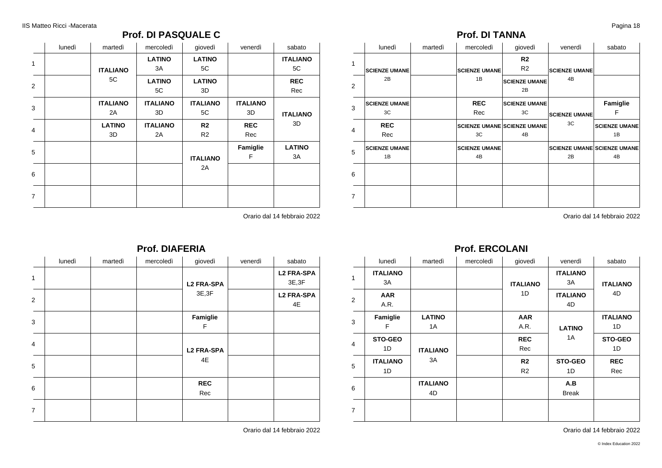### **Prof. DI PASQUALE C**

|                | lunedì | martedì         | mercoledì       | giovedì         | venerdì         | sabato          |
|----------------|--------|-----------------|-----------------|-----------------|-----------------|-----------------|
| 1              |        |                 | <b>LATINO</b>   | <b>LATINO</b>   |                 | <b>ITALIANO</b> |
|                |        | <b>ITALIANO</b> | 3A              | 5C              |                 | 5C              |
| 2              |        | 5C              | <b>LATINO</b>   | <b>LATINO</b>   |                 | <b>REC</b>      |
|                |        |                 | 5C              | 3D              |                 | Rec             |
| 3              |        | <b>ITALIANO</b> | <b>ITALIANO</b> | <b>ITALIANO</b> | <b>ITALIANO</b> |                 |
|                |        | 2A              | 3D              | 5C              | 3D              | <b>ITALIANO</b> |
|                |        | <b>LATINO</b>   | <b>ITALIANO</b> | R <sub>2</sub>  | <b>REC</b>      | 3D              |
| $\overline{4}$ |        | 3D              | 2A              | R <sub>2</sub>  | Rec             |                 |
|                |        |                 |                 |                 | Famiglie        | <b>LATINO</b>   |
| 5              |        |                 |                 | <b>ITALIANO</b> | F               | 3A              |
|                |        |                 |                 | 2A              |                 |                 |
| 6              |        |                 |                 |                 |                 |                 |
|                |        |                 |                 |                 |                 |                 |
| $\overline{7}$ |        |                 |                 |                 |                 |                 |

Orario dal 14 febbraio 2022

|   | lunedì | martedì | mercoledì | giovedì           | venerdì | sabato                      |
|---|--------|---------|-----------|-------------------|---------|-----------------------------|
| 1 |        |         |           | <b>L2 FRA-SPA</b> |         | <b>L2 FRA-SPA</b><br>3E, 3F |
| 2 |        |         |           | 3E, 3F            |         | <b>L2 FRA-SPA</b><br>4E     |
| 3 |        |         |           | Famiglie<br>F     |         |                             |
| 4 |        |         |           | <b>L2 FRA-SPA</b> |         |                             |
| 5 |        |         |           | 4E                |         |                             |
| 6 |        |         |           | <b>REC</b><br>Rec |         |                             |
| 7 |        |         |           |                   |         |                             |

**Prof. DIAFERIA**

Orario dal 14 febbraio 2022

### **Prof. DI TANNA**

|                | lunedì               | martedì | mercoledì                          | giovedì                          | venerdì                    | sabato                             |
|----------------|----------------------|---------|------------------------------------|----------------------------------|----------------------------|------------------------------------|
| $\mathbf{1}$   | <b>SCIENZE UMANE</b> |         | <b>SCIENZE UMANE</b>               | R <sub>2</sub><br>R <sub>2</sub> | <b>SCIENZE UMANE</b>       |                                    |
| 2              | 2B                   |         | 1B                                 | <b>SCIENZE UMANE</b><br>2B       | 4B                         |                                    |
| 3              | <b>SCIENZE UMANE</b> |         | <b>REC</b>                         | <b>SCIENZE UMANE</b>             |                            | Famiglie                           |
|                | 3C                   |         | Rec                                | 3C                               | <b>SCIENZE UMANE</b><br>3C | F                                  |
| 4              | <b>REC</b>           |         | <b>SCIENZE UMANE SCIENZE UMANE</b> |                                  |                            | <b>SCIENZE UMANE</b>               |
|                | Rec                  |         | 3C                                 | 4B                               |                            | 1B                                 |
| 5              | <b>SCIENZE UMANE</b> |         | <b>SCIENZE UMANE</b>               |                                  |                            | <b>SCIENZE UMANE SCIENZE UMANE</b> |
|                | 1B                   |         | 4B                                 |                                  | 2B                         | 4B                                 |
| 6              |                      |         |                                    |                                  |                            |                                    |
| $\overline{7}$ |                      |         |                                    |                                  |                            |                                    |

Orario dal 14 febbraio 2022

### **Prof. ERCOLANI**

|                | lunedì                | martedì               | mercoledì | giovedì                          | venerdì               | sabato                |
|----------------|-----------------------|-----------------------|-----------|----------------------------------|-----------------------|-----------------------|
| 1              | <b>ITALIANO</b><br>3A |                       |           |                                  | <b>ITALIANO</b><br>3A |                       |
|                | <b>AAR</b>            |                       |           | <b>ITALIANO</b><br>1D            | <b>ITALIANO</b>       | <b>ITALIANO</b><br>4D |
| $\overline{2}$ | A.R.                  |                       |           |                                  | 4D                    |                       |
| 3              | Famiglie<br>F         | <b>LATINO</b><br>1A   |           | <b>AAR</b><br>A.R.               | <b>LATINO</b>         | <b>ITALIANO</b><br>1D |
| 4              | <b>STO-GEO</b><br>1D  | <b>ITALIANO</b>       |           | <b>REC</b><br>Rec                | 1A                    | STO-GEO<br>1D         |
| 5              | <b>ITALIANO</b><br>1D | 3A                    |           | R <sub>2</sub><br>R <sub>2</sub> | STO-GEO<br>1D         | <b>REC</b><br>Rec     |
| 6              |                       | <b>ITALIANO</b><br>4D |           |                                  | A.B<br><b>Break</b>   |                       |
| $\overline{7}$ |                       |                       |           |                                  |                       |                       |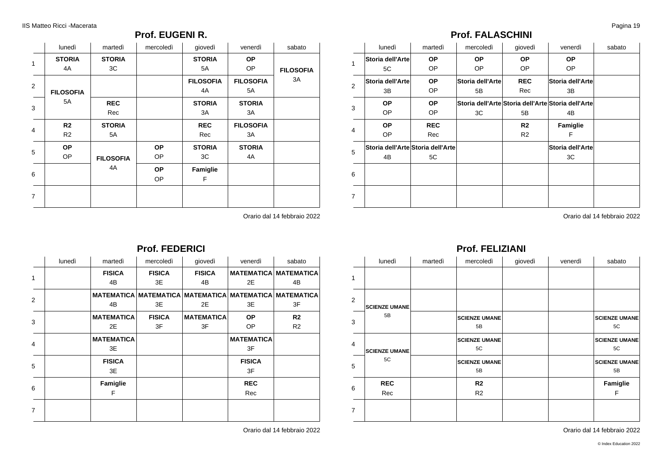1

2

3

4

5

6

7

### **Prof. EUGENI R.**

|                | lunedì                           | martedì             | mercoledì              | giovedì                | venerdì                | sabato                 |
|----------------|----------------------------------|---------------------|------------------------|------------------------|------------------------|------------------------|
| 1              | <b>STORIA</b><br>4A              | <b>STORIA</b><br>3C |                        | <b>STORIA</b><br>5A    | <b>OP</b><br>OP.       |                        |
| 2              |                                  |                     |                        | <b>FILOSOFIA</b><br>4A | <b>FILOSOFIA</b><br>5A | <b>FILOSOFIA</b><br>ЗA |
| 3              | <b>FILOSOFIA</b><br>5A           | <b>REC</b><br>Rec   |                        | <b>STORIA</b><br>3A    | <b>STORIA</b><br>ЗA    |                        |
| 4              | R <sub>2</sub><br>R <sub>2</sub> | <b>STORIA</b><br>5A |                        | <b>REC</b><br>Rec      | <b>FILOSOFIA</b><br>ЗA |                        |
| 5              | <b>OP</b><br>OP                  | <b>FILOSOFIA</b>    | <b>OP</b><br>OP        | <b>STORIA</b><br>3C    | <b>STORIA</b><br>4A    |                        |
| 6              |                                  | 4A                  | <b>OP</b><br><b>OP</b> | Famiglie<br>F          |                        |                        |
| $\overline{7}$ |                                  |                     |                        |                        |                        |                        |

**Prof. FEDERICI**

Orario dal 14 febbraio 2022

## **Prof. FALASCHINI**

|                | lunedì           | martedì                           | mercoledì        | giovedì        | venerdì                                            | sabato |
|----------------|------------------|-----------------------------------|------------------|----------------|----------------------------------------------------|--------|
| 1              | Storia dell'Arte | <b>OP</b>                         | <b>OP</b>        | <b>OP</b>      | <b>OP</b>                                          |        |
|                | 5C               | OP                                | <b>OP</b>        | OP.            | OP                                                 |        |
| $\overline{2}$ | Storia dell'Arte | <b>OP</b>                         | Storia dell'Arte | <b>REC</b>     | Storia dell'Arte                                   |        |
|                | 3B               | OP                                | 5В               | Rec            | 3B                                                 |        |
| 3              | <b>OP</b>        | <b>OP</b>                         |                  |                | Storia dell'Arte Storia dell'Arte Storia dell'Arte |        |
|                | OP.              | OP                                | 3C               | 5B             | 4B                                                 |        |
|                | <b>OP</b>        | <b>REC</b>                        |                  | R <sub>2</sub> | Famiglie                                           |        |
| 4              | OP.              | Rec                               |                  | R <sub>2</sub> | F                                                  |        |
| 5              |                  | Storia dell'Arte Storia dell'Arte |                  |                | Storia dell'Arte                                   |        |
|                | 4B               | 5C                                |                  |                | ЗC                                                 |        |
| 6              |                  |                                   |                  |                |                                                    |        |
|                |                  |                                   |                  |                |                                                    |        |
| 7              |                  |                                   |                  |                |                                                    |        |
|                |                  |                                   |                  |                |                                                    |        |

Orario dal 14 febbraio 2022

#### **Prof. FELIZIANI** lunedì | martedì | mercoledì | giovedì | venerdì | sabato | 1 2 3 4 5 6 7 **SCIENZE UMANE** 5B **SCIENZE UMANE** 5C **REC** Rec **SCIENZE UMANE** 5B **SCIENZE UMANE** 5C **SCIENZE UMANE** 5B **R2** R2 **SCIENZE UMANE** 5C **SCIENZE UMANE** 5C **SCIENZE UMANE** 5B **Famiglie** F

Orario dal 14 febbraio 2022

|                | lunedì | martedì           | mercoledì     | giovedì                                                | venerdì           | sabato                       |
|----------------|--------|-------------------|---------------|--------------------------------------------------------|-------------------|------------------------------|
|                |        | <b>FISICA</b>     | <b>FISICA</b> | <b>FISICA</b>                                          |                   | <b>MATEMATICA MATEMATICA</b> |
| 1              |        | 4B                | 3E            | 4B                                                     | 2E                | 4B                           |
| $\overline{2}$ |        |                   |               | MATEMATICA MATEMATICA MATEMATICA MATEMATICA MATEMATICA |                   |                              |
|                |        | 4B                | 3E            | 2E                                                     | 3E                | 3F                           |
| 3              |        | <b>MATEMATICA</b> | <b>FISICA</b> | <b>MATEMATICA</b>                                      | <b>OP</b>         | R <sub>2</sub>               |
|                |        | 2E                | 3F            | 3F                                                     | OP                | R <sub>2</sub>               |
| 4              |        | <b>MATEMATICA</b> |               |                                                        | <b>MATEMATICA</b> |                              |
|                |        | 3E                |               |                                                        | 3F                |                              |
| 5              |        | <b>FISICA</b>     |               |                                                        | <b>FISICA</b>     |                              |
|                |        | 3E                |               |                                                        | 3F                |                              |
| 6              |        | Famiglie          |               |                                                        | <b>REC</b>        |                              |
|                |        | F                 |               |                                                        | Rec               |                              |
| 7              |        |                   |               |                                                        |                   |                              |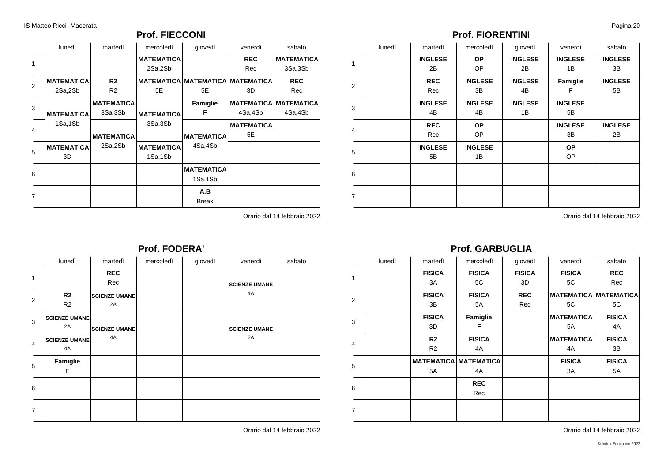### **Prof. FIECCONI**

|                | lunedì            | martedì           | mercoledì         | giovedì                      | venerdì           | sabato                       |
|----------------|-------------------|-------------------|-------------------|------------------------------|-------------------|------------------------------|
| 1              |                   |                   | <b>MATEMATICA</b> |                              | <b>REC</b>        | <b>MATEMATICA</b>            |
|                |                   |                   | 2Sa,2Sb           |                              | Rec               | 3Sa,3Sb                      |
| $\overline{2}$ | <b>MATEMATICA</b> | R2                |                   | <b>MATEMATICA MATEMATICA</b> | <b>MATEMATICA</b> | <b>REC</b>                   |
|                | 2Sa,2Sb           | R <sub>2</sub>    | 5E                | 5E                           | 3D                | Rec                          |
| 3              |                   | <b>MATEMATICA</b> |                   | Famiglie                     |                   | <b>MATEMATICA MATEMATICA</b> |
|                | <b>MATEMATICA</b> | 3Sa,3Sb           | <b>MATEMATICA</b> | F                            | 4Sa,4Sb           | 4Sa,4Sb                      |
| 4              | 1Sa,1Sb           |                   | 3Sa,3Sb           |                              | <b>MATEMATICA</b> |                              |
|                |                   | <b>MATEMATICA</b> |                   | <b>MATEMATICA</b>            | 5E                |                              |
| 5              | <b>MATEMATICA</b> | 2Sa,2Sb           | <b>MATEMATICA</b> | 4Sa,4Sb                      |                   |                              |
|                | 3D                |                   | 1Sa,1Sb           |                              |                   |                              |
|                |                   |                   |                   | <b>MATEMATICA</b>            |                   |                              |
| 6              |                   |                   |                   | 1Sa,1Sb                      |                   |                              |
|                |                   |                   |                   | A.B                          |                   |                              |
| $\overline{7}$ |                   |                   |                   | <b>Break</b>                 |                   |                              |

Orario dal 14 febbraio 2022

### **Prof. FIORENTINI**

|                | lunedì | martedì              | mercoledì            | giovedì              | venerdì                | sabato               |
|----------------|--------|----------------------|----------------------|----------------------|------------------------|----------------------|
| 1              |        | <b>INGLESE</b><br>2B | <b>OP</b><br>OP      | <b>INGLESE</b><br>2B | <b>INGLESE</b><br>1B   | <b>INGLESE</b><br>3B |
| $\overline{2}$ |        | <b>REC</b><br>Rec    | <b>INGLESE</b><br>3B | <b>INGLESE</b><br>4B | Famiglie<br>F          | <b>INGLESE</b><br>5B |
| 3              |        | <b>INGLESE</b><br>4B | <b>INGLESE</b><br>4B | <b>INGLESE</b><br>1B | <b>INGLESE</b><br>5B   |                      |
| 4              |        | <b>REC</b><br>Rec    | <b>OP</b><br>OP      |                      | <b>INGLESE</b><br>3B   | <b>INGLESE</b><br>2B |
| 5              |        | <b>INGLESE</b><br>5B | <b>INGLESE</b><br>1B |                      | <b>OP</b><br><b>OP</b> |                      |
| 6              |        |                      |                      |                      |                        |                      |
| $\overline{7}$ |        |                      |                      |                      |                        |                      |

Orario dal 14 febbraio 2022

### **Prof. GARBUGLIA**

|                | lunedì | martedì        | mercoledì                    | giovedì       | venerdì           | sabato                       |
|----------------|--------|----------------|------------------------------|---------------|-------------------|------------------------------|
| $\mathbf{1}$   |        | <b>FISICA</b>  | <b>FISICA</b>                | <b>FISICA</b> | <b>FISICA</b>     | <b>REC</b>                   |
|                |        | 3A             | 5C                           | 3D            | 5C                | Rec                          |
| $\overline{2}$ |        | <b>FISICA</b>  | <b>FISICA</b>                | <b>REC</b>    |                   | <b>MATEMATICA MATEMATICA</b> |
|                |        | 3B             | 5A                           | Rec           | 5C                | 5C                           |
| 3              |        | <b>FISICA</b>  | Famiglie                     |               | <b>MATEMATICA</b> | <b>FISICA</b>                |
|                |        | 3D             | F                            |               | 5A                | 4A                           |
|                |        | R <sub>2</sub> | <b>FISICA</b>                |               | <b>MATEMATICA</b> | <b>FISICA</b>                |
| $\overline{4}$ |        | R <sub>2</sub> | 4A                           |               | 4A                | 3B                           |
| 5              |        |                | <b>MATEMATICA MATEMATICA</b> |               | <b>FISICA</b>     | <b>FISICA</b>                |
|                |        | 5A             | 4A                           |               | 3A                | 5A                           |
| 6              |        |                | <b>REC</b>                   |               |                   |                              |
|                |        |                | Rec                          |               |                   |                              |
| $\overline{7}$ |        |                |                              |               |                   |                              |
|                |        |                |                              |               |                   |                              |

Orario dal 14 febbraio 2022

|                | lunedì                     | martedì                    | mercoledì | giovedì | venerdì              | sabato |
|----------------|----------------------------|----------------------------|-----------|---------|----------------------|--------|
| 1              |                            | <b>REC</b><br>Rec          |           |         | <b>SCIENZE UMANE</b> |        |
| 2              | R2<br>R <sub>2</sub>       | <b>SCIENZE UMANE</b><br>2A |           |         | 4A                   |        |
| 3              | <b>SCIENZE UMANE</b><br>2A | <b>SCIENZE UMANE</b>       |           |         | <b>SCIENZE UMANE</b> |        |
| 4              | <b>SCIENZE UMANE</b><br>4A | 4A                         |           |         | 2A                   |        |
| 5              | Famiglie<br>F              |                            |           |         |                      |        |
| 6              |                            |                            |           |         |                      |        |
| $\overline{7}$ |                            |                            |           |         |                      |        |

**Prof. FODERA'**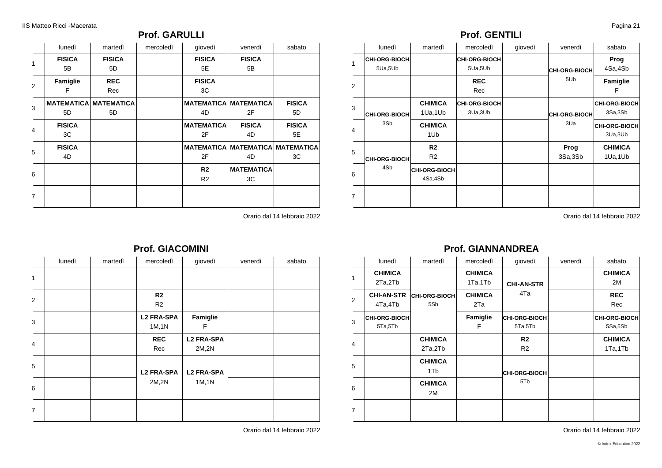### **Prof. GARULLI**

|                | lunedì        | martedì                      | mercoledì | giovedì           | venerdì                                 | sabato        |
|----------------|---------------|------------------------------|-----------|-------------------|-----------------------------------------|---------------|
| $\mathbf{1}$   | <b>FISICA</b> | <b>FISICA</b>                |           | <b>FISICA</b>     | <b>FISICA</b>                           |               |
|                | 5B            | 5D                           |           | 5E                | 5B                                      |               |
| 2              | Famiglie      | <b>REC</b>                   |           | <b>FISICA</b>     |                                         |               |
|                | F             | Rec                          |           | 3C                |                                         |               |
| 3              |               | <b>MATEMATICA MATEMATICA</b> |           |                   | <b>MATEMATICA MATEMATICA</b>            | <b>FISICA</b> |
|                | 5D            | 5D                           |           | 4D                | 2F                                      | 5D            |
| 4              | <b>FISICA</b> |                              |           | <b>MATEMATICA</b> | <b>FISICA</b>                           | <b>FISICA</b> |
|                | 3C            |                              |           | 2F                | 4D                                      | 5E            |
| 5              | <b>FISICA</b> |                              |           |                   | <b>MATEMATICA MATEMATICA MATEMATICA</b> |               |
|                | 4D            |                              |           | 2F                | 4D                                      | ЗC            |
|                |               |                              |           | R <sub>2</sub>    | <b>MATEMATICA</b>                       |               |
| 6              |               |                              |           | R <sub>2</sub>    | 3C                                      |               |
| $\overline{7}$ |               |                              |           |                   |                                         |               |
|                |               |                              |           |                   |                                         |               |

Orario dal 14 febbraio 2022

## **Prof. GIACOMINI**

|                | lunedì | martedì | mercoledì                        | giovedì                    | venerdì | sabato |
|----------------|--------|---------|----------------------------------|----------------------------|---------|--------|
| $\mathbf{1}$   |        |         |                                  |                            |         |        |
| 2              |        |         | R <sub>2</sub><br>R <sub>2</sub> |                            |         |        |
| 3              |        |         | <b>L2 FRA-SPA</b><br>1M, 1N      | Famiglie<br>F              |         |        |
| $\overline{4}$ |        |         | <b>REC</b><br>Rec                | <b>L2 FRA-SPA</b><br>2M,2N |         |        |
| 5              |        |         | <b>L2 FRA-SPA</b>                | <b>L2 FRA-SPA</b>          |         |        |
| 6              |        |         | 2M,2N                            | 1M, 1N                     |         |        |
| $\overline{7}$ |        |         |                                  |                            |         |        |

Orario dal 14 febbraio 2022

### **Prof. GENTILI**

|                | lunedì                          | martedì                           | mercoledì                        | giovedì | venerdì                     | sabato                           |
|----------------|---------------------------------|-----------------------------------|----------------------------------|---------|-----------------------------|----------------------------------|
| 1              | <b>CHI-ORG-BIOCH</b><br>5Ua,5Ub |                                   | <b>CHI-ORG-BIOCH</b><br>5Ua,5Ub  |         | <b>CHI-ORG-BIOCH</b><br>5Ub | Prog<br>4Sa,4Sb                  |
| 2              |                                 |                                   | <b>REC</b><br>Rec                |         |                             | Famiglie<br>F                    |
| 3              | <b>CHI-ORG-BIOCH</b>            | <b>CHIMICA</b><br>1Ua, 1Ub        | <b>CHI-ORG-BIOCH</b><br>3Ua, 3Ub |         | <b>CHI-ORG-BIOCH</b>        | <b>CHI-ORG-BIOCH</b><br>3Sa,3Sb  |
| $\overline{4}$ | 3Sb                             | <b>CHIMICA</b><br>1U <sub>b</sub> |                                  |         | 3Ua                         | <b>CHI-ORG-BIOCH</b><br>3Ua, 3Ub |
| 5              | <b>CHI-ORG-BIOCH</b>            | R2<br>R <sub>2</sub>              |                                  |         | Prog<br>3Sa,3Sb             | <b>CHIMICA</b><br>1Ua,1Ub        |
| 6              | 4Sb                             | CHI-ORG-BIOCH<br>4Sa,4Sb          |                                  |         |                             |                                  |
| 7              |                                 |                                   |                                  |         |                             |                                  |

Orario dal 14 febbraio 2022

### **Prof. GIANNANDREA**

|                | lunedì                          | martedì                     | mercoledì                 | giovedì                         | venerdì | sabato                          |
|----------------|---------------------------------|-----------------------------|---------------------------|---------------------------------|---------|---------------------------------|
| 1              | <b>CHIMICA</b><br>2Ta,2Tb       |                             | <b>CHIMICA</b><br>1Ta,1Tb | <b>CHI-AN-STR</b>               |         | <b>CHIMICA</b><br>2M            |
| 2              | <b>CHI-AN-STR</b><br>4Ta,4Tb    | <b>CHI-ORG-BIOCH</b><br>5Sb | <b>CHIMICA</b><br>2Ta     | 4Ta                             |         | <b>REC</b><br>Rec               |
| 3              | <b>CHI-ORG-BIOCH</b><br>5Ta,5Tb |                             | Famiglie<br>F             | <b>CHI-ORG-BIOCH</b><br>5Ta,5Tb |         | <b>CHI-ORG-BIOCH</b><br>5Sa,5Sb |
| 4              |                                 | <b>CHIMICA</b><br>2Ta,2Tb   |                           | R <sub>2</sub><br>R2            |         | <b>CHIMICA</b><br>1Ta,1Tb       |
| 5              |                                 | <b>CHIMICA</b><br>1Tb       |                           | CHI-ORG-BIOCH                   |         |                                 |
| 6              |                                 | <b>CHIMICA</b><br>2M        |                           | 5Tb                             |         |                                 |
| $\overline{7}$ |                                 |                             |                           |                                 |         |                                 |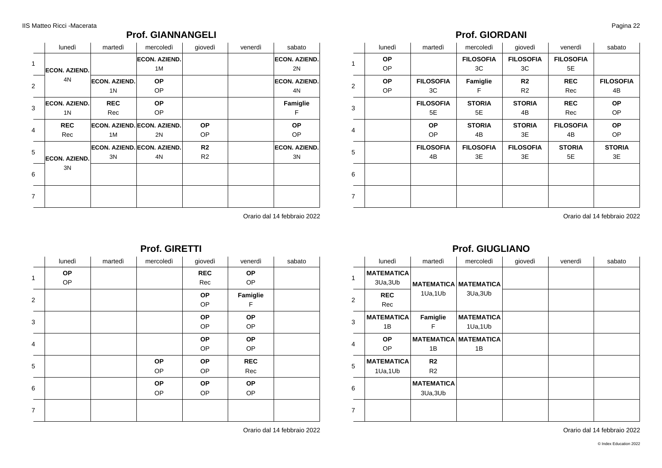### **Prof. GIANNANGELI**

|                | lunedì                                 | martedì                                | mercoledì                                | giovedì                          | venerdì | sabato                     |
|----------------|----------------------------------------|----------------------------------------|------------------------------------------|----------------------------------|---------|----------------------------|
| $\mathbf{1}$   | <b>ECON. AZIEND.</b>                   |                                        | <b>ECON. AZIEND.</b><br>1M               |                                  |         | <b>ECON. AZIEND.</b><br>2N |
| $\overline{2}$ | 4N                                     | <b>ECON. AZIEND.</b><br>1 <sup>N</sup> | <b>OP</b><br><b>OP</b>                   |                                  |         | <b>ECON. AZIEND.</b><br>4N |
| 3              | <b>ECON. AZIEND.</b><br>1 <sup>N</sup> | <b>REC</b><br>Rec                      | <b>OP</b><br><b>OP</b>                   |                                  |         | Famiglie<br>F              |
| 4              | <b>REC</b><br>Rec                      | 1M                                     | <b>ECON. AZIEND. ECON. AZIEND.</b><br>2N | <b>OP</b><br>OP                  |         | <b>OP</b><br><b>OP</b>     |
| 5              | <b>ECON. AZIEND.</b>                   | 3N                                     | ECON, AZIEND. ECON, AZIEND.<br>4N        | R <sub>2</sub><br>R <sub>2</sub> |         | <b>ECON. AZIEND.</b><br>3N |
| 6              | 3N                                     |                                        |                                          |                                  |         |                            |
| $\overline{7}$ |                                        |                                        |                                          |                                  |         |                            |

Orario dal 14 febbraio 2022

#### **Prof. GIRETTI**

|                | lunedì    | martedì | mercoledì | giovedì    | venerdì    | sabato |
|----------------|-----------|---------|-----------|------------|------------|--------|
| $\mathbf{1}$   | <b>OP</b> |         |           | <b>REC</b> | <b>OP</b>  |        |
|                | OP        |         |           | Rec        | OP         |        |
| 2              |           |         |           | <b>OP</b>  | Famiglie   |        |
|                |           |         |           | OP         | F          |        |
| 3              |           |         |           | OP         | <b>OP</b>  |        |
|                |           |         |           | OP         | OP         |        |
|                |           |         |           | OP         | OP         |        |
| 4              |           |         |           | OP         | OP         |        |
|                |           |         | <b>OP</b> | <b>OP</b>  | <b>REC</b> |        |
| 5              |           |         | OP        | OP         | Rec        |        |
|                |           |         | <b>OP</b> | <b>OP</b>  | <b>OP</b>  |        |
| 6              |           |         | OP        | OP         | OP         |        |
| $\overline{7}$ |           |         |           |            |            |        |

Orario dal 14 febbraio 2022

### **Prof. GIORDANI**

|                | lunedì    | martedì          | mercoledì        | giovedì          | venerdì          | sabato           |
|----------------|-----------|------------------|------------------|------------------|------------------|------------------|
| 1              | <b>OP</b> |                  | <b>FILOSOFIA</b> | <b>FILOSOFIA</b> | <b>FILOSOFIA</b> |                  |
|                | <b>OP</b> |                  | 3C               | 3C               | 5E               |                  |
| 2              | <b>OP</b> | <b>FILOSOFIA</b> | Famiglie         | R <sub>2</sub>   | <b>REC</b>       | <b>FILOSOFIA</b> |
|                | <b>OP</b> | 3C               | F                | R <sub>2</sub>   | Rec              | 4B               |
| 3              |           | <b>FILOSOFIA</b> | <b>STORIA</b>    | <b>STORIA</b>    | <b>REC</b>       | <b>OP</b>        |
|                |           | 5E               | 5E               | 4B               | Rec              | OP               |
| 4              |           | <b>OP</b>        | <b>STORIA</b>    | <b>STORIA</b>    | <b>FILOSOFIA</b> | <b>OP</b>        |
|                |           | <b>OP</b>        | 4B               | 3E               | 4B               | OP               |
| 5              |           | <b>FILOSOFIA</b> | <b>FILOSOFIA</b> | <b>FILOSOFIA</b> | <b>STORIA</b>    | <b>STORIA</b>    |
|                |           | 4B               | 3E               | 3E               | 5E               | 3E               |
| 6              |           |                  |                  |                  |                  |                  |
|                |           |                  |                  |                  |                  |                  |
|                |           |                  |                  |                  |                  |                  |
| $\overline{7}$ |           |                  |                  |                  |                  |                  |

Orario dal 14 febbraio 2022

### **Prof. GIUGLIANO**

|                | lunedì            | martedì           | mercoledì                    | giovedì | venerdì | sabato |
|----------------|-------------------|-------------------|------------------------------|---------|---------|--------|
| 1              | <b>MATEMATICA</b> |                   |                              |         |         |        |
|                | 3Ua, 3Ub          | <b>MATEMATICA</b> | <b>MATEMATICA</b>            |         |         |        |
| 2              | <b>REC</b>        | 1Ua, 1Ub          | 3Ua, 3Ub                     |         |         |        |
|                | Rec               |                   |                              |         |         |        |
| 3              | <b>MATEMATICA</b> | Famiglie          | <b>MATEMATICA</b>            |         |         |        |
|                | 1B                | F                 | 1Ua,1Ub                      |         |         |        |
| $\overline{4}$ | <b>OP</b>         |                   | <b>MATEMATICA MATEMATICA</b> |         |         |        |
|                | OP.               | 1B                | 1B                           |         |         |        |
| 5              | <b>MATEMATICA</b> | R <sub>2</sub>    |                              |         |         |        |
|                | 1Ua,1Ub           | R <sub>2</sub>    |                              |         |         |        |
|                |                   | <b>MATEMATICA</b> |                              |         |         |        |
| 6              |                   | 3Ua, 3Ub          |                              |         |         |        |
| $\overline{7}$ |                   |                   |                              |         |         |        |
|                |                   |                   |                              |         |         |        |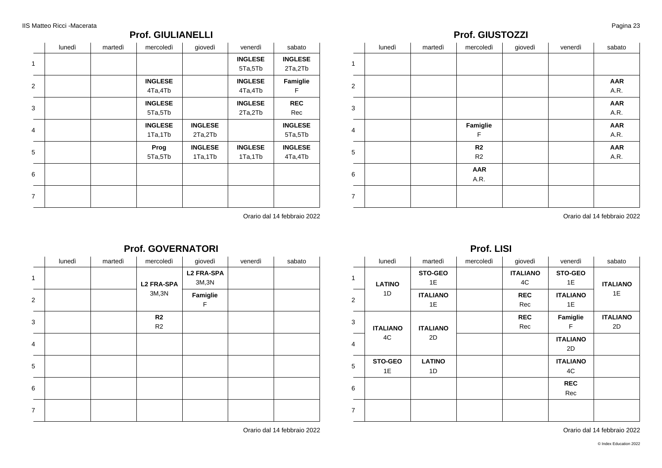### **Prof. GIULIANELLI**

|                | lunedì | martedì | mercoledì      | giovedì        | venerdì        | sabato         |
|----------------|--------|---------|----------------|----------------|----------------|----------------|
| 1              |        |         |                |                | <b>INGLESE</b> | <b>INGLESE</b> |
|                |        |         |                |                | 5Ta,5Tb        | 2Ta,2Tb        |
| 2              |        |         | <b>INGLESE</b> |                | <b>INGLESE</b> | Famiglie       |
|                |        |         | 4Ta,4Tb        |                | 4Ta,4Tb        | F              |
|                |        |         | <b>INGLESE</b> |                | <b>INGLESE</b> | <b>REC</b>     |
| 3              |        |         | 5Ta,5Tb        |                | 2Ta,2Tb        | Rec            |
| 4              |        |         | <b>INGLESE</b> | <b>INGLESE</b> |                | <b>INGLESE</b> |
|                |        |         | 1Ta,1Tb        | 2Ta,2Tb        |                | 5Ta,5Tb        |
| 5              |        |         | Prog           | <b>INGLESE</b> | <b>INGLESE</b> | <b>INGLESE</b> |
|                |        |         | 5Ta,5Tb        | 1Ta,1Tb        | 1Ta,1Tb        | 4Ta,4Tb        |
|                |        |         |                |                |                |                |
| 6              |        |         |                |                |                |                |
|                |        |         |                |                |                |                |
| $\overline{7}$ |        |         |                |                |                |                |

### **Prof. GIUSTOZZI**

|                         | lunedì | martedì | mercoledì                    | giovedì | venerdì | sabato             |
|-------------------------|--------|---------|------------------------------|---------|---------|--------------------|
| 1                       |        |         |                              |         |         |                    |
| 2                       |        |         |                              |         |         | <b>AAR</b><br>A.R. |
| 3                       |        |         |                              |         |         | <b>AAR</b><br>A.R. |
| $\overline{\mathbf{4}}$ |        |         | Famiglie<br>F                |         |         | <b>AAR</b><br>A.R. |
| 5                       |        |         | R <sub>2</sub>               |         |         | <b>AAR</b>         |
|                         |        |         | R <sub>2</sub><br><b>AAR</b> |         |         | A.R.               |
| 6                       |        |         | A.R.                         |         |         |                    |
| $\overline{7}$          |        |         |                              |         |         |                    |

Orario dal 14 febbraio 2022

# Orario dal 14 febbraio 2022

### **Prof. GOVERNATORI**

|                | lunedì | martedì | mercoledì            | giovedì                    | venerdì | sabato |
|----------------|--------|---------|----------------------|----------------------------|---------|--------|
| $\mathbf{1}$   |        |         | <b>L2 FRA-SPA</b>    | <b>L2 FRA-SPA</b><br>3M,3N |         |        |
| 2              |        |         | 3M,3N                | Famiglie<br>F              |         |        |
| 3              |        |         | R <sub>2</sub><br>R2 |                            |         |        |
| $\overline{4}$ |        |         |                      |                            |         |        |
| 5              |        |         |                      |                            |         |        |
| 6              |        |         |                      |                            |         |        |
| $\overline{7}$ |        |         |                      |                            |         |        |

Orario dal 14 febbraio 2022

### **Prof. LISI**

| lunedì          | martedì         | mercoledì | giovedì         | venerdì         | sabato          |
|-----------------|-----------------|-----------|-----------------|-----------------|-----------------|
|                 | STO-GEO         |           | <b>ITALIANO</b> | STO-GEO         |                 |
| <b>LATINO</b>   | 1E              |           | 4C              | 1E              | <b>ITALIANO</b> |
| 1D              | <b>ITALIANO</b> |           | <b>REC</b>      | <b>ITALIANO</b> | 1E              |
|                 | 1E              |           | Rec             | 1E              |                 |
|                 |                 |           | <b>REC</b>      | Famiglie        | <b>ITALIANO</b> |
| <b>ITALIANO</b> | <b>ITALIANO</b> |           | Rec             | F               | 2D              |
| 4C              | 2D              |           |                 | <b>ITALIANO</b> |                 |
|                 |                 |           |                 | 2D              |                 |
| STO-GEO         | <b>LATINO</b>   |           |                 | <b>ITALIANO</b> |                 |
| 1E              | 1D              |           |                 | 4C              |                 |
|                 |                 |           |                 | <b>REC</b>      |                 |
|                 |                 |           |                 | Rec             |                 |
|                 |                 |           |                 |                 |                 |
|                 |                 |           |                 |                 |                 |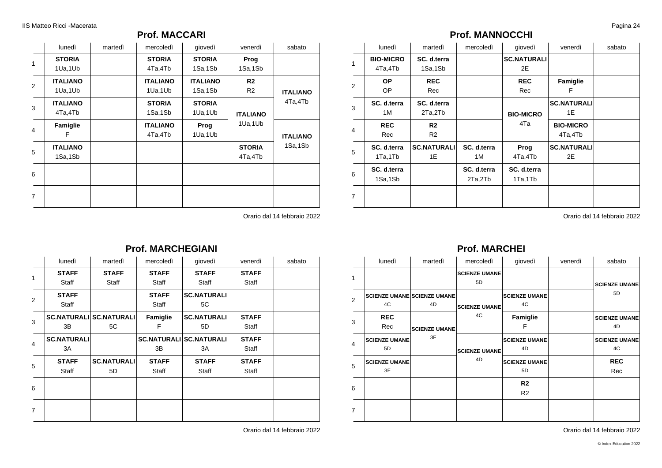### **Prof. MACCARI**

|                | lunedì          | martedì | mercoledì       | giovedì         | venerdì         | sabato          |
|----------------|-----------------|---------|-----------------|-----------------|-----------------|-----------------|
| $\mathbf{1}$   | <b>STORIA</b>   |         | <b>STORIA</b>   | <b>STORIA</b>   | Prog            |                 |
|                | 1Ua,1Ub         |         | 4Ta,4Tb         | 1Sa,1Sb         | 1Sa,1Sb         |                 |
| 2              | <b>ITALIANO</b> |         | <b>ITALIANO</b> | <b>ITALIANO</b> | R <sub>2</sub>  |                 |
|                | 1Ua,1Ub         |         | 1Ua,1Ub         | 1Sa,1Sb         | R <sub>2</sub>  | <b>ITALIANO</b> |
| 3              | <b>ITALIANO</b> |         | <b>STORIA</b>   | <b>STORIA</b>   |                 | 4Ta,4Tb         |
|                | 4Ta,4Tb         |         | 1Sa,1Sb         | 1Ua,1Ub         | <b>ITALIANO</b> |                 |
|                | Famiglie        |         | <b>ITALIANO</b> | Prog            | 1Ua,1Ub         |                 |
| $\overline{4}$ | F               |         | 4Ta,4Tb         | 1Ua,1Ub         |                 | <b>ITALIANO</b> |
|                | <b>ITALIANO</b> |         |                 |                 | <b>STORIA</b>   | 1Sa,1Sb         |
| 5              | 1Sa,1Sb         |         |                 |                 | 4Ta,4Tb         |                 |
| 6              |                 |         |                 |                 |                 |                 |
|                |                 |         |                 |                 |                 |                 |
| $\overline{7}$ |                 |         |                 |                 |                 |                 |
|                |                 |         |                 |                 |                 |                 |

Orario dal 14 febbraio 2022

### **Prof. MANNOCCHI**

|                | lunedì           | martedì            | mercoledì   | giovedì            | venerdì            | sabato |
|----------------|------------------|--------------------|-------------|--------------------|--------------------|--------|
| 1              | <b>BIO-MICRO</b> | SC. d.terra        |             | <b>SC.NATURALI</b> |                    |        |
|                | 4Ta,4Tb          | 1Sa,1Sb            |             | 2E                 |                    |        |
| 2              | <b>OP</b>        | <b>REC</b>         |             | <b>REC</b>         | Famiglie           |        |
|                | OP.              | Rec                |             | Rec                | F                  |        |
| 3              | SC. d.terra      | SC. d.terra        |             |                    | <b>SC.NATURALI</b> |        |
|                | 1 M              | 2Ta,2Tb            |             | <b>BIO-MICRO</b>   | 1E                 |        |
| 4              | <b>REC</b>       | R <sub>2</sub>     |             | 4Ta                | <b>BIO-MICRO</b>   |        |
|                | Rec              | R <sub>2</sub>     |             |                    | 4Ta,4Tb            |        |
| 5              | SC. d.terra      | <b>SC.NATURALI</b> | SC. d.terra | Prog               | <b>SC.NATURALI</b> |        |
|                | 1Ta,1Tb          | 1E                 | 1M          | 4Ta,4Tb            | 2E                 |        |
|                | SC. d.terra      |                    | SC. d.terra | SC. d.terra        |                    |        |
| 6              | 1Sa,1Sb          |                    | 2Ta,2Tb     | 1Ta,1Tb            |                    |        |
| $\overline{7}$ |                  |                    |             |                    |                    |        |
|                |                  |                    |             |                    |                    |        |

Orario dal 14 febbraio 2022

### **Prof. MARCHEGIANI**

|                | lunedì             | martedì                        | mercoledì    | giovedì                        | venerdì      | sabato |
|----------------|--------------------|--------------------------------|--------------|--------------------------------|--------------|--------|
| $\mathbf{1}$   | <b>STAFF</b>       | <b>STAFF</b>                   | <b>STAFF</b> | <b>STAFF</b>                   | <b>STAFF</b> |        |
|                | Staff              | Staff                          | Staff        | Staff                          | Staff        |        |
| 2              | <b>STAFF</b>       |                                | <b>STAFF</b> | <b>SC.NATURALI</b>             |              |        |
|                | Staff              |                                | Staff        | 5C                             |              |        |
| 3              |                    | <b>SC.NATURALI SC.NATURALI</b> | Famiglie     | <b>SC.NATURALI</b>             | <b>STAFF</b> |        |
|                | 3B                 | 5C                             | F            | 5D                             | Staff        |        |
|                | <b>SC.NATURALI</b> |                                |              | <b>SC.NATURALI SC.NATURALI</b> | <b>STAFF</b> |        |
| $\overline{4}$ | 3A                 |                                | 3B           | 3A                             | Staff        |        |
|                | <b>STAFF</b>       | <b>SC.NATURALI</b>             | <b>STAFF</b> | <b>STAFF</b>                   | <b>STAFF</b> |        |
| 5              | Staff              | 5D                             | Staff        | Staff                          | Staff        |        |
| 6              |                    |                                |              |                                |              |        |
|                |                    |                                |              |                                |              |        |
| 7              |                    |                                |              |                                |              |        |
|                |                    |                                |              |                                |              |        |

Orario dal 14 febbraio 2022

### **Prof. MARCHEI**

|                | lunedì                     | martedì                                  | mercoledì                  | giovedì                    | venerdì | sabato                     |
|----------------|----------------------------|------------------------------------------|----------------------------|----------------------------|---------|----------------------------|
| 1              |                            |                                          | <b>SCIENZE UMANE</b><br>5D |                            |         | <b>SCIENZE UMANE</b>       |
| $\overline{2}$ | 4C                         | <b>SCIENZE UMANE SCIENZE UMANE</b><br>4D | <b>SCIENZE UMANE</b><br>4C | <b>SCIENZE UMANE</b><br>4C |         | 5D                         |
| 3              | <b>REC</b><br>Rec          | <b>SCIENZE UMANE</b>                     |                            | Famiglie<br>F              |         | <b>SCIENZE UMANE</b><br>4D |
| 4              | <b>SCIENZE UMANE</b><br>5D | 3F                                       | <b>SCIENZE UMANE</b><br>4D | <b>SCIENZE UMANE</b><br>4D |         | <b>SCIENZE UMANE</b><br>4C |
| 5              | <b>SCIENZE UMANE</b><br>3F |                                          |                            | <b>SCIENZE UMANE</b><br>5D |         | <b>REC</b><br>Rec          |
| 6              |                            |                                          |                            | R <sub>2</sub><br>R2       |         |                            |
| $\overline{7}$ |                            |                                          |                            |                            |         |                            |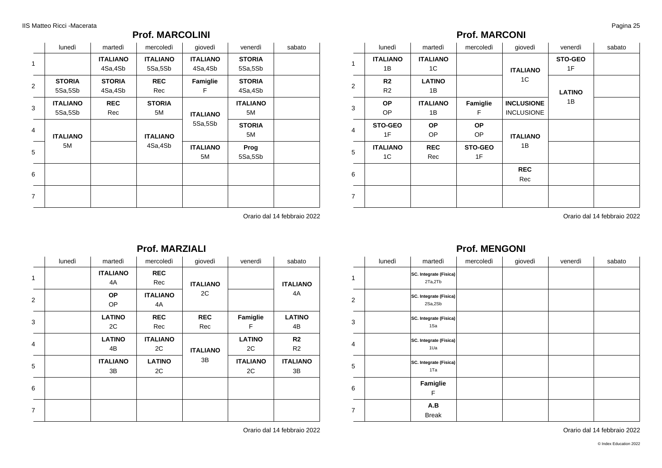### **Prof. MARCOLINI**

|                | lunedì                     | martedì                    | mercoledì                  | giovedì                    | venerdì                  | sabato |
|----------------|----------------------------|----------------------------|----------------------------|----------------------------|--------------------------|--------|
| 1              |                            | <b>ITALIANO</b><br>4Sa,4Sb | <b>ITALIANO</b><br>5Sa,5Sb | <b>ITALIANO</b><br>4Sa,4Sb | <b>STORIA</b><br>5Sa,5Sb |        |
| 2              | <b>STORIA</b><br>5Sa,5Sb   | <b>STORIA</b><br>4Sa,4Sb   | <b>REC</b><br>Rec          | Famiglie<br>F              | <b>STORIA</b><br>4Sa,4Sb |        |
| 3              | <b>ITALIANO</b><br>5Sa,5Sb | <b>REC</b><br>Rec          | <b>STORIA</b><br>5M        | <b>ITALIANO</b>            | <b>ITALIANO</b><br>5M    |        |
| 4              | <b>ITALIANO</b>            |                            | <b>ITALIANO</b>            | 5Sa,5Sb                    | <b>STORIA</b><br>5M      |        |
| 5              | 5M                         |                            | 4Sa,4Sb                    | <b>ITALIANO</b><br>5M      | Prog<br>5Sa,5Sb          |        |
| 6              |                            |                            |                            |                            |                          |        |
| $\overline{7}$ |                            |                            |                            |                            |                          |        |

Orario dal 14 febbraio 2022

|                |        |                       | <b>Prof. MARZIALI</b> |                   |                       |                                  |
|----------------|--------|-----------------------|-----------------------|-------------------|-----------------------|----------------------------------|
|                | lunedì | martedì               | mercoledì             | giovedì           | venerdì               | sabato                           |
| 1              |        | <b>ITALIANO</b><br>4A | <b>REC</b><br>Rec     | <b>ITALIANO</b>   |                       | <b>ITALIANO</b>                  |
| $\overline{2}$ |        | <b>OP</b><br>OP       | <b>ITALIANO</b><br>4A | 2C                |                       | 4A                               |
| 3              |        | <b>LATINO</b><br>2C   | <b>REC</b><br>Rec     | <b>REC</b><br>Rec | Famiglie<br>F         | <b>LATINO</b><br>4B              |
| 4              |        | <b>LATINO</b><br>4B   | <b>ITALIANO</b><br>2C | <b>ITALIANO</b>   | <b>LATINO</b><br>2C   | R <sub>2</sub><br>R <sub>2</sub> |
| 5              |        | <b>ITALIANO</b><br>3B | <b>LATINO</b><br>2C   | 3B                | <b>ITALIANO</b><br>2C | <b>ITALIANO</b><br>3B            |
| 6              |        |                       |                       |                   |                       |                                  |
| $\overline{7}$ |        |                       |                       |                   |                       |                                  |
|                |        |                       |                       |                   |                       |                                  |

**Prof. MARZIALI**

Orario dal 14 febbraio 2022

### **Prof. MARCONI**

|                | lunedì                | martedì                | mercoledì              | giovedì                                | venerdì       | sabato |
|----------------|-----------------------|------------------------|------------------------|----------------------------------------|---------------|--------|
| $\mathbf{1}$   | <b>ITALIANO</b><br>1B | <b>ITALIANO</b><br>1C  |                        | <b>ITALIANO</b>                        | STO-GEO<br>1F |        |
| 2              | R2<br>R2              | <b>LATINO</b><br>1B    |                        | 1C                                     | <b>LATINO</b> |        |
| 3              | <b>OP</b><br>OP       | <b>ITALIANO</b><br>1B  | Famiglie<br>F          | <b>INCLUSIONE</b><br><b>INCLUSIONE</b> | 1B            |        |
| $\overline{4}$ | <b>STO-GEO</b><br>1F  | <b>OP</b><br><b>OP</b> | <b>OP</b><br><b>OP</b> | <b>ITALIANO</b>                        |               |        |
| 5              | <b>ITALIANO</b><br>1C | <b>REC</b><br>Rec      | STO-GEO<br>1F          | 1B                                     |               |        |
| 6              |                       |                        |                        | <b>REC</b><br>Rec                      |               |        |
| $\overline{7}$ |                       |                        |                        |                                        |               |        |

Orario dal 14 febbraio 2022

### **Prof. MENGONI**

|                | lunedì | martedì                           | mercoledì | giovedì | venerdì | sabato |
|----------------|--------|-----------------------------------|-----------|---------|---------|--------|
| 1              |        | SC. Integrate (Fisica)<br>2Ta,2Tb |           |         |         |        |
| 2              |        | SC. Integrate (Fisica)<br>2Sa,2Sb |           |         |         |        |
| 3              |        | SC. Integrate (Fisica)<br>1Sa     |           |         |         |        |
| $\overline{4}$ |        | SC. Integrate (Fisica)<br>1Ua     |           |         |         |        |
| 5              |        | SC. Integrate (Fisica)<br>1Ta     |           |         |         |        |
| 6              |        | Famiglie<br>F                     |           |         |         |        |
| $\overline{7}$ |        | A.B<br><b>Break</b>               |           |         |         |        |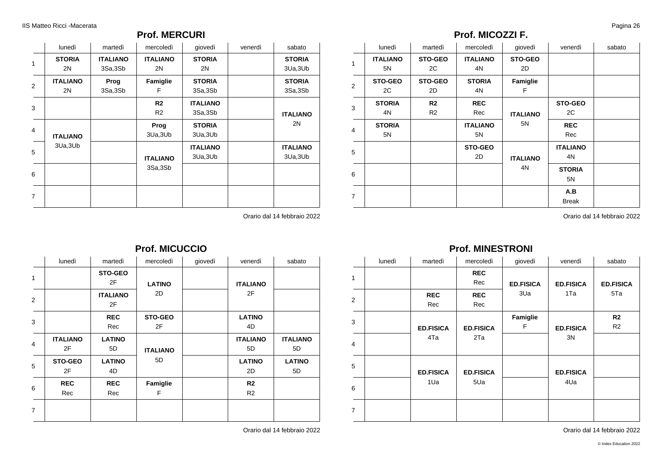### **Prof. MERCURI**

|                | lunedì          | martedì         | mercoledì       | giovedì         | venerdì | sabato          |
|----------------|-----------------|-----------------|-----------------|-----------------|---------|-----------------|
| 1              | <b>STORIA</b>   | <b>ITALIANO</b> | <b>ITALIANO</b> | <b>STORIA</b>   |         | <b>STORIA</b>   |
|                | 2N              | 3Sa,3Sb         | 2N              | 2N              |         | 3Ua, 3Ub        |
| 2              | <b>ITALIANO</b> | Prog            | Famiglie        | <b>STORIA</b>   |         | <b>STORIA</b>   |
|                | 2N              | 3Sa,3Sb         | F               | 3Sa,3Sb         |         | 3Sa,3Sb         |
| 3              |                 |                 | R <sub>2</sub>  | <b>ITALIANO</b> |         |                 |
|                |                 |                 | R2              | 3Sa,3Sb         |         | <b>ITALIANO</b> |
| 4              |                 |                 | Prog            | <b>STORIA</b>   |         | 2N              |
|                | <b>ITALIANO</b> |                 | 3Ua, 3Ub        | 3Ua, 3Ub        |         |                 |
| 5              | 3Ua, 3Ub        |                 |                 | <b>ITALIANO</b> |         | <b>ITALIANO</b> |
|                |                 |                 | <b>ITALIANO</b> | 3Ua, 3Ub        |         | 3Ua, 3Ub        |
| 6              |                 |                 | 3Sa,3Sb         |                 |         |                 |
| $\overline{7}$ |                 |                 |                 |                 |         |                 |

Orario dal 14 febbraio 2022

### **Prof. MICOZZI F.**

|                | lunedì                | martedì                          | mercoledì             | giovedì              | venerdì               | sabato |
|----------------|-----------------------|----------------------------------|-----------------------|----------------------|-----------------------|--------|
| 1              | <b>ITALIANO</b><br>5N | STO-GEO<br>2C                    | <b>ITALIANO</b><br>4N | <b>STO-GEO</b><br>2D |                       |        |
| 2              | <b>STO-GEO</b><br>2C  | STO-GEO<br>2D                    | <b>STORIA</b><br>4N   | Famiglie<br>F        |                       |        |
| 3              | <b>STORIA</b><br>4N   | R <sub>2</sub><br>R <sub>2</sub> | <b>REC</b><br>Rec     | <b>ITALIANO</b>      | <b>STO-GEO</b><br>2C  |        |
| $\overline{4}$ | <b>STORIA</b><br>5N   |                                  | <b>ITALIANO</b><br>5N | 5N                   | <b>REC</b><br>Rec     |        |
| 5              |                       |                                  | <b>STO-GEO</b><br>2D  | <b>ITALIANO</b>      | <b>ITALIANO</b><br>4N |        |
| 6              |                       |                                  |                       | 4N                   | <b>STORIA</b><br>5N   |        |
| $\overline{7}$ |                       |                                  |                       |                      | A.B<br><b>Break</b>   |        |

Orario dal 14 febbraio 2022

|                | lunedì          | martedì               | mercoledì       | giovedì | venerdì         | sabato          |
|----------------|-----------------|-----------------------|-----------------|---------|-----------------|-----------------|
| 1              |                 | <b>STO-GEO</b>        |                 |         |                 |                 |
|                |                 | 2F                    | <b>LATINO</b>   |         | <b>ITALIANO</b> |                 |
| $\overline{2}$ |                 | <b>ITALIANO</b><br>2F | 2D              |         | 2F              |                 |
| 3              |                 | <b>REC</b>            | STO-GEO         |         | <b>LATINO</b>   |                 |
|                |                 | Rec                   | 2F              |         | 4D              |                 |
| 4              | <b>ITALIANO</b> | <b>LATINO</b>         |                 |         | <b>ITALIANO</b> | <b>ITALIANO</b> |
|                | 2F              | 5D                    | <b>ITALIANO</b> |         | 5D              | 5D              |
| 5              | STO-GEO         | <b>LATINO</b>         | 5D              |         | <b>LATINO</b>   | <b>LATINO</b>   |
|                | 2F              | 4D                    |                 |         | 2D              | 5D              |
| 6              | <b>REC</b>      | <b>REC</b>            | Famiglie        |         | R <sub>2</sub>  |                 |
|                | Rec             | Rec                   | F               |         | R <sub>2</sub>  |                 |
| $\overline{7}$ |                 |                       |                 |         |                 |                 |
|                |                 |                       |                 |         |                 |                 |

### **Prof. MICUCCIO**

Orario dal 14 febbraio 2022

## **Prof. MINESTRONI**

|   | lunedì | martedì           | mercoledì         | giovedì          | venerdì          | sabato                           |
|---|--------|-------------------|-------------------|------------------|------------------|----------------------------------|
| 1 |        |                   | <b>REC</b><br>Rec | <b>ED.FISICA</b> | <b>ED.FISICA</b> | <b>ED.FISICA</b>                 |
| 2 |        | <b>REC</b><br>Rec | <b>REC</b><br>Rec | 3Ua              | 1Ta              | 5Ta                              |
| 3 |        | <b>ED.FISICA</b>  | <b>ED.FISICA</b>  | Famiglie<br>F    | <b>ED.FISICA</b> | R <sub>2</sub><br>R <sub>2</sub> |
| 4 |        | 4Ta               | 2Ta               |                  | 3N               |                                  |
| 5 |        | <b>ED.FISICA</b>  | <b>ED.FISICA</b>  |                  | <b>ED.FISICA</b> |                                  |
| 6 |        | 1Ua               | 5Ua               |                  | 4Ua              |                                  |
| 7 |        |                   |                   |                  |                  |                                  |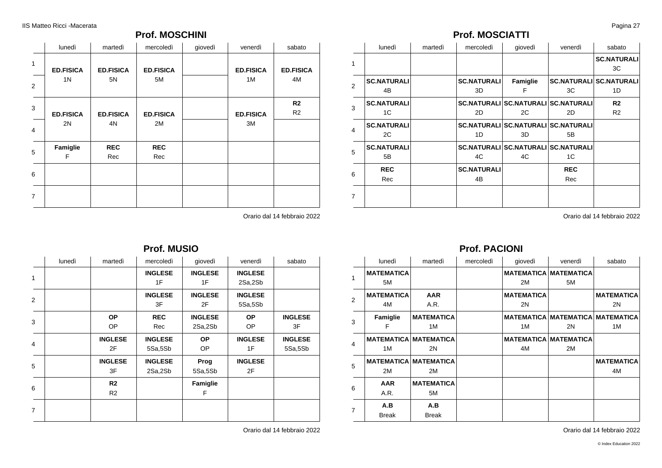### **Prof. MOSCHINI**

|                | lunedì                             | martedì                | mercoledì              | giovedì | venerdì                | sabato                 |
|----------------|------------------------------------|------------------------|------------------------|---------|------------------------|------------------------|
| $\mathbf{1}$   | <b>ED.FISICA</b><br>1 <sub>N</sub> | <b>ED.FISICA</b><br>5N | <b>ED.FISICA</b><br>5M |         | <b>ED.FISICA</b><br>1M | <b>ED.FISICA</b><br>4M |
| 2              |                                    |                        |                        |         |                        |                        |
| 3              |                                    |                        |                        |         |                        | R <sub>2</sub>         |
|                | <b>ED.FISICA</b>                   | <b>ED.FISICA</b>       | <b>ED.FISICA</b>       |         | <b>ED.FISICA</b>       | R <sub>2</sub>         |
| 4              | 2N                                 | 4N                     | 2M                     |         | 3M                     |                        |
| 5              | Famiglie                           | <b>REC</b>             | <b>REC</b>             |         |                        |                        |
|                | F                                  | Rec                    | Rec                    |         |                        |                        |
| 6              |                                    |                        |                        |         |                        |                        |
| $\overline{7}$ |                                    |                        |                        |         |                        |                        |

Orario dal 14 febbraio 2022

|   |        |                | Prof. MUSIO    |                |                |                |
|---|--------|----------------|----------------|----------------|----------------|----------------|
|   | lunedì | martedì        | mercoledì      | giovedì        | venerdì        | sabato         |
| 1 |        |                | <b>INGLESE</b> | <b>INGLESE</b> | <b>INGLESE</b> |                |
|   |        |                | 1F             | 1F             | 2Sa,2Sb        |                |
| 2 |        |                | <b>INGLESE</b> | <b>INGLESE</b> | <b>INGLESE</b> |                |
|   |        |                | 3F             | 2F             | 5Sa,5Sb        |                |
|   |        | <b>OP</b>      | <b>REC</b>     | <b>INGLESE</b> | <b>OP</b>      | <b>INGLESE</b> |
| 3 |        | OP             | Rec            | 2Sa,2Sb        | OP             | 3F             |
|   |        | <b>INGLESE</b> | <b>INGLESE</b> | <b>OP</b>      | <b>INGLESE</b> | <b>INGLESE</b> |
| 4 |        | 2F             | 5Sa,5Sb        | OP.            | 1F             | 5Sa,5Sb        |
|   |        | <b>INGLESE</b> | <b>INGLESE</b> | Prog           | <b>INGLESE</b> |                |
| 5 |        | 3F             | 2Sa,2Sb        | 5Sa,5Sb        | 2F             |                |
|   |        | R2             |                | Famiglie       |                |                |
| 6 |        | R <sub>2</sub> |                | F              |                |                |
| 7 |        |                |                |                |                |                |
|   |        |                |                |                |                |                |

Orario dal 14 febbraio 2022

### **Prof. MOSCIATTI**

|                         | lunedì             | martedì | mercoledì          | giovedì                                    | venerdì    | sabato                         |
|-------------------------|--------------------|---------|--------------------|--------------------------------------------|------------|--------------------------------|
| 1                       |                    |         |                    |                                            |            | <b>SC.NATURALI</b><br>3C       |
| $\mathcal{P}$           | <b>SC.NATURALI</b> |         | <b>SC.NATURALI</b> | Famiglie                                   |            | <b>SC.NATURALI SC.NATURALI</b> |
|                         | 4B                 |         | 3D                 | F                                          | 3C         | 1D                             |
| 3                       | <b>SC.NATURALI</b> |         |                    | <b>SC.NATURALI SC.NATURALI SC.NATURALI</b> |            | R <sub>2</sub>                 |
|                         | 1C                 |         | 2D                 | 2C                                         | 2D         | R <sub>2</sub>                 |
| $\overline{\mathbf{A}}$ | <b>SC.NATURALI</b> |         |                    | <b>SC.NATURALI SC.NATURALI SC.NATURALI</b> |            |                                |
|                         | 2C                 |         | 1D                 | 3D                                         | 5B         |                                |
| 5                       | <b>SC.NATURALI</b> |         |                    | <b>SC.NATURALI SC.NATURALI SC.NATURALI</b> |            |                                |
|                         | 5B                 |         | 4C                 | 4C                                         | 1C         |                                |
| 6                       | <b>REC</b>         |         | <b>SC.NATURALI</b> |                                            | <b>REC</b> |                                |
|                         | Rec                |         | 4B                 |                                            | Rec        |                                |
| 7                       |                    |         |                    |                                            |            |                                |

Orario dal 14 febbraio 2022

### **Prof. PACIONI**

|                | lunedì            | martedì                      | mercoledì | giovedì           | venerdì                                 | sabato            |
|----------------|-------------------|------------------------------|-----------|-------------------|-----------------------------------------|-------------------|
| 1              | <b>MATEMATICA</b> |                              |           |                   | <b>MATEMATICA MATEMATICA</b>            |                   |
|                | 5M                |                              |           | 2M                | 5M                                      |                   |
| $\overline{2}$ | <b>MATEMATICA</b> | <b>AAR</b>                   |           | <b>MATEMATICA</b> |                                         | <b>MATEMATICA</b> |
|                | 4M                | A.R.                         |           | 2N                |                                         | 2N                |
| 3              | Famiglie          | <b>MATEMATICA</b>            |           |                   | <b>MATEMATICA MATEMATICA MATEMATICA</b> |                   |
|                | F                 | 1M                           |           | 1M                | 2N                                      | 1M                |
|                |                   | <b>MATEMATICA MATEMATICA</b> |           |                   | <b>MATEMATICA MATEMATICA</b>            |                   |
| 4              | 1M                | 2N                           |           | 4M                | 2M                                      |                   |
| 5              |                   | <b>MATEMATICA MATEMATICA</b> |           |                   |                                         | <b>MATEMATICA</b> |
|                | 2M                | 2M                           |           |                   |                                         | 4M                |
| 6              | <b>AAR</b>        | <b>MATEMATICA</b>            |           |                   |                                         |                   |
|                | A.R.              | 5M                           |           |                   |                                         |                   |
|                | A.B               | A.B                          |           |                   |                                         |                   |
| $\overline{7}$ | <b>Break</b>      | <b>Break</b>                 |           |                   |                                         |                   |

Orario dal 14 febbraio 2022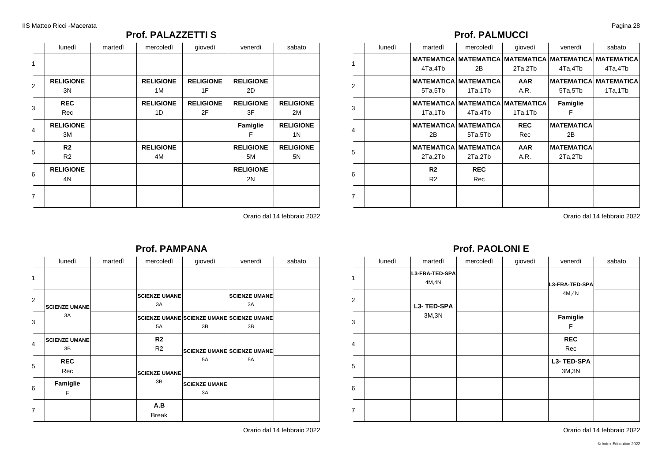### **Prof. PALAZZETTI S**

|                | lunedì                           | martedì | mercoledì              | giovedì                | venerdì                | sabato                             |
|----------------|----------------------------------|---------|------------------------|------------------------|------------------------|------------------------------------|
| 1              |                                  |         |                        |                        |                        |                                    |
| 2              | <b>RELIGIONE</b><br>3N           |         | <b>RELIGIONE</b><br>1M | <b>RELIGIONE</b><br>1F | <b>RELIGIONE</b><br>2D |                                    |
| 3              | <b>REC</b><br>Rec                |         | <b>RELIGIONE</b><br>1D | <b>RELIGIONE</b><br>2F | <b>RELIGIONE</b><br>3F | <b>RELIGIONE</b><br>2M             |
| $\overline{4}$ | <b>RELIGIONE</b><br>3M           |         |                        |                        | Famiglie<br>F          | <b>RELIGIONE</b><br>1 <sup>N</sup> |
| 5              | R <sub>2</sub><br>R <sub>2</sub> |         | <b>RELIGIONE</b><br>4M |                        | <b>RELIGIONE</b><br>5M | <b>RELIGIONE</b><br>5N             |
| 6              | <b>RELIGIONE</b><br>4N           |         |                        |                        | <b>RELIGIONE</b><br>2N |                                    |
| $\overline{7}$ |                                  |         |                        |                        |                        |                                    |

Orario dal 14 febbraio 2022

### **Prof. PALMUCCI**

|                | lunedì | martedì        | mercoledì                    | qiovedì                                 | venerdì           | sabato                       |
|----------------|--------|----------------|------------------------------|-----------------------------------------|-------------------|------------------------------|
| 1              |        |                |                              | <b>MATEMATICA MATEMATICA MATEMATICA</b> |                   | <b>MATEMATICA MATEMATICA</b> |
|                |        | 4Ta,4Tb        | 2B                           | 2Ta,2Tb                                 | 4Ta,4Tb           | 4Ta,4Tb                      |
|                |        |                | <b>MATEMATICA MATEMATICA</b> | <b>AAR</b>                              |                   | <b>MATEMATICA MATEMATICA</b> |
| 2              |        | 5Ta,5Tb        | 1Ta,1Tb                      | A.R.                                    | 5Ta,5Tb           | 1Ta,1Tb                      |
| 3              |        |                |                              | <b>MATEMATICA MATEMATICA MATEMATICA</b> | Famiglie          |                              |
|                |        | 1Ta,1Tb        | 4Ta,4Tb                      | 1Ta,1Tb                                 | F                 |                              |
|                |        |                | <b>MATEMATICA MATEMATICA</b> | <b>REC</b>                              | <b>MATEMATICA</b> |                              |
| $\overline{4}$ |        | 2B             | 5Ta,5Tb                      | Rec                                     | 2B                |                              |
| 5              |        |                | <b>MATEMATICA MATEMATICA</b> | <b>AAR</b>                              | <b>MATEMATICA</b> |                              |
|                |        | 2Ta,2Tb        | 2Ta,2Tb                      | A.R.                                    | 2Ta,2Tb           |                              |
|                |        | R2             | <b>REC</b>                   |                                         |                   |                              |
| 6              |        | R <sub>2</sub> | Rec                          |                                         |                   |                              |
| 7              |        |                |                              |                                         |                   |                              |
|                |        |                |                              |                                         |                   |                              |

Orario dal 14 febbraio 2022

#### **Prof. PAMPANA** lunedì | martedì | mercoledì | giovedì | venerdì | sabato | | 1 2 | 3 4 5 6 7 **SCIENZE UMANE** 3A **SCIENZE UMANE** 3B **REC** Rec **Famiglie** F **SCIENZE UMANE** 3A **SCIENZE UMANE SCIENZE UMANE SCIENZE UMANE** 5A **R2** R2 **SCIENZE UMANE SCIENZE UMANE SCIENZE UMANE** 3B **A.B** Break 3B 5A **SCIENZE UMANE** 3A **SCIENZE UMANE** 3A 3B 5A

Orario dal 14 febbraio 2022

### **Prof. PAOLONI E**

|                | lunedì | martedì                 | mercoledì | giovedì | venerdì             | sabato |
|----------------|--------|-------------------------|-----------|---------|---------------------|--------|
| 1              |        | L3-FRA-TED-SPA<br>4M,4N |           |         | L3-FRA-TED-SPA      |        |
| 2              |        | L3-TED-SPA              |           |         | 4M, 4N              |        |
| 3              |        | 3M, 3N                  |           |         | Famiglie<br>F       |        |
| $\overline{4}$ |        |                         |           |         | <b>REC</b><br>Rec   |        |
| 5              |        |                         |           |         | L3-TED-SPA<br>3M,3N |        |
| 6              |        |                         |           |         |                     |        |
| $\overline{7}$ |        |                         |           |         |                     |        |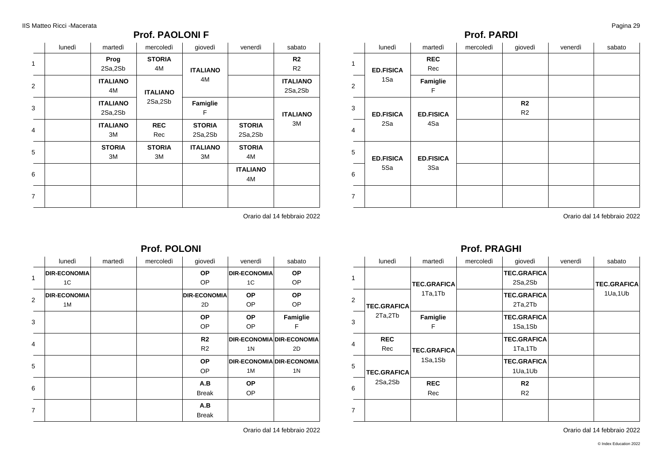### **Prof. PAOLONI F**

|                         | lunedì | martedì                    | mercoledì           | giovedì                  | venerdì                  | sabato                           |
|-------------------------|--------|----------------------------|---------------------|--------------------------|--------------------------|----------------------------------|
| 1                       |        | Prog<br>2Sa,2Sb            | <b>STORIA</b><br>4M | <b>ITALIANO</b>          |                          | R <sub>2</sub><br>R <sub>2</sub> |
| $\overline{2}$          |        | <b>ITALIANO</b><br>4M      | <b>ITALIANO</b>     | 4M                       |                          | <b>ITALIANO</b><br>2Sa,2Sb       |
| 3                       |        | <b>ITALIANO</b><br>2Sa,2Sb | 2Sa,2Sb             | Famiglie<br>F            | <b>ITALIANO</b>          |                                  |
| $\overline{\mathbf{4}}$ |        | <b>ITALIANO</b><br>ЗM      | <b>REC</b><br>Rec   | <b>STORIA</b><br>2Sa,2Sb | <b>STORIA</b><br>2Sa,2Sb | ЗM                               |
| 5                       |        | <b>STORIA</b><br>ЗM        | <b>STORIA</b><br>ЗM | <b>ITALIANO</b><br>ЗM    | <b>STORIA</b><br>4M      |                                  |
| 6                       |        |                            |                     |                          | <b>ITALIANO</b><br>4M    |                                  |
| $\overline{7}$          |        |                            |                     |                          |                          |                                  |

Orario dal 14 febbraio 2022

### **Prof. POLONI**

|                | lunedì              | martedì | mercoledì | giovedì             | venerdì             | sabato                    |
|----------------|---------------------|---------|-----------|---------------------|---------------------|---------------------------|
| $\mathbf{1}$   | <b>DIR-ECONOMIA</b> |         |           | <b>OP</b>           | <b>DIR-ECONOMIA</b> | <b>OP</b>                 |
|                | 1C                  |         |           | OP                  | 1C                  | <b>OP</b>                 |
| $\overline{2}$ | <b>DIR-ECONOMIA</b> |         |           | <b>DIR-ECONOMIA</b> | <b>OP</b>           | <b>OP</b>                 |
|                | 1M                  |         |           | 2D                  | <b>OP</b>           | OP                        |
| 3              |                     |         |           | <b>OP</b>           | <b>OP</b>           | Famiglie                  |
|                |                     |         |           | OP                  | OP.                 | F                         |
| $\overline{4}$ |                     |         |           | R <sub>2</sub>      |                     | DIR-ECONOMIA DIR-ECONOMIA |
|                |                     |         |           | R <sub>2</sub>      | 1 <sub>N</sub>      | 2D                        |
|                |                     |         |           | <b>OP</b>           |                     | DIR-ECONOMIA DIR-ECONOMIA |
| 5              |                     |         |           | OP                  | 1M                  | 1 <sub>N</sub>            |
| 6              |                     |         |           | A.B                 | <b>OP</b>           |                           |
|                |                     |         |           | <b>Break</b>        | OP.                 |                           |
|                |                     |         |           | A.B                 |                     |                           |
| $\overline{7}$ |                     |         |           | <b>Break</b>        |                     |                           |

Orario dal 14 febbraio 2022

### **Prof. PARDI**

|                | lunedì           | martedì           | mercoledì | giovedì              | venerdì | sabato |
|----------------|------------------|-------------------|-----------|----------------------|---------|--------|
| 1              | <b>ED.FISICA</b> | <b>REC</b><br>Rec |           |                      |         |        |
| 2              | 1Sa              | Famiglie<br>F     |           |                      |         |        |
| 3              | <b>ED.FISICA</b> | <b>ED.FISICA</b>  |           | R <sub>2</sub><br>R2 |         |        |
| $\overline{4}$ | 2Sa              | 4Sa               |           |                      |         |        |
| 5              | <b>ED.FISICA</b> | <b>ED.FISICA</b>  |           |                      |         |        |
| 6              | 5Sa              | 3Sa               |           |                      |         |        |
| $\overline{7}$ |                  |                   |           |                      |         |        |

Orario dal 14 febbraio 2022

### **Prof. PRAGHI**

|                | lunedì                        | martedì            | mercoledì | giovedì                          | venerdì | sabato             |
|----------------|-------------------------------|--------------------|-----------|----------------------------------|---------|--------------------|
| 1              |                               | <b>TEC.GRAFICA</b> |           | <b>TEC.GRAFICA</b><br>2Sa,2Sb    |         | <b>TEC.GRAFICA</b> |
| $\mathcal{P}$  | <b>TEC.GRAFICA</b>            | 1Ta,1Tb            |           | <b>TEC.GRAFICA</b><br>2Ta,2Tb    |         | 1Ua, 1Ub           |
| 3              | 2Ta,2Tb                       | Famiglie<br>F      |           | <b>TEC.GRAFICA</b><br>1Sa,1Sb    |         |                    |
| 4              | <b>REC</b><br>Rec             | <b>TEC.GRAFICA</b> |           | <b>TEC.GRAFICA</b><br>1Ta,1Tb    |         |                    |
| 5              | <b>TEC.GRAFICA</b><br>2Sa,2Sb | 1Sa,1Sb            |           | <b>TEC.GRAFICA</b><br>1Ua,1Ub    |         |                    |
| 6              |                               | <b>REC</b><br>Rec  |           | R <sub>2</sub><br>R <sub>2</sub> |         |                    |
| $\overline{7}$ |                               |                    |           |                                  |         |                    |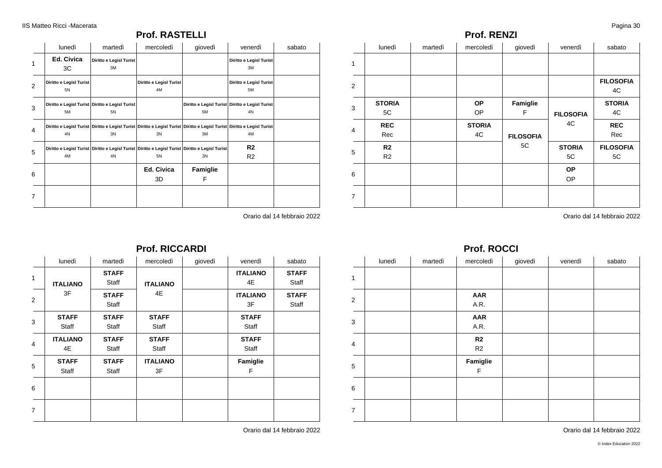### **Prof. RASTELLI**

|   | lunedì                        | martedì                                               | mercoledì                     | giovedì                                                                                               | venerdì                                                                                                                       | sabato |
|---|-------------------------------|-------------------------------------------------------|-------------------------------|-------------------------------------------------------------------------------------------------------|-------------------------------------------------------------------------------------------------------------------------------|--------|
| 1 | Ed. Civica<br>3C              | Diritto e Legisl Turist<br>3M                         |                               |                                                                                                       | Diritto e Legisl Turist<br>3M                                                                                                 |        |
| 2 | Diritto e Legisl Turist<br>5N |                                                       | Diritto e Legisl Turist<br>4M |                                                                                                       | Diritto e Legisl Turist<br>5M                                                                                                 |        |
| 3 | 5M                            | Diritto e Legisl Turist Diritto e Legisl Turist<br>5N |                               | 5M                                                                                                    | Diritto e Legisl Turist Diritto e Legisl Turist<br>4N                                                                         |        |
| 4 | 4N                            | 3N                                                    | 3N                            | 3M                                                                                                    | Diritto e Legisl Turist Diritto e Legisl Turist Diritto e Legisl Turist Diritto e Legisl Turist Diritto e Legisl Turist<br>4M |        |
| 5 | 4M                            | 4N                                                    | 5N                            | Diritto e Legisl Turist Diritto e Legisl Turist Diritto e Legisl Turist Diritto e Legisl Turist<br>3N | R <sub>2</sub><br>R <sub>2</sub>                                                                                              |        |
| 6 |                               |                                                       | Ed. Civica<br>3D              | Famiglie<br>F                                                                                         |                                                                                                                               |        |
| 7 |                               |                                                       |                               |                                                                                                       |                                                                                                                               |        |

Orario dal 14 febbraio 2022

1

2

3

**STORIA** 5C **REC** Rec **R2** R2

4

5

6

7

| 5C | <b>STORIA</b><br>5C | <b>FILOSOFIA</b><br>5C |
|----|---------------------|------------------------|
|    | <b>OP</b>           |                        |
|    | חר                  |                        |

4C **FILOSOFIA**

**Famiglie** F

**FILOSOFIA** 4C

Orario dal 14 febbraio 2022

### **Prof. ROCCI**

**Prof. RENZI**

**OP** OP **STORIA**

lunedì | martedì | mercoledì | giovedì | venerdì | sabato |

|                | lunedì | martedì | mercoledì            | giovedì | venerdì | sabato |
|----------------|--------|---------|----------------------|---------|---------|--------|
| $\mathbf{1}$   |        |         |                      |         |         |        |
| 2              |        |         | <b>AAR</b><br>A.R.   |         |         |        |
| 3              |        |         | <b>AAR</b><br>A.R.   |         |         |        |
| $\overline{4}$ |        |         | R <sub>2</sub><br>R2 |         |         |        |
| 5              |        |         | Famiglie<br>F        |         |         |        |
| 6              |        |         |                      |         |         |        |
| $\overline{7}$ |        |         |                      |         |         |        |

#### Orario dal 14 febbraio 2022

| lunedì                | martedì               | mercoledì             | giovedì | venerdì               | sabato                |
|-----------------------|-----------------------|-----------------------|---------|-----------------------|-----------------------|
| <b>ITALIANO</b>       | <b>STAFF</b><br>Staff | <b>ITALIANO</b>       |         | <b>ITALIANO</b><br>4E | <b>STAFF</b><br>Staff |
| 3F                    | <b>STAFF</b><br>Staff | 4E                    |         | <b>ITALIANO</b><br>3F | <b>STAFF</b><br>Staff |
| <b>STAFF</b><br>Staff | <b>STAFF</b><br>Staff | <b>STAFF</b><br>Staff |         | <b>STAFF</b><br>Staff |                       |
| <b>ITALIANO</b><br>4E | <b>STAFF</b><br>Staff | <b>STAFF</b><br>Staff |         | <b>STAFF</b><br>Staff |                       |
| <b>STAFF</b><br>Staff | <b>STAFF</b><br>Staff | <b>ITALIANO</b><br>3F |         | Famiglie<br>F         |                       |
|                       |                       |                       |         |                       |                       |
|                       |                       |                       |         |                       |                       |
|                       |                       |                       |         |                       |                       |

**Prof. RICCARDI**

Orario dal 14 febbraio 2022

**FILOSOFIA** 4C **STORIA** 4C **REC** Rec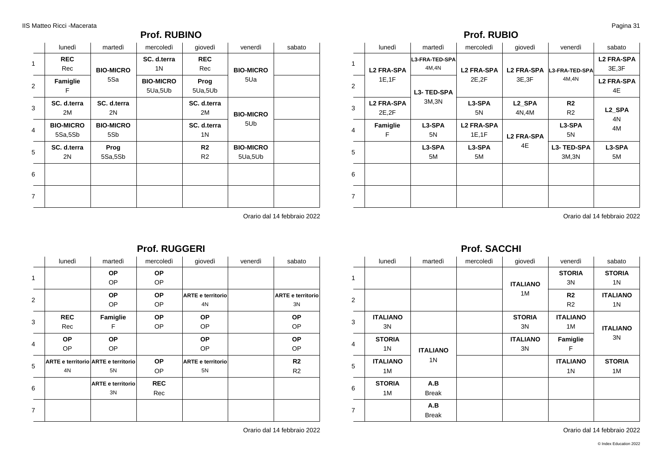### **Prof. RUBINO**

|   | lunedì                      | martedì                 | mercoledì                   | giovedì                          | venerdì                     | sabato |
|---|-----------------------------|-------------------------|-----------------------------|----------------------------------|-----------------------------|--------|
| 1 | <b>REC</b><br>Rec           | <b>BIO-MICRO</b>        | SC. d.terra<br>1N           | <b>REC</b><br>Rec                | <b>BIO-MICRO</b><br>5Ua     |        |
| 2 | Famiglie<br>F               | 5Sa                     | <b>BIO-MICRO</b><br>5Ua,5Ub | Prog<br>5Ua,5Ub                  |                             |        |
| 3 | SC. d.terra<br>2M           | SC. d.terra<br>2N       |                             | SC. d.terra<br>2M                | <b>BIO-MICRO</b>            |        |
| 4 | <b>BIO-MICRO</b><br>5Sa,5Sb | <b>BIO-MICRO</b><br>5Sb |                             | SC. d.terra<br>1 N               | 5U <sub>b</sub>             |        |
| 5 | SC. d.terra<br>2N           | Prog<br>5Sa,5Sb         |                             | R <sub>2</sub><br>R <sub>2</sub> | <b>BIO-MICRO</b><br>5Ua,5Ub |        |
| 6 |                             |                         |                             |                                  |                             |        |
| 7 |                             |                         |                             |                                  |                             |        |

Orario dal 14 febbraio 2022

### **Prof. RUBIO**

|                | lunedì                      | martedì                 | mercoledì                                                 | giovedì                 | venerdì                          | sabato                   |
|----------------|-----------------------------|-------------------------|-----------------------------------------------------------|-------------------------|----------------------------------|--------------------------|
| 1              | <b>L2 FRA-SPA</b>           | L3-FRA-TED-SPA<br>4M,4N | <b>L2 FRA-SPA</b><br><b>L2 FRA-SPA</b><br>2E, 2F<br>3E,3F | <b>L3-FRA-TED-SPA</b>   | <b>L2 FRA-SPA</b><br>3E.3F       |                          |
| $\overline{2}$ | 1E, 1F                      | L3-TED-SPA              |                                                           |                         | 4M, 4N                           | <b>L2 FRA-SPA</b><br>4E  |
| 3              | <b>L2 FRA-SPA</b><br>2E, 2F | 3M, 3N                  | L3-SPA<br>5N                                              | L2 SPA<br>4N,4M         | R <sub>2</sub><br>R <sub>2</sub> | L2 SPA                   |
| 4              | Famiglie<br>F               | L3-SPA<br>5N            | <b>L2 FRA-SPA</b><br>1E, 1F                               | <b>L2 FRA-SPA</b><br>4E | L3-SPA<br>5N                     | 4N<br>4M<br>L3-SPA<br>5M |
| 5              |                             | L3-SPA<br>5M            | L3-SPA<br>5M                                              |                         | L3-TED-SPA<br>3M, 3N             |                          |
| 6              |                             |                         |                                                           |                         |                                  |                          |
| $\overline{7}$ |                             |                         |                                                           |                         |                                  |                          |

Orario dal 14 febbraio 2022

#### **Prof. RUGGERI** lunedì | martedì | mercoledì | giovedì | venerdì | sabato | | 1 2 3 4 5 6 7 **REC** Rec **OP** OP **ARTE e territorio ARTE e territorio** 4N **OP** OP **OP** OP **Famiglie** F **OP** OP 5N **ARTE e territorio** 3N **OP** OP **OP ARTE e territorio** OP **OP** OP **OP ARTE e territorio** OP **REC** Rec 4N **OP** OP **OP** OP 5N **ARTE e territorio** 3N **OP** OP **OP** OP **R2** R2

Orario dal 14 febbraio 2022

### **Prof. SACCHI**

|                | lunedì                | martedì             | mercoledì | giovedì               | venerdì                           | sabato                |                     |                     |
|----------------|-----------------------|---------------------|-----------|-----------------------|-----------------------------------|-----------------------|---------------------|---------------------|
| $\mathbf{1}$   |                       |                     |           | <b>ITALIANO</b><br>1M |                                   |                       | <b>STORIA</b><br>3N | <b>STORIA</b><br>1N |
| 2              |                       |                     |           |                       | R <sub>2</sub><br>R <sub>2</sub>  | <b>ITALIANO</b><br>1N |                     |                     |
| 3              | <b>ITALIANO</b><br>3N |                     |           | <b>STORIA</b><br>3N   | <b>ITALIANO</b><br>1M             | <b>ITALIANO</b>       |                     |                     |
| $\overline{4}$ | <b>STORIA</b><br>1N   | <b>ITALIANO</b>     |           | <b>ITALIANO</b><br>3N | Famiglie<br>F                     | 3N                    |                     |                     |
| 5              | <b>ITALIANO</b><br>1M | 1 <sup>N</sup>      |           |                       | <b>ITALIANO</b><br>1 <sup>N</sup> | <b>STORIA</b><br>1M   |                     |                     |
| 6              | <b>STORIA</b><br>1M   | A.B<br><b>Break</b> |           |                       |                                   |                       |                     |                     |
| $\overline{7}$ |                       | A.B<br><b>Break</b> |           |                       |                                   |                       |                     |                     |

Orario dal 14 febbraio 2022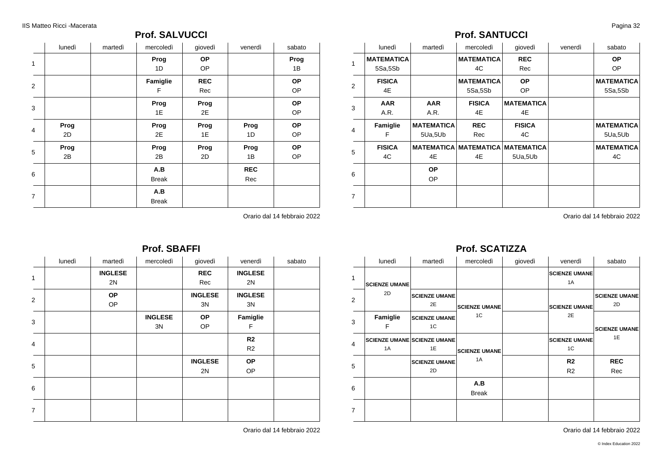### **Prof. SALVUCCI**

|                | lunedì     | martedì | mercoledì           | giovedì           | venerdì           | sabato          |
|----------------|------------|---------|---------------------|-------------------|-------------------|-----------------|
| $\mathbf{1}$   |            |         | Prog<br>1D          | <b>OP</b><br>OP   |                   | Prog<br>1B      |
| $\overline{2}$ |            |         | Famiglie<br>F       | <b>REC</b><br>Rec |                   | OP<br>OP        |
| 3              |            |         | Prog<br>1E          | Prog<br>2E        |                   | OP<br>OP        |
| 4              | Prog<br>2D |         | Prog<br>2E          | Prog<br>1E        | Prog<br>1D        | OP<br>OP        |
| 5              | Prog<br>2B |         | Prog<br>2B          | Prog<br>2D        | Prog<br>1B        | <b>OP</b><br>OP |
| 6              |            |         | A.B<br><b>Break</b> |                   | <b>REC</b><br>Rec |                 |
| $\overline{7}$ |            |         | A.B<br><b>Break</b> |                   |                   |                 |

Orario dal 14 febbraio 2022

| <b>Prof. SBAFFI</b> |        |                |                |                |                |        |  |
|---------------------|--------|----------------|----------------|----------------|----------------|--------|--|
|                     | lunedì | martedì        | mercoledì      | giovedì        | venerdì        | sabato |  |
| $\mathbf{1}$        |        | <b>INGLESE</b> |                | <b>REC</b>     | <b>INGLESE</b> |        |  |
|                     |        | 2N             |                | Rec            | 2N             |        |  |
|                     |        | <b>OP</b>      |                | <b>INGLESE</b> | <b>INGLESE</b> |        |  |
| 2                   |        | <b>OP</b>      |                | 3N             | 3N             |        |  |
| 3                   |        |                | <b>INGLESE</b> | <b>OP</b>      | Famiglie       |        |  |
|                     |        |                | 3N             | OP             | F              |        |  |
| $\overline{4}$      |        |                |                |                | R <sub>2</sub> |        |  |
|                     |        |                |                |                | R <sub>2</sub> |        |  |
|                     |        |                |                | <b>INGLESE</b> | <b>OP</b>      |        |  |
| 5                   |        |                |                | 2N             | OP             |        |  |
| 6                   |        |                |                |                |                |        |  |
|                     |        |                |                |                |                |        |  |
| $\overline{7}$      |        |                |                |                |                |        |  |
|                     |        |                |                |                |                |        |  |

Orario dal 14 febbraio 2022

### **Prof. SANTUCCI**

| <b>MATEMATICA</b> |            |                   |                   |                                         | sabato            |
|-------------------|------------|-------------------|-------------------|-----------------------------------------|-------------------|
|                   |            | <b>MATEMATICA</b> | <b>REC</b>        |                                         | <b>OP</b>         |
| 5Sa,5Sb           |            | 4C                | Rec               |                                         | <b>OP</b>         |
| <b>FISICA</b>     |            | <b>MATEMATICA</b> | <b>OP</b>         |                                         | <b>MATEMATICA</b> |
| 4E                |            | 5Sa,5Sb           | <b>OP</b>         |                                         | 5Sa,5Sb           |
| <b>AAR</b>        | <b>AAR</b> | <b>FISICA</b>     | <b>MATEMATICA</b> |                                         |                   |
| A.R.              | A.R.       | 4E                | 4E                |                                         |                   |
| Famiglie          |            | <b>REC</b>        | <b>FISICA</b>     |                                         | <b>MATEMATICA</b> |
| F                 | 5Ua,5Ub    | Rec               | 4C                |                                         | 5Ua,5Ub           |
| <b>FISICA</b>     |            |                   |                   |                                         | <b>MATEMATICA</b> |
| 4C                | 4E         | 4E                | 5Ua,5Ub           |                                         | 4C                |
|                   | <b>OP</b>  |                   |                   |                                         |                   |
|                   | OP.        |                   |                   |                                         |                   |
|                   |            |                   |                   |                                         |                   |
|                   |            |                   | <b>MATEMATICA</b> | <b>MATEMATICA MATEMATICA MATEMATICA</b> |                   |

Orario dal 14 febbraio 2022

### **Prof. SCATIZZA**

|                | lunedì               | martedì                                  | mercoledì            | giovedì | venerdì                          | sabato                     |
|----------------|----------------------|------------------------------------------|----------------------|---------|----------------------------------|----------------------------|
| 1              | <b>SCIENZE UMANE</b> |                                          |                      |         | <b>SCIENZE UMANE</b><br>1A       |                            |
| $\overline{2}$ | 2D                   | <b>SCIENZE UMANE</b><br>2E               | <b>SCIENZE UMANE</b> |         | <b>SCIENZE UMANE</b>             | <b>SCIENZE UMANE</b><br>2D |
| 3              | Famiglie<br>F        | <b>SCIENZE UMANE</b><br>1C               | 1C                   |         | 2E                               | <b>SCIENZE UMANE</b>       |
| 4              | 1A                   | <b>SCIENZE UMANE SCIENZE UMANE</b><br>1E | <b>SCIENZE UMANE</b> |         | <b>SCIENZE UMANE</b><br>1C       | 1E                         |
| 5              |                      | <b>SCIENZE UMANE</b><br>2D               | 1A                   |         | R <sub>2</sub><br>R <sub>2</sub> | <b>REC</b><br>Rec          |
| 6              |                      |                                          | A.B<br><b>Break</b>  |         |                                  |                            |
| $\overline{7}$ |                      |                                          |                      |         |                                  |                            |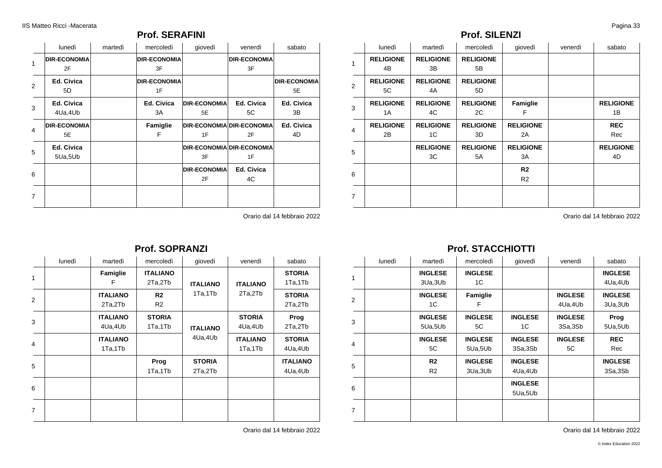### **Prof. SERAFINI**

|                | lunedì              | martedì | mercoledì           | giovedì             | venerdì                          | sabato              |
|----------------|---------------------|---------|---------------------|---------------------|----------------------------------|---------------------|
| 1              | <b>DIR-ECONOMIA</b> |         | <b>DIR-ECONOMIA</b> |                     | <b>DIR-ECONOMIA</b>              |                     |
|                | 2F                  |         | 3F                  |                     | 3F                               |                     |
| 2              | Ed. Civica          |         | <b>DIR-ECONOMIA</b> |                     |                                  | <b>DIR-ECONOMIA</b> |
|                | 5D                  |         | 1F                  |                     |                                  | 5E                  |
| 3              | Ed. Civica          |         | Ed. Civica          | <b>DIR-ECONOMIA</b> | Ed. Civica                       | Ed. Civica          |
|                | 4Ua,4Ub             |         | 3A                  | 5E                  | 5C                               | 3B                  |
| 4              | <b>DIR-ECONOMIA</b> |         | Famiglie            |                     | DIR-ECONOMIA DIR-ECONOMIA        | Ed. Civica          |
|                | 5E                  |         | F                   | 1F                  | 2F                               | 4D                  |
| 5              | Ed. Civica          |         |                     |                     | <b>DIR-ECONOMIA DIR-ECONOMIA</b> |                     |
|                | 5Ua,5Ub             |         |                     | 3F                  | 1F                               |                     |
|                |                     |         |                     | <b>DIR-ECONOMIA</b> | Ed. Civica                       |                     |
| 6              |                     |         |                     | 2F                  | 4C                               |                     |
| $\overline{7}$ |                     |         |                     |                     |                                  |                     |
|                |                     |         |                     |                     |                                  |                     |

Orario dal 14 febbraio 2022

### **Prof. SOPRANZI**

|                | lunedì | martedì                    | mercoledì                        | giovedì                  | venerdì                    | sabato                     |
|----------------|--------|----------------------------|----------------------------------|--------------------------|----------------------------|----------------------------|
| 1              |        | Famiglie<br>F              | <b>ITALIANO</b><br>2Ta,2Tb       | <b>ITALIANO</b>          | <b>ITALIANO</b><br>2Ta,2Tb | <b>STORIA</b><br>1Ta,1Tb   |
| $\overline{2}$ |        | <b>ITALIANO</b><br>2Ta,2Tb | R <sub>2</sub><br>R <sub>2</sub> | 1Ta,1Tb                  |                            | <b>STORIA</b><br>2Ta,2Tb   |
| 3              |        | <b>ITALIANO</b><br>4Ua,4Ub | <b>STORIA</b><br>1Ta,1Tb         | <b>ITALIANO</b>          | <b>STORIA</b><br>4Ua,4Ub   | Prog<br>2Ta,2Tb            |
| 4              |        | <b>ITALIANO</b><br>1Ta,1Tb |                                  | 4Ua,4Ub                  | <b>ITALIANO</b><br>1Ta,1Tb | <b>STORIA</b><br>4Ua,4Ub   |
| 5              |        |                            | Prog<br>1Ta,1Tb                  | <b>STORIA</b><br>2Ta,2Tb |                            | <b>ITALIANO</b><br>4Ua,4Ub |
| 6              |        |                            |                                  |                          |                            |                            |
| $\overline{7}$ |        |                            |                                  |                          |                            |                            |

Orario dal 14 febbraio 2022

### **Prof. SILENZI**

|                | lunedì           | martedì          | mercoledì        | giovedì          | venerdì | sabato           |
|----------------|------------------|------------------|------------------|------------------|---------|------------------|
| $\mathbf{1}$   | <b>RELIGIONE</b> | <b>RELIGIONE</b> | <b>RELIGIONE</b> |                  |         |                  |
|                | 4B               | 3B               | 5B               |                  |         |                  |
| 2              | <b>RELIGIONE</b> | <b>RELIGIONE</b> | <b>RELIGIONE</b> |                  |         |                  |
|                | 5C               | 4A               | 5D               |                  |         |                  |
| 3              | <b>RELIGIONE</b> | <b>RELIGIONE</b> | <b>RELIGIONE</b> | Famiglie         |         | <b>RELIGIONE</b> |
|                | 1A               | 4C               | 2C               | F                |         | 1B               |
| 4              | <b>RELIGIONE</b> | <b>RELIGIONE</b> | <b>RELIGIONE</b> | <b>RELIGIONE</b> |         | <b>REC</b>       |
|                | 2B               | 1C               | 3D               | 2A               |         | Rec              |
| 5              |                  | <b>RELIGIONE</b> | <b>RELIGIONE</b> | <b>RELIGIONE</b> |         | <b>RELIGIONE</b> |
|                |                  | 3C               | 5A               | 3A               |         | 4D               |
|                |                  |                  |                  | R <sub>2</sub>   |         |                  |
| 6              |                  |                  |                  | R <sub>2</sub>   |         |                  |
|                |                  |                  |                  |                  |         |                  |
| $\overline{7}$ |                  |                  |                  |                  |         |                  |

Orario dal 14 febbraio 2022

### **Prof. STACCHIOTTI**

|                | lunedì | martedì        | mercoledì      | giovedì        | venerdì        | sabato         |
|----------------|--------|----------------|----------------|----------------|----------------|----------------|
| 1              |        | <b>INGLESE</b> | <b>INGLESE</b> |                |                | <b>INGLESE</b> |
|                |        | 3Ua, 3Ub       | 1C             |                |                | 4Ua, 4Ub       |
| 2              |        | <b>INGLESE</b> | Famiglie       |                | <b>INGLESE</b> | <b>INGLESE</b> |
|                |        | 1C             | F              |                | 4Ua,4Ub        | 3Ua, 3Ub       |
|                |        | <b>INGLESE</b> | <b>INGLESE</b> | <b>INGLESE</b> | <b>INGLESE</b> | Prog           |
| 3              |        | 5Ua,5Ub        | 5C             | 1C             | 3Sa,3Sb        | 5Ua,5Ub        |
|                |        | <b>INGLESE</b> | <b>INGLESE</b> | <b>INGLESE</b> | <b>INGLESE</b> | <b>REC</b>     |
| 4              |        | 5C             | 5Ua,5Ub        | 3Sa,3Sb        | 5C             | Rec            |
|                |        | R2             | <b>INGLESE</b> | <b>INGLESE</b> |                | <b>INGLESE</b> |
| 5              |        | R <sub>2</sub> | 3Ua, 3Ub       | 4Ua,4Ub        |                | 3Sa,3Sb        |
|                |        |                |                | <b>INGLESE</b> |                |                |
| 6              |        |                |                | 5Ua,5Ub        |                |                |
|                |        |                |                |                |                |                |
| $\overline{7}$ |        |                |                |                |                |                |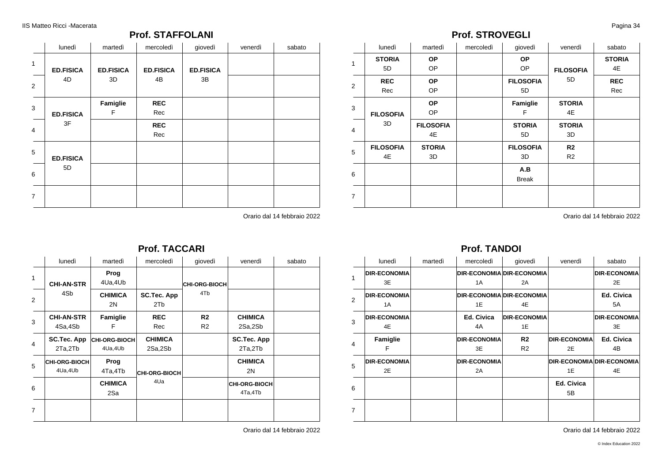### **Prof. STAFFOLANI**

|                | lunedì                 | martedì                | mercoledì              | giovedì                | venerdì | sabato |
|----------------|------------------------|------------------------|------------------------|------------------------|---------|--------|
| $\mathbf{1}$   | <b>ED.FISICA</b><br>4D | <b>ED.FISICA</b><br>3D | <b>ED.FISICA</b><br>4B | <b>ED.FISICA</b><br>3B |         |        |
| 2              |                        |                        |                        |                        |         |        |
| 3              | <b>ED.FISICA</b>       | Famiglie<br>F          | <b>REC</b><br>Rec      |                        |         |        |
| $\overline{4}$ | 3F                     |                        | <b>REC</b><br>Rec      |                        |         |        |
| 5              | <b>ED.FISICA</b>       |                        |                        |                        |         |        |
| 6              | 5D                     |                        |                        |                        |         |        |
| $\overline{7}$ |                        |                        |                        |                        |         |        |

Orario dal 14 febbraio 2022

### **Prof. TACCARI**

|   | lunedì                    | martedì                         | mercoledì                 | giovedì                     | venerdì                  | sabato |
|---|---------------------------|---------------------------------|---------------------------|-----------------------------|--------------------------|--------|
| 1 | <b>CHI-AN-STR</b><br>4Sb  | Prog<br>4Ua,4Ub                 |                           | <b>CHI-ORG-BIOCH</b><br>4Tb |                          |        |
| 2 |                           | <b>CHIMICA</b><br>2N            | <b>SC.Tec. App</b><br>2Tb |                             |                          |        |
| 3 | <b>CHI-AN-STR</b>         | Famiglie                        | <b>REC</b>                | R <sub>2</sub>              | <b>CHIMICA</b>           |        |
|   | 4Sa,4Sb                   | F                               | Rec                       | R <sub>2</sub>              | 2Sa,2Sb                  |        |
| 4 | SC.Tec. App<br>2Ta,2Tb    | <b>CHI-ORG-BIOCH</b><br>4Ua,4Ub | <b>CHIMICA</b><br>2Sa,2Sb |                             | SC.Tec. App<br>2Ta,2Tb   |        |
| 5 | CHI-ORG-BIOCH <br>4Ua,4Ub | Prog<br>4Ta,4Tb                 | CHI-ORG-BIOCH             |                             | <b>CHIMICA</b><br>2N     |        |
| 6 |                           | <b>CHIMICA</b><br>2Sa           | 4Ua                       |                             | CHI-ORG-BIOCH<br>4Ta,4Tb |        |
| 7 |                           |                                 |                           |                             |                          |        |

Orario dal 14 febbraio 2022

### **Prof. STROVEGLI**

|                | lunedì           | martedì          | mercoledì | giovedì          | venerdì          | sabato        |
|----------------|------------------|------------------|-----------|------------------|------------------|---------------|
|                | <b>STORIA</b>    | <b>OP</b>        |           | <b>OP</b>        |                  | <b>STORIA</b> |
| 1              | 5D               | OP               |           | OP               | <b>FILOSOFIA</b> | 4E            |
|                | <b>REC</b>       | <b>OP</b>        |           | <b>FILOSOFIA</b> | 5D               | <b>REC</b>    |
| 2              | Rec              | OP               |           | 5D               |                  | Rec           |
| 3              |                  | <b>OP</b>        |           | Famiglie         | <b>STORIA</b>    |               |
|                | <b>FILOSOFIA</b> | OP               |           | F                | 4E               |               |
| $\overline{4}$ | 3D               | <b>FILOSOFIA</b> |           | <b>STORIA</b>    | <b>STORIA</b>    |               |
|                |                  | 4E               |           | 5D               | 3D               |               |
| 5              | <b>FILOSOFIA</b> | <b>STORIA</b>    |           | <b>FILOSOFIA</b> | R <sub>2</sub>   |               |
|                | 4E               | 3D               |           | 3D               | R <sub>2</sub>   |               |
| 6              |                  |                  |           | A.B              |                  |               |
|                |                  |                  |           | <b>Break</b>     |                  |               |
|                |                  |                  |           |                  |                  |               |
| $\overline{7}$ |                  |                  |           |                  |                  |               |

Orario dal 14 febbraio 2022

# **Prof. TANDOI**

|                | lunedì              | martedì | mercoledì           | giovedì                          | venerdì             | sabato                    |
|----------------|---------------------|---------|---------------------|----------------------------------|---------------------|---------------------------|
| 1              | <b>DIR-ECONOMIA</b> |         |                     | <b>DIR-ECONOMIA DIR-ECONOMIA</b> |                     | <b>DIR-ECONOMIA</b>       |
|                | 3E                  |         | 1A                  | 2A                               |                     | 2E                        |
| $\overline{2}$ | <b>DIR-ECONOMIA</b> |         |                     | <b>DIR-ECONOMIA DIR-ECONOMIA</b> |                     | <b>Ed. Civica</b>         |
|                | 1A                  |         | 1E                  | 4E                               |                     | 5A                        |
| 3              | <b>DIR-ECONOMIA</b> |         | <b>Ed. Civica</b>   | <b>DIR-ECONOMIA</b>              |                     | <b>DIR-ECONOMIA</b>       |
|                | 4E                  |         | 4A                  | 1E                               |                     | 3E                        |
| 4              | Famiglie            |         | <b>DIR-ECONOMIA</b> | R <sub>2</sub>                   | <b>DIR-ECONOMIA</b> | <b>Ed. Civica</b>         |
|                | F                   |         | 3E                  | R <sub>2</sub>                   | 2E                  | 4B                        |
| 5              | <b>DIR-ECONOMIA</b> |         | <b>DIR-ECONOMIA</b> |                                  |                     | DIR-ECONOMIA DIR-ECONOMIA |
|                | 2E                  |         | 2A                  |                                  | 1E                  | 4E                        |
| 6              |                     |         |                     |                                  | <b>Ed. Civica</b>   |                           |
|                |                     |         |                     |                                  | 5B                  |                           |
| $\overline{7}$ |                     |         |                     |                                  |                     |                           |
|                |                     |         |                     |                                  |                     |                           |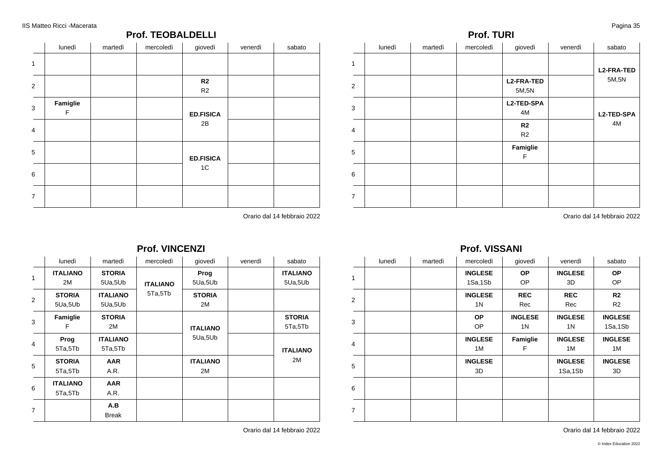### **Prof. TEOBALDELLI**

|                | lunedì        | martedì | mercoledì | giovedì              | venerdì | sabato |
|----------------|---------------|---------|-----------|----------------------|---------|--------|
| $\mathbf{1}$   |               |         |           |                      |         |        |
| 2              |               |         |           | R2<br>R <sub>2</sub> |         |        |
| $\mathbf{3}$   | Famiglie<br>F |         |           | <b>ED.FISICA</b>     |         |        |
| $\overline{4}$ |               |         |           | 2B                   |         |        |
| 5              |               |         |           | <b>ED.FISICA</b>     |         |        |
| 6              |               |         |           | 1C                   |         |        |
| $\overline{7}$ |               |         |           |                      |         |        |

Orario dal 14 febbraio 2022

1

4

6

7

### **Prof. VINCENZI**

|                | lunedì          | martedì         | mercoledì       | giovedì         | venerdì | sabato          |
|----------------|-----------------|-----------------|-----------------|-----------------|---------|-----------------|
| 1              | <b>ITALIANO</b> | <b>STORIA</b>   |                 | Prog            |         | <b>ITALIANO</b> |
|                | 2M              | 5Ua,5Ub         | <b>ITALIANO</b> | 5Ua,5Ub         |         | 5Ua,5Ub         |
| 2              | <b>STORIA</b>   | <b>ITALIANO</b> | 5Ta,5Tb         | <b>STORIA</b>   |         |                 |
|                | 5Ua,5Ub         | 5Ua,5Ub         |                 | 2M              |         |                 |
| 3              | Famiglie        | <b>STORIA</b>   |                 |                 |         | <b>STORIA</b>   |
|                | F               | 2M              |                 | <b>ITALIANO</b> |         | 5Ta,5Tb         |
|                | Prog            | <b>ITALIANO</b> |                 | 5Ua,5Ub         |         |                 |
| 4              | 5Ta,5Tb         | 5Ta,5Tb         |                 |                 |         | <b>ITALIANO</b> |
| 5              | <b>STORIA</b>   | <b>AAR</b>      |                 | <b>ITALIANO</b> |         | 2M              |
|                | 5Ta,5Tb         | A.R.            |                 | 2M              |         |                 |
|                | <b>ITALIANO</b> | <b>AAR</b>      |                 |                 |         |                 |
| 6              | 5Ta,5Tb         | A.R.            |                 |                 |         |                 |
|                |                 | A.B             |                 |                 |         |                 |
| $\overline{7}$ |                 | <b>Break</b>    |                 |                 |         |                 |

Orario dal 14 febbraio 2022

### lunedì | martedì | mercoledì | giovedì | venerdì | sabato | 2 3 5 **L2-FRA-TED** 5M,5N **L2-TED-SPA** 4M **R2** R2 **Famiglie** F **L2-FRA-TED** 5M,5N **L2-TED-SPA** 4M

**Prof. TURI**

Orario dal 14 febbraio 2022

### **Prof. VISSANI**

|                | lunedì | martedì | mercoledì      | giovedì        | venerdì        | sabato         |
|----------------|--------|---------|----------------|----------------|----------------|----------------|
| $\mathbf{1}$   |        |         | <b>INGLESE</b> | <b>OP</b>      | <b>INGLESE</b> | <b>OP</b>      |
|                |        |         | 1Sa,1Sb        | OP.            | 3D             | OP             |
| 2              |        |         | <b>INGLESE</b> | <b>REC</b>     | <b>REC</b>     | R <sub>2</sub> |
|                |        |         | 1N             | Rec            | Rec            | R <sub>2</sub> |
|                |        |         | <b>OP</b>      | <b>INGLESE</b> | <b>INGLESE</b> | <b>INGLESE</b> |
| 3              |        |         | OP.            | 1N             | 1N             | 1Sa,1Sb        |
|                |        |         | <b>INGLESE</b> | Famiglie       | <b>INGLESE</b> | <b>INGLESE</b> |
| $\overline{4}$ |        |         | 1M             | F              | 1M             | 1 M            |
|                |        |         | <b>INGLESE</b> |                | <b>INGLESE</b> | <b>INGLESE</b> |
| 5              |        |         | 3D             |                | 1Sa,1Sb        | 3D             |
| 6              |        |         |                |                |                |                |
|                |        |         |                |                |                |                |
|                |        |         |                |                |                |                |
| $\overline{7}$ |        |         |                |                |                |                |